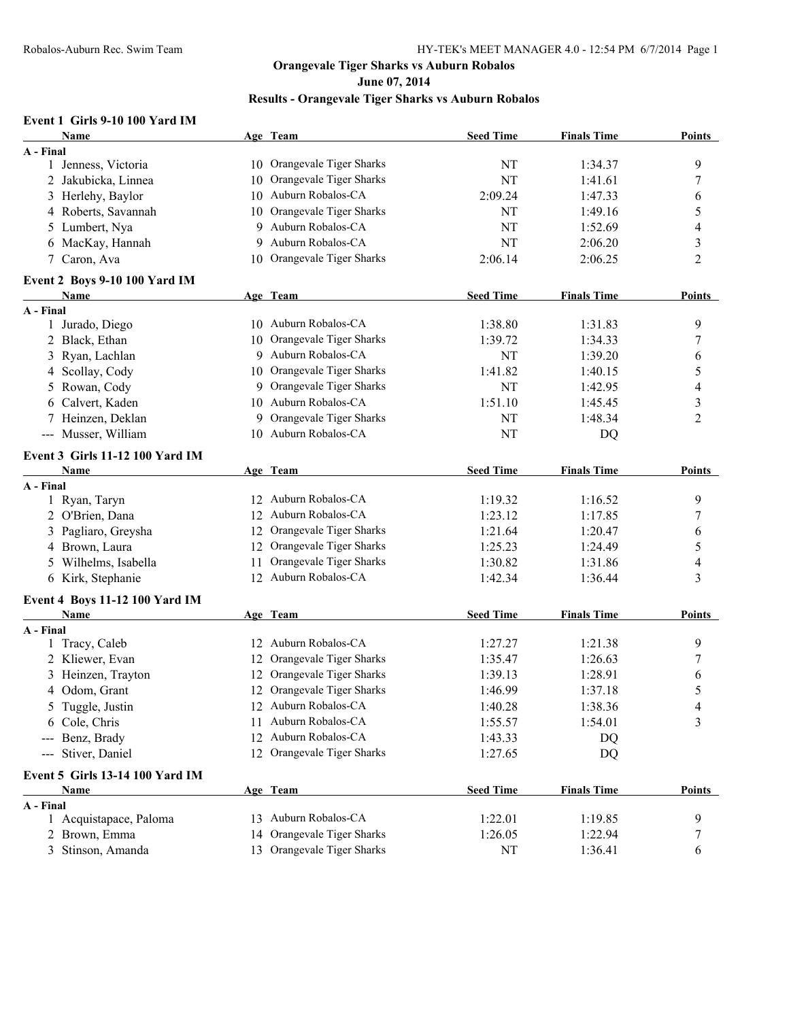**June 07, 2014**

## **Results - Orangevale Tiger Sharks vs Auburn Robalos**

### **Event 1 Girls 9-10 100 Yard IM**

| Name                                   |    | Age Team                   | <b>Seed Time</b> | <b>Finals Time</b> | <b>Points</b>  |
|----------------------------------------|----|----------------------------|------------------|--------------------|----------------|
| A - Final                              |    |                            |                  |                    |                |
| 1 Jenness, Victoria                    |    | 10 Orangevale Tiger Sharks | NT               | 1:34.37            | 9              |
| 2 Jakubicka, Linnea                    |    | 10 Orangevale Tiger Sharks | NT               | 1:41.61            | 7              |
| 3 Herlehy, Baylor                      |    | 10 Auburn Robalos-CA       | 2:09.24          | 1:47.33            | 6              |
| 4 Roberts, Savannah                    |    | 10 Orangevale Tiger Sharks | NT               | 1:49.16            | 5              |
| 5 Lumbert, Nya                         | 9  | Auburn Robalos-CA          | <b>NT</b>        | 1:52.69            | 4              |
| 6 MacKay, Hannah                       | 9  | Auburn Robalos-CA          | <b>NT</b>        | 2:06.20            | 3              |
| Caron, Ava<br>7                        | 10 | Orangevale Tiger Sharks    | 2:06.14          | 2:06.25            | 2              |
| Event 2 Boys 9-10 100 Yard IM          |    |                            |                  |                    |                |
| Name                                   |    | Age Team                   | <b>Seed Time</b> | <b>Finals Time</b> | <b>Points</b>  |
| A - Final                              |    |                            |                  |                    |                |
| 1 Jurado, Diego                        |    | 10 Auburn Robalos-CA       | 1:38.80          | 1:31.83            | 9              |
| 2 Black, Ethan                         |    | 10 Orangevale Tiger Sharks | 1:39.72          | 1:34.33            | 7              |
| 3 Ryan, Lachlan                        |    | 9 Auburn Robalos-CA        | <b>NT</b>        | 1:39.20            | 6              |
| 4 Scollay, Cody                        |    | 10 Orangevale Tiger Sharks | 1:41.82          | 1:40.15            | 5              |
| 5 Rowan, Cody                          |    | 9 Orangevale Tiger Sharks  | NT               | 1:42.95            | 4              |
| 6 Calvert, Kaden                       |    | 10 Auburn Robalos-CA       | 1:51.10          | 1:45.45            | 3              |
| 7 Heinzen, Deklan                      |    | 9 Orangevale Tiger Sharks  | NT               | 1:48.34            | $\overline{2}$ |
| --- Musser, William                    |    | 10 Auburn Robalos-CA       | NT               | DQ                 |                |
| Event 3 Girls 11-12 100 Yard IM        |    |                            |                  |                    |                |
| <b>Name</b>                            |    | Age Team                   | <b>Seed Time</b> | <b>Finals Time</b> | <b>Points</b>  |
| A - Final                              |    |                            |                  |                    |                |
| 1 Ryan, Taryn                          |    | 12 Auburn Robalos-CA       | 1:19.32          | 1:16.52            | 9              |
| 2 O'Brien, Dana                        |    | 12 Auburn Robalos-CA       | 1:23.12          | 1:17.85            | 7              |
| 3 Pagliaro, Greysha                    |    | 12 Orangevale Tiger Sharks | 1:21.64          | 1:20.47            | 6              |
| 4 Brown, Laura                         | 12 | Orangevale Tiger Sharks    | 1:25.23          | 1:24.49            | 5              |
| 5 Wilhelms, Isabella                   | 11 | Orangevale Tiger Sharks    | 1:30.82          | 1:31.86            | 4              |
| 6 Kirk, Stephanie                      |    | 12 Auburn Robalos-CA       | 1:42.34          | 1:36.44            | 3              |
| <b>Event 4 Boys 11-12 100 Yard IM</b>  |    |                            |                  |                    |                |
| <b>Name</b>                            |    | Age Team                   | <b>Seed Time</b> | <b>Finals Time</b> | <b>Points</b>  |
| A - Final                              |    |                            |                  |                    |                |
| 1 Tracy, Caleb                         |    | 12 Auburn Robalos-CA       | 1:27.27          | 1:21.38            | 9              |
| 2 Kliewer, Evan                        |    | 12 Orangevale Tiger Sharks | 1:35.47          | 1:26.63            | 7              |
| 3 Heinzen, Trayton                     |    | 12 Orangevale Tiger Sharks | 1:39.13          | 1:28.91            | 6              |
| 4 Odom, Grant                          |    | 12 Orangevale Tiger Sharks | 1:46.99          | 1:37.18            | 5              |
| 5 Tuggle, Justin                       |    | 12 Auburn Robalos-CA       | 1:40.28          | 1:38.36            | 4              |
| 6 Cole, Chris                          |    | 11 Auburn Robalos-CA       | 1:55.57          | 1:54.01            | 3              |
| --- Benz, Brady                        |    | 12 Auburn Robalos-CA       | 1:43.33          | DQ                 |                |
| --- Stiver, Daniel                     |    | 12 Orangevale Tiger Sharks | 1:27.65          | DQ                 |                |
| <b>Event 5 Girls 13-14 100 Yard IM</b> |    |                            |                  |                    |                |
| Name                                   |    | Age Team                   | <b>Seed Time</b> | <b>Finals Time</b> | <b>Points</b>  |
| A - Final                              |    |                            |                  |                    |                |
| 1 Acquistapace, Paloma                 |    | 13 Auburn Robalos-CA       | 1:22.01          | 1:19.85            | 9              |
| 2 Brown, Emma                          |    | 14 Orangevale Tiger Sharks | 1:26.05          | 1:22.94            | 7              |
| 3 Stinson, Amanda                      |    | 13 Orangevale Tiger Sharks | NT               | 1:36.41            | 6              |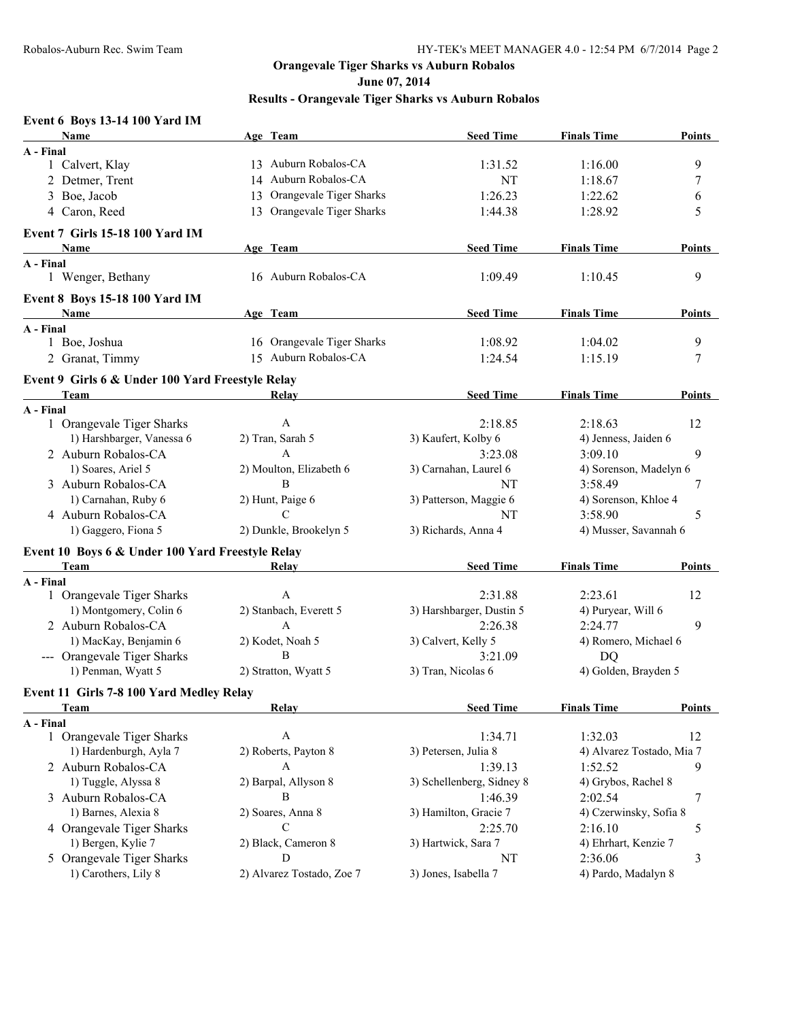**June 07, 2014**

## **Results - Orangevale Tiger Sharks vs Auburn Robalos**

#### **Event 6 Boys 13-14 100 Yard IM**

| Name                                                     | Age Team                      | <b>Seed Time</b>               | <b>Finals Time</b>            | <b>Points</b> |
|----------------------------------------------------------|-------------------------------|--------------------------------|-------------------------------|---------------|
| A - Final                                                |                               |                                |                               |               |
| 1 Calvert, Klay                                          | 13 Auburn Robalos-CA          | 1:31.52                        | 1:16.00                       | 9             |
| 2 Detmer, Trent                                          | 14 Auburn Robalos-CA          | NT                             | 1:18.67                       | 7             |
| 3 Boe, Jacob                                             | Orangevale Tiger Sharks<br>13 | 1:26.23                        | 1:22.62                       | 6             |
| 4 Caron, Reed                                            | 13 Orangevale Tiger Sharks    | 1:44.38                        | 1:28.92                       | 5             |
| Event 7 Girls 15-18 100 Yard IM                          |                               |                                |                               |               |
| <b>Name</b>                                              | Age Team                      | <b>Seed Time</b>               | <b>Finals Time</b>            | <b>Points</b> |
| A - Final                                                |                               |                                |                               |               |
| 1 Wenger, Bethany                                        | 16 Auburn Robalos-CA          | 1:09.49                        | 1:10.45                       | 9             |
| Event 8 Boys 15-18 100 Yard IM                           |                               |                                |                               |               |
| Name                                                     | Age Team                      | <b>Seed Time</b>               | <b>Finals Time</b>            | <b>Points</b> |
| A - Final                                                |                               |                                |                               |               |
| 1 Boe, Joshua                                            | 16 Orangevale Tiger Sharks    | 1:08.92                        | 1:04.02                       | 9             |
| 2 Granat, Timmy                                          | 15 Auburn Robalos-CA          | 1:24.54                        | 1:15.19                       | 7             |
|                                                          |                               |                                |                               |               |
| Event 9 Girls 6 & Under 100 Yard Freestyle Relay<br>Team | Relay                         | <b>Seed Time</b>               | <b>Finals Time</b>            | <b>Points</b> |
| A - Final                                                |                               |                                |                               |               |
| 1 Orangevale Tiger Sharks                                | $\mathbf{A}$                  | 2:18.85                        | 2:18.63                       | 12            |
| 1) Harshbarger, Vanessa 6                                | 2) Tran, Sarah 5              | 3) Kaufert, Kolby 6            | 4) Jenness, Jaiden 6          |               |
| 2 Auburn Robalos-CA                                      | $\mathbf{A}$                  | 3:23.08                        | 3:09.10                       | 9             |
| 1) Soares, Ariel 5                                       | 2) Moulton, Elizabeth 6       | 3) Carnahan, Laurel 6          | 4) Sorenson, Madelyn 6        |               |
| 3 Auburn Robalos-CA                                      | B                             | NT                             | 3:58.49                       | 7             |
| 1) Carnahan, Ruby 6                                      | 2) Hunt, Paige 6              | 3) Patterson, Maggie 6         | 4) Sorenson, Khloe 4          |               |
| 4 Auburn Robalos-CA                                      | C                             | NT                             | 3:58.90                       | 5             |
| 1) Gaggero, Fiona 5                                      | 2) Dunkle, Brookelyn 5        | 3) Richards, Anna 4            | 4) Musser, Savannah 6         |               |
|                                                          |                               |                                |                               |               |
| Event 10 Boys 6 & Under 100 Yard Freestyle Relay         |                               |                                |                               |               |
| Team                                                     | Relay                         | <b>Seed Time</b>               | <b>Finals Time</b>            | <b>Points</b> |
| A - Final                                                | A                             | 2:31.88                        | 2:23.61                       | 12            |
| 1 Orangevale Tiger Sharks<br>1) Montgomery, Colin 6      | 2) Stanbach, Everett 5        | 3) Harshbarger, Dustin 5       |                               |               |
| 2 Auburn Robalos-CA                                      | A                             | 2:26.38                        | 4) Puryear, Will 6<br>2:24.77 | 9             |
| 1) MacKay, Benjamin 6                                    | 2) Kodet, Noah 5              |                                | 4) Romero, Michael 6          |               |
|                                                          | B                             | 3) Calvert, Kelly 5<br>3:21.09 |                               |               |
| --- Orangevale Tiger Sharks<br>1) Penman, Wyatt 5        | 2) Stratton, Wyatt 5          | 3) Tran, Nicolas 6             | DQ<br>4) Golden, Brayden 5    |               |
|                                                          |                               |                                |                               |               |
| Event 11 Girls 7-8 100 Yard Medley Relay                 |                               |                                |                               |               |
| Team                                                     | <b>Relay</b>                  | <b>Seed Time</b>               | <b>Finals Time</b>            | <b>Points</b> |
| A - Final                                                |                               |                                |                               |               |
| 1 Orangevale Tiger Sharks                                | $\mathbf{A}$                  | 1:34.71                        | 1:32.03                       | 12            |
| 1) Hardenburgh, Ayla 7                                   | 2) Roberts, Payton 8          | 3) Petersen, Julia 8           | 4) Alvarez Tostado, Mia 7     |               |
| 2 Auburn Robalos-CA                                      | $\mathbf{A}$                  | 1:39.13                        | 1:52.52                       | 9             |
| 1) Tuggle, Alyssa 8                                      | 2) Barpal, Allyson 8          | 3) Schellenberg, Sidney 8      | 4) Grybos, Rachel 8           |               |
| 3 Auburn Robalos-CA                                      | B                             | 1:46.39                        | 2:02.54                       | 7             |
| 1) Barnes, Alexia 8                                      | 2) Soares, Anna 8             | 3) Hamilton, Gracie 7          | 4) Czerwinsky, Sofia 8        |               |
| 4 Orangevale Tiger Sharks                                | С                             | 2:25.70                        | 2:16.10                       | 5             |
| 1) Bergen, Kylie 7                                       | 2) Black, Cameron 8           | 3) Hartwick, Sara 7            | 4) Ehrhart, Kenzie 7          |               |
| 5 Orangevale Tiger Sharks                                | D                             | NT                             | 2:36.06                       | 3             |
| 1) Carothers, Lily 8                                     | 2) Alvarez Tostado, Zoe 7     | 3) Jones, Isabella 7           | 4) Pardo, Madalyn 8           |               |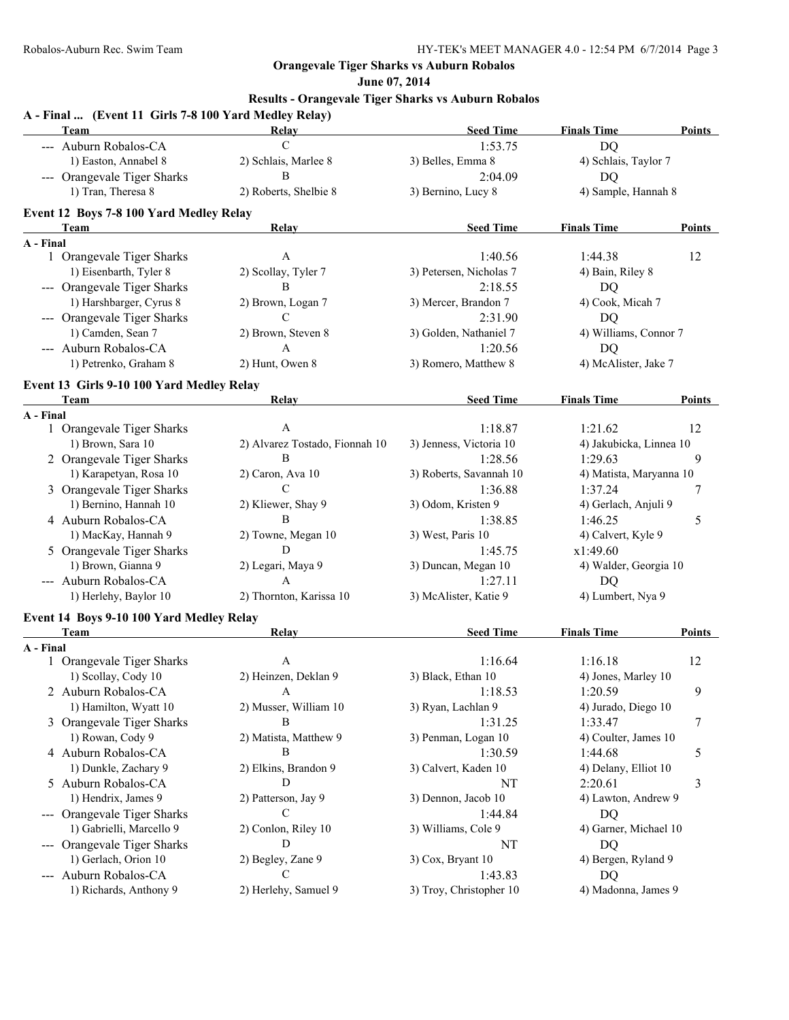**June 07, 2014**

| A - Final  (Event 11 Girls 7-8 100 Yard Medley Relay)<br>Team | Relay                          | <b>Seed Time</b>        | <b>Finals Time</b><br>Points |
|---------------------------------------------------------------|--------------------------------|-------------------------|------------------------------|
| --- Auburn Robalos-CA                                         | $\mathcal{C}$                  | 1:53.75                 | DQ                           |
| 1) Easton, Annabel 8                                          | 2) Schlais, Marlee 8           | 3) Belles, Emma 8       | 4) Schlais, Taylor 7         |
| --- Orangevale Tiger Sharks                                   | B                              | 2:04.09                 | <b>DQ</b>                    |
| 1) Tran, Theresa 8                                            | 2) Roberts, Shelbie 8          | 3) Bernino, Lucy 8      | 4) Sample, Hannah 8          |
| Event 12 Boys 7-8 100 Yard Medley Relay                       |                                |                         |                              |
| Team                                                          | Relay                          | <b>Seed Time</b>        | Points<br><b>Finals Time</b> |
| A - Final                                                     |                                |                         |                              |
| 1 Orangevale Tiger Sharks                                     | A                              | 1:40.56                 | 1:44.38<br>12                |
| 1) Eisenbarth, Tyler 8                                        | 2) Scollay, Tyler 7            | 3) Petersen, Nicholas 7 | 4) Bain, Riley 8             |
| --- Orangevale Tiger Sharks                                   | B                              | 2:18.55                 | <b>DQ</b>                    |
| 1) Harshbarger, Cyrus 8                                       | 2) Brown, Logan 7              | 3) Mercer, Brandon 7    | 4) Cook, Micah 7             |
| --- Orangevale Tiger Sharks                                   | C                              | 2:31.90                 | DQ                           |
| 1) Camden, Sean 7                                             | 2) Brown, Steven 8             | 3) Golden, Nathaniel 7  | 4) Williams, Connor 7        |
| --- Auburn Robalos-CA                                         | A                              | 1:20.56                 | DQ                           |
| 1) Petrenko, Graham 8                                         | 2) Hunt, Owen 8                | 3) Romero, Matthew 8    | 4) McAlister, Jake 7         |
| Event 13 Girls 9-10 100 Yard Medley Relay                     |                                |                         |                              |
| Team                                                          | <b>Relay</b>                   | <b>Seed Time</b>        | <b>Finals Time</b><br>Points |
| A - Final                                                     |                                |                         |                              |
| 1 Orangevale Tiger Sharks                                     | A                              | 1:18.87                 | 1:21.62<br>12                |
| 1) Brown, Sara 10                                             | 2) Alvarez Tostado, Fionnah 10 | 3) Jenness, Victoria 10 | 4) Jakubicka, Linnea 10      |
| 2 Orangevale Tiger Sharks                                     | B                              | 1:28.56                 | 9<br>1:29.63                 |
| 1) Karapetyan, Rosa 10                                        | 2) Caron, Ava 10               | 3) Roberts, Savannah 10 | 4) Matista, Maryanna 10      |
| 3 Orangevale Tiger Sharks                                     | $\mathcal{C}$                  | 1:36.88                 | 1:37.24<br>7                 |
| 1) Bernino, Hannah 10                                         | 2) Kliewer, Shay 9             | 3) Odom, Kristen 9      | 4) Gerlach, Anjuli 9         |
| 4 Auburn Robalos-CA                                           | B                              | 1:38.85                 | 1:46.25<br>5                 |
| 1) MacKay, Hannah 9                                           | 2) Towne, Megan 10             | 3) West, Paris 10       | 4) Calvert, Kyle 9           |
| 5 Orangevale Tiger Sharks                                     | D                              | 1:45.75                 | x1:49.60                     |
| 1) Brown, Gianna 9                                            | 2) Legari, Maya 9              | 3) Duncan, Megan 10     | 4) Walder, Georgia 10        |
| --- Auburn Robalos-CA                                         | A                              | 1:27.11                 | DQ                           |
| 1) Herlehy, Baylor 10                                         | 2) Thornton, Karissa 10        | 3) McAlister, Katie 9   | 4) Lumbert, Nya 9            |
| Event 14 Boys 9-10 100 Yard Medley Relay                      |                                |                         |                              |
| Team                                                          | Relay                          | <b>Seed Time</b>        | <b>Finals Time</b><br>Points |
| A - Final                                                     |                                |                         |                              |
| 1 Orangevale Tiger Sharks                                     | $\mathbf{A}$                   | 1:16.64                 | 1:16.18<br>12                |
| 1) Scollay, Cody 10                                           | 2) Heinzen, Deklan 9           | 3) Black, Ethan 10      | 4) Jones, Marley 10          |
| 2 Auburn Robalos-CA                                           | A                              | 1:18.53                 | 9<br>1:20.59                 |
| 1) Hamilton, Wyatt 10                                         | 2) Musser, William 10          | 3) Ryan, Lachlan 9      | 4) Jurado, Diego 10          |
| 3 Orangevale Tiger Sharks                                     | B                              | 1:31.25                 | 1:33.47<br>7                 |
| 1) Rowan, Cody 9                                              | 2) Matista, Matthew 9          | 3) Penman, Logan 10     | 4) Coulter, James 10         |
| 4 Auburn Robalos-CA                                           | В                              | 1:30.59                 | 1:44.68<br>5                 |
| 1) Dunkle, Zachary 9                                          | 2) Elkins, Brandon 9           | 3) Calvert, Kaden 10    | 4) Delany, Elliot 10         |
| 5 Auburn Robalos-CA                                           | D                              | NT                      | 2:20.61<br>3                 |
| 1) Hendrix, James 9                                           | 2) Patterson, Jay 9            | 3) Dennon, Jacob 10     | 4) Lawton, Andrew 9          |
| --- Orangevale Tiger Sharks                                   | C                              | 1:44.84                 | DQ                           |
| 1) Gabrielli, Marcello 9                                      | 2) Conlon, Riley 10            | 3) Williams, Cole 9     | 4) Garner, Michael 10        |
| --- Orangevale Tiger Sharks                                   | D                              | NT                      | DQ                           |
| 1) Gerlach, Orion 10                                          | 2) Begley, Zane 9              | 3) Cox, Bryant 10       | 4) Bergen, Ryland 9          |
| --- Auburn Robalos-CA                                         | C                              | 1:43.83                 | DQ                           |
| 1) Richards, Anthony 9                                        | 2) Herlehy, Samuel 9           | 3) Troy, Christopher 10 | 4) Madonna, James 9          |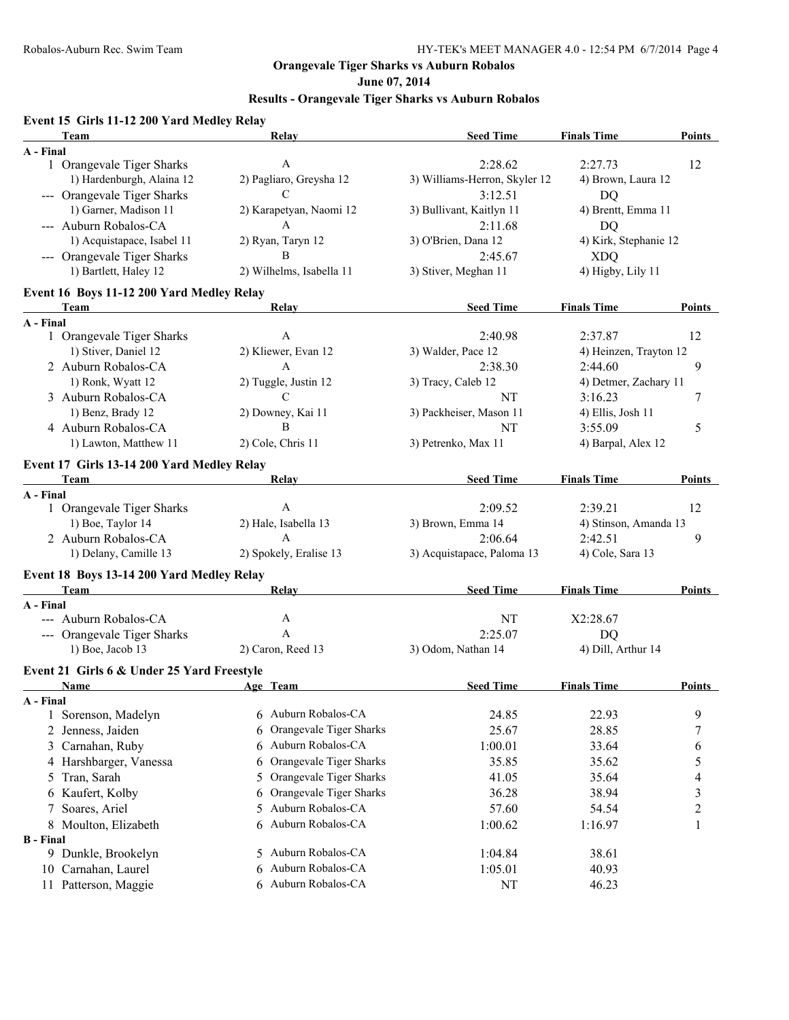### **June 07, 2014**

## **Results - Orangevale Tiger Sharks vs Auburn Robalos**

#### **Event 15 Girls 11-12 200 Yard Medley Relay**

| Team                                              | <b>Relay</b>                 | <b>Seed Time</b>              | <b>Finals Time</b>     | <b>Points</b> |
|---------------------------------------------------|------------------------------|-------------------------------|------------------------|---------------|
| A - Final                                         |                              |                               |                        |               |
| 1 Orangevale Tiger Sharks                         | A                            | 2:28.62                       | 2:27.73                | 12            |
| 1) Hardenburgh, Alaina 12                         | 2) Pagliaro, Greysha 12      | 3) Williams-Herron, Skyler 12 | 4) Brown, Laura 12     |               |
| --- Orangevale Tiger Sharks                       | $\mathcal{C}$                | 3:12.51                       | DQ                     |               |
| 1) Garner, Madison 11                             | 2) Karapetyan, Naomi 12      | 3) Bullivant, Kaitlyn 11      | 4) Brentt, Emma 11     |               |
| --- Auburn Robalos-CA                             | A                            | 2:11.68                       | DQ                     |               |
| 1) Acquistapace, Isabel 11                        | 2) Ryan, Taryn 12            | 3) O'Brien, Dana 12           | 4) Kirk, Stephanie 12  |               |
| --- Orangevale Tiger Sharks                       | B                            | 2:45.67                       | <b>XDQ</b>             |               |
| 1) Bartlett, Haley 12                             | 2) Wilhelms, Isabella 11     | 3) Stiver, Meghan 11          | 4) Higby, Lily 11      |               |
| Event 16 Boys 11-12 200 Yard Medley Relay         |                              |                               |                        |               |
| Team                                              | Relay                        | <b>Seed Time</b>              | <b>Finals Time</b>     | Points        |
| A - Final                                         |                              |                               |                        |               |
| 1 Orangevale Tiger Sharks                         | A                            | 2:40.98                       | 2:37.87                | 12            |
| 1) Stiver, Daniel 12                              | 2) Kliewer, Evan 12          | 3) Walder, Pace 12            | 4) Heinzen, Trayton 12 |               |
| 2 Auburn Robalos-CA                               | A                            | 2:38.30                       | 2:44.60                | 9             |
| 1) Ronk, Wyatt 12                                 | 2) Tuggle, Justin 12         | 3) Tracy, Caleb 12            | 4) Detmer, Zachary 11  |               |
| 3 Auburn Robalos-CA                               | $\mathcal{C}$                | NT                            | 3:16.23                | 7             |
| 1) Benz, Brady 12                                 | 2) Downey, Kai 11            | 3) Packheiser, Mason 11       | 4) Ellis, Josh 11      |               |
| 4 Auburn Robalos-CA                               | B                            | NT                            | 3:55.09                | 5             |
| 1) Lawton, Matthew 11                             | 2) Cole, Chris 11            | 3) Petrenko, Max 11           | 4) Barpal, Alex 12     |               |
| Event 17 Girls 13-14 200 Yard Medley Relay        |                              |                               |                        |               |
| Team                                              | Relay                        | <b>Seed Time</b>              | <b>Finals Time</b>     | <b>Points</b> |
| A - Final                                         |                              |                               |                        |               |
| 1 Orangevale Tiger Sharks                         | $\mathbf{A}$                 | 2:09.52                       | 2:39.21                | 12            |
| 1) Boe, Taylor 14                                 | 2) Hale, Isabella 13         | 3) Brown, Emma 14             | 4) Stinson, Amanda 13  |               |
| 2 Auburn Robalos-CA                               | A                            | 2:06.64                       | 2:42.51                | 9             |
| 1) Delany, Camille 13                             | 2) Spokely, Eralise 13       | 3) Acquistapace, Paloma 13    | 4) Cole, Sara 13       |               |
|                                                   |                              |                               |                        |               |
| Event 18 Boys 13-14 200 Yard Medley Relay<br>Team | Relay                        | <b>Seed Time</b>              | <b>Finals Time</b>     | Points        |
| A - Final                                         |                              |                               |                        |               |
| --- Auburn Robalos-CA                             | A                            | NT                            | X2:28.67               |               |
| --- Orangevale Tiger Sharks                       | $\overline{A}$               | 2:25.07                       | DQ                     |               |
| 1) Boe, Jacob 13                                  | 2) Caron, Reed 13            | 3) Odom, Nathan 14            | 4) Dill, Arthur 14     |               |
|                                                   |                              |                               |                        |               |
| Event 21 Girls 6 & Under 25 Yard Freestyle        |                              |                               |                        |               |
| Name                                              | Age Team                     | <b>Seed Time</b>              | <b>Finals Time</b>     | Points        |
| A - Final<br>Sorenson, Madelyn                    | Auburn Robalos-CA            |                               | 22.93                  | 9             |
| $\bf{l}$                                          | 6<br>Orangevale Tiger Sharks | 24.85                         |                        |               |
| 2 Jenness, Jaiden                                 | 6                            | 25.67                         | 28.85                  | 7             |
| Carnahan, Ruby<br>3                               | Auburn Robalos-CA<br>6       | 1:00.01                       | 33.64                  | 6             |
| Harshbarger, Vanessa<br>4                         | Orangevale Tiger Sharks<br>6 | 35.85                         | 35.62                  | 5             |
| Tran, Sarah<br>5                                  | Orangevale Tiger Sharks<br>5 | 41.05                         | 35.64                  | 4             |
| Kaufert, Kolby<br>6                               | Orangevale Tiger Sharks<br>6 | 36.28                         | 38.94                  | 3             |
| Soares, Ariel<br>7                                | Auburn Robalos-CA<br>5       | 57.60                         | 54.54                  | 2             |
| Moulton, Elizabeth<br>8                           | Auburn Robalos-CA<br>6       | 1:00.62                       | 1:16.97                | 1             |
| <b>B</b> - Final                                  |                              |                               |                        |               |
| 9 Dunkle, Brookelyn                               | 5 Auburn Robalos-CA          | 1:04.84                       | 38.61                  |               |
| 10 Carnahan, Laurel                               | Auburn Robalos-CA<br>6       | 1:05.01                       | 40.93                  |               |
| 11 Patterson, Maggie                              | 6 Auburn Robalos-CA          | NT                            | 46.23                  |               |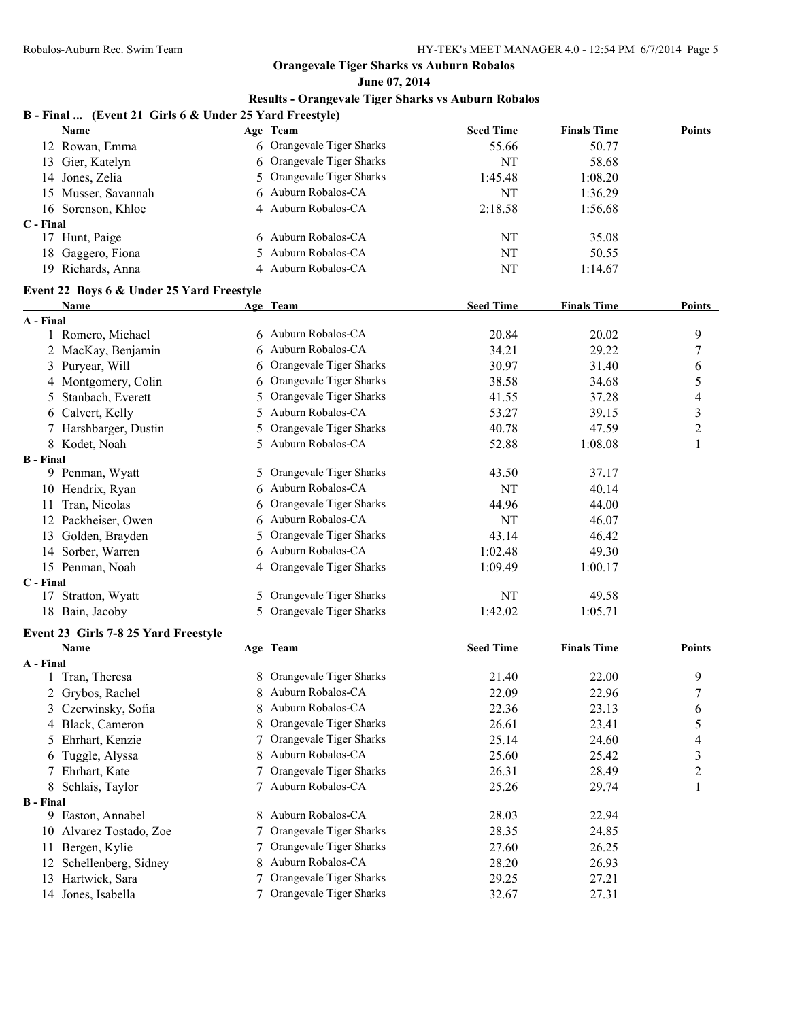**June 07, 2014**

## **Results - Orangevale Tiger Sharks vs Auburn Robalos**

### **B - Final ... (Event 21 Girls 6 & Under 25 Yard Freestyle)**

|                  | Name                                         |    | Age Team                                         | <b>Seed Time</b> | <b>Finals Time</b> | <b>Points</b>       |
|------------------|----------------------------------------------|----|--------------------------------------------------|------------------|--------------------|---------------------|
|                  | 12 Rowan, Emma                               |    | 6 Orangevale Tiger Sharks                        | 55.66            | 50.77              |                     |
|                  | 13 Gier, Katelyn                             |    | 6 Orangevale Tiger Sharks                        | NT               | 58.68              |                     |
|                  | 14 Jones, Zelia                              |    | 5 Orangevale Tiger Sharks                        | 1:45.48          | 1:08.20            |                     |
|                  | 15 Musser, Savannah                          |    | 6 Auburn Robalos-CA                              | NT               | 1:36.29            |                     |
|                  | 16 Sorenson, Khloe                           |    | 4 Auburn Robalos-CA                              | 2:18.58          | 1:56.68            |                     |
| C - Final        |                                              |    |                                                  |                  |                    |                     |
|                  | 17 Hunt, Paige                               |    | 6 Auburn Robalos-CA                              | NT               | 35.08              |                     |
|                  | 18 Gaggero, Fiona                            | 5. | Auburn Robalos-CA                                | NT               | 50.55              |                     |
|                  | 19 Richards, Anna                            |    | Auburn Robalos-CA                                | <b>NT</b>        | 1:14.67            |                     |
|                  | Event 22 Boys 6 & Under 25 Yard Freestyle    |    |                                                  |                  |                    |                     |
|                  | Name                                         |    | Age Team                                         | <b>Seed Time</b> | <b>Finals Time</b> | <b>Points</b>       |
| A - Final        |                                              |    |                                                  |                  |                    |                     |
|                  | 1 Romero, Michael                            |    | 6 Auburn Robalos-CA                              | 20.84            | 20.02              | 9                   |
|                  | 2 MacKay, Benjamin                           |    | 6 Auburn Robalos-CA                              | 34.21            | 29.22              | $\overline{7}$      |
|                  | 3 Puryear, Will                              |    | 6 Orangevale Tiger Sharks                        | 30.97            | 31.40              | 6                   |
|                  | 4 Montgomery, Colin                          |    | 6 Orangevale Tiger Sharks                        | 38.58            | 34.68              | 5                   |
|                  | 5 Stanbach, Everett                          | 5. | Orangevale Tiger Sharks                          | 41.55            | 37.28              | 4                   |
|                  | 6 Calvert, Kelly                             | 5. | Auburn Robalos-CA                                | 53.27            | 39.15              | $\mathfrak{Z}$      |
|                  | 7 Harshbarger, Dustin                        |    | 5 Orangevale Tiger Sharks                        | 40.78            | 47.59              | $\mathfrak{2}$      |
|                  | 8 Kodet, Noah                                |    | 5 Auburn Robalos-CA                              | 52.88            | 1:08.08            | 1                   |
| <b>B</b> - Final |                                              |    |                                                  |                  |                    |                     |
|                  | 9 Penman, Wyatt                              |    | 5 Orangevale Tiger Sharks                        | 43.50            | 37.17              |                     |
|                  | 10 Hendrix, Ryan                             |    | 6 Auburn Robalos-CA                              | NT               | 40.14              |                     |
|                  | 11 Tran, Nicolas                             |    | 6 Orangevale Tiger Sharks                        | 44.96            | 44.00              |                     |
|                  | 12 Packheiser, Owen                          |    | 6 Auburn Robalos-CA                              | <b>NT</b>        | 46.07              |                     |
|                  | 13 Golden, Brayden                           |    | 5 Orangevale Tiger Sharks                        | 43.14            | 46.42              |                     |
|                  | 14 Sorber, Warren                            |    | 6 Auburn Robalos-CA                              | 1:02.48          | 49.30              |                     |
|                  | 15 Penman, Noah                              |    | 4 Orangevale Tiger Sharks                        | 1:09.49          | 1:00.17            |                     |
| C - Final        |                                              |    |                                                  |                  |                    |                     |
|                  | 17 Stratton, Wyatt                           |    | 5 Orangevale Tiger Sharks                        | NT               | 49.58              |                     |
|                  | 18 Bain, Jacoby                              |    | 5 Orangevale Tiger Sharks                        | 1:42.02          | 1:05.71            |                     |
|                  | Event 23 Girls 7-8 25 Yard Freestyle         |    |                                                  |                  |                    |                     |
|                  | Name                                         |    | Age Team                                         | <b>Seed Time</b> | <b>Finals Time</b> | <b>Points</b>       |
| A - Final        |                                              |    |                                                  |                  |                    |                     |
|                  | Tran, Theresa                                |    | 8 Orangevale Tiger Sharks<br>8 Auburn Robalos-CA | 21.40            | 22.00              | 9<br>$\overline{7}$ |
|                  | 2 Grybos, Rachel                             |    |                                                  | 22.09            | 22.96              |                     |
|                  | 3 Czerwinsky, Sofia                          | 8  | Auburn Robalos-CA                                | 22.36            | 23.13              | 6                   |
|                  | 4 Black, Cameron                             |    | Orangevale Tiger Sharks                          | 26.61            | 23.41              | 5                   |
|                  | 5 Ehrhart, Kenzie                            | 7  | Orangevale Tiger Sharks                          | 25.14            | 24.60              | 4                   |
|                  | 6 Tuggle, Alyssa                             |    | Auburn Robalos-CA                                | 25.60            | 25.42              | 3                   |
|                  | 7 Ehrhart, Kate                              |    | Orangevale Tiger Sharks                          | 26.31            | 28.49              | $\overline{c}$      |
|                  | 8 Schlais, Taylor                            |    | Auburn Robalos-CA                                | 25.26            | 29.74              | 1                   |
| <b>B</b> - Final |                                              |    | Auburn Robalos-CA                                |                  | 22.94              |                     |
|                  | 9 Easton, Annabel<br>10 Alvarez Tostado, Zoe | 8  | Orangevale Tiger Sharks                          | 28.03<br>28.35   | 24.85              |                     |
|                  |                                              |    | Orangevale Tiger Sharks                          | 27.60            | 26.25              |                     |
|                  | 11 Bergen, Kylie                             |    | Auburn Robalos-CA                                |                  |                    |                     |
|                  | 12 Schellenberg, Sidney                      | 8  |                                                  | 28.20            | 26.93              |                     |
|                  | 13 Hartwick, Sara                            |    | Orangevale Tiger Sharks                          | 29.25            | 27.21              |                     |
|                  | 14 Jones, Isabella                           |    | Orangevale Tiger Sharks                          | 32.67            | 27.31              |                     |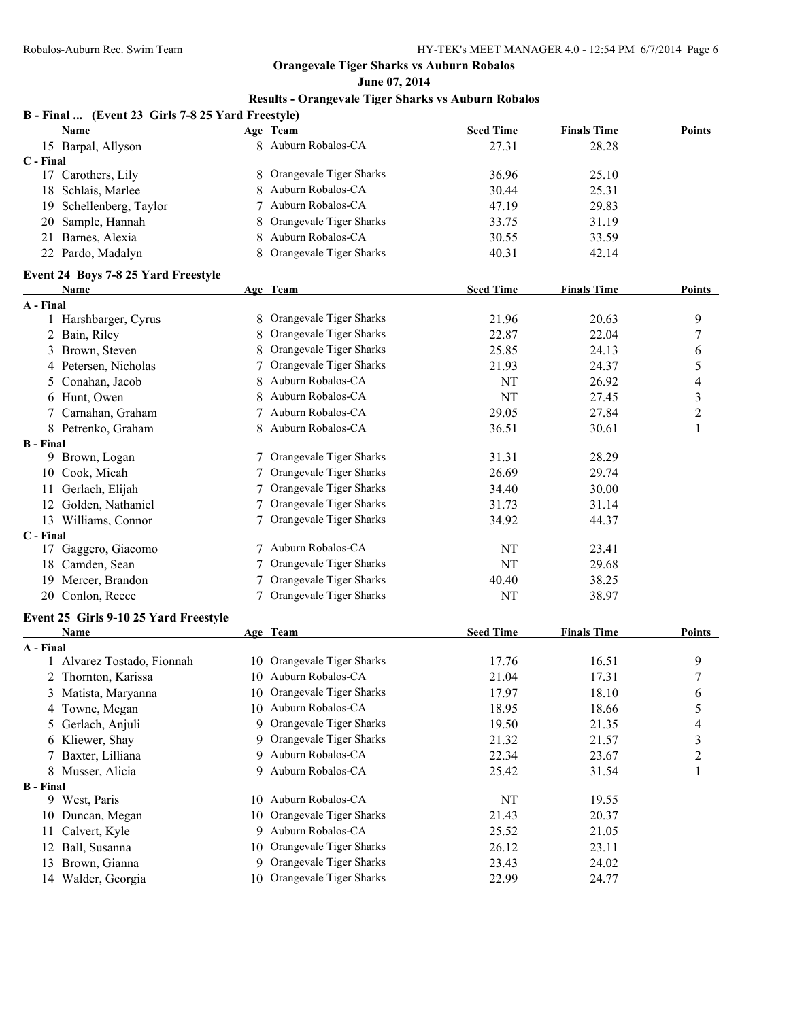**June 07, 2014**

| B - Final  (Event 23 Girls 7-8 25 Yard Freestyle) |    |                            |                  |                    |                |
|---------------------------------------------------|----|----------------------------|------------------|--------------------|----------------|
| Name                                              |    | Age Team                   | <b>Seed Time</b> | <b>Finals Time</b> | Points         |
| 15 Barpal, Allyson                                |    | 8 Auburn Robalos-CA        | 27.31            | 28.28              |                |
| C - Final                                         |    |                            |                  |                    |                |
| 17 Carothers, Lily                                |    | 8 Orangevale Tiger Sharks  | 36.96            | 25.10              |                |
| 18 Schlais, Marlee                                |    | Auburn Robalos-CA          | 30.44            | 25.31              |                |
| 19 Schellenberg, Taylor                           | 7  | Auburn Robalos-CA          | 47.19            | 29.83              |                |
| Sample, Hannah<br>20                              |    | Orangevale Tiger Sharks    | 33.75            | 31.19              |                |
| 21 Barnes, Alexia                                 |    | Auburn Robalos-CA          | 30.55            | 33.59              |                |
| 22 Pardo, Madalyn                                 |    | Orangevale Tiger Sharks    | 40.31            | 42.14              |                |
| Event 24 Boys 7-8 25 Yard Freestyle               |    |                            |                  |                    |                |
| Name                                              |    | Age Team                   | <b>Seed Time</b> | <b>Finals Time</b> | Points         |
| A - Final                                         |    |                            |                  |                    |                |
| 1 Harshbarger, Cyrus                              |    | 8 Orangevale Tiger Sharks  | 21.96            | 20.63              | 9              |
| 2 Bain, Riley                                     | 8  | Orangevale Tiger Sharks    | 22.87            | 22.04              | $\overline{7}$ |
| 3 Brown, Steven                                   | 8  | Orangevale Tiger Sharks    | 25.85            | 24.13              | 6              |
| 4 Petersen, Nicholas                              | 7  | Orangevale Tiger Sharks    | 21.93            | 24.37              | 5              |
| Conahan, Jacob<br>5                               | 8  | Auburn Robalos-CA          | NT               | 26.92              | $\overline{4}$ |
| 6 Hunt, Owen                                      | 8  | Auburn Robalos-CA          | NT               | 27.45              | $\mathfrak{Z}$ |
| Carnahan, Graham<br>7                             |    | 7 Auburn Robalos-CA        | 29.05            | 27.84              | $\sqrt{2}$     |
| 8 Petrenko, Graham                                |    | 8 Auburn Robalos-CA        | 36.51            | 30.61              | $\mathbf{1}$   |
| <b>B</b> - Final                                  |    |                            |                  |                    |                |
| 9 Brown, Logan                                    |    | 7 Orangevale Tiger Sharks  | 31.31            | 28.29              |                |
| 10 Cook, Micah                                    | 7  | Orangevale Tiger Sharks    | 26.69            | 29.74              |                |
| Gerlach, Elijah<br>11                             |    | 7 Orangevale Tiger Sharks  | 34.40            | 30.00              |                |
| 12 Golden, Nathaniel                              |    | 7 Orangevale Tiger Sharks  | 31.73            | 31.14              |                |
| 13 Williams, Connor                               |    | 7 Orangevale Tiger Sharks  | 34.92            | 44.37              |                |
| C - Final                                         |    |                            |                  |                    |                |
| 17 Gaggero, Giacomo                               |    | 7 Auburn Robalos-CA        | NT               | 23.41              |                |
| 18 Camden, Sean                                   |    | Orangevale Tiger Sharks    | NT               | 29.68              |                |
| 19 Mercer, Brandon                                |    | 7 Orangevale Tiger Sharks  | 40.40            | 38.25              |                |
| 20 Conlon, Reece                                  |    | 7 Orangevale Tiger Sharks  | NT               | 38.97              |                |
| Event 25 Girls 9-10 25 Yard Freestyle             |    |                            |                  |                    |                |
| <b>Name</b>                                       |    | Age Team                   | <b>Seed Time</b> | <b>Finals Time</b> | <b>Points</b>  |
| A - Final                                         |    |                            |                  |                    |                |
| Alvarez Tostado, Fionnah                          |    | 10 Orangevale Tiger Sharks | 17.76            | 16.51              | 9              |
| 2 Thornton, Karissa                               |    | 10 Auburn Robalos-CA       | 21.04            | 17.31              | 7              |
| 3 Matista, Maryanna                               |    | 10 Orangevale Tiger Sharks | 17.97            | 18.10              | 6              |
| 4 Towne, Megan                                    |    | 10 Auburn Robalos-CA       | 18.95            | 18.66              | 5              |
| 5 Gerlach, Anjuli                                 | 9. | Orangevale Tiger Sharks    | 19.50            | 21.35              | 4              |
| 6 Kliewer, Shay                                   |    | 9 Orangevale Tiger Sharks  | 21.32            | 21.57              | $\mathfrak{Z}$ |
| 7 Baxter, Lilliana                                |    | 9 Auburn Robalos-CA        | 22.34            | 23.67              | $\overline{c}$ |
| 8 Musser, Alicia                                  |    | 9 Auburn Robalos-CA        | 25.42            | 31.54              | $\mathbf{1}$   |
| <b>B</b> - Final                                  |    |                            |                  |                    |                |
| 9 West, Paris                                     |    | 10 Auburn Robalos-CA       | NT               | 19.55              |                |
| 10 Duncan, Megan                                  |    | 10 Orangevale Tiger Sharks | 21.43            | 20.37              |                |
| Calvert, Kyle<br>11                               |    | 9 Auburn Robalos-CA        | 25.52            | 21.05              |                |
| 12 Ball, Susanna                                  | 10 | Orangevale Tiger Sharks    | 26.12            | 23.11              |                |
| 13 Brown, Gianna                                  | 9. | Orangevale Tiger Sharks    | 23.43            | 24.02              |                |
| 14 Walder, Georgia                                |    | 10 Orangevale Tiger Sharks | 22.99            | 24.77              |                |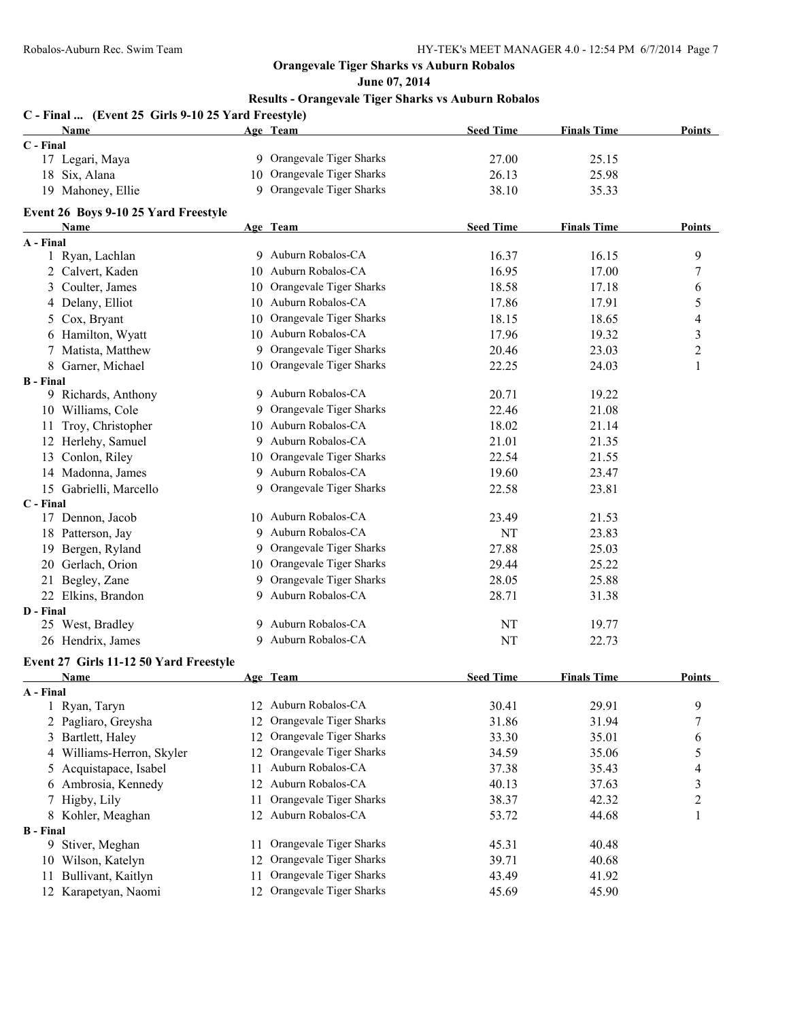**June 07, 2014**

| C - Final  (Event 25 Girls 9-10 25 Yard Freestyle)<br><b>Name</b> |    | Age Team                   | <b>Seed Time</b> | <b>Finals Time</b> | <b>Points</b>            |
|-------------------------------------------------------------------|----|----------------------------|------------------|--------------------|--------------------------|
| C - Final                                                         |    |                            |                  |                    |                          |
| 17 Legari, Maya                                                   |    | 9 Orangevale Tiger Sharks  | 27.00            | 25.15              |                          |
| 18 Six, Alana                                                     |    | 10 Orangevale Tiger Sharks | 26.13            | 25.98              |                          |
| 19 Mahoney, Ellie                                                 |    | 9 Orangevale Tiger Sharks  | 38.10            | 35.33              |                          |
| Event 26 Boys 9-10 25 Yard Freestyle                              |    |                            |                  |                    |                          |
| Name                                                              |    | Age Team                   | <b>Seed Time</b> | <b>Finals Time</b> | <b>Points</b>            |
| A - Final                                                         |    |                            |                  |                    |                          |
| 1 Ryan, Lachlan                                                   |    | 9 Auburn Robalos-CA        | 16.37            | 16.15              | 9                        |
| 2 Calvert, Kaden                                                  |    | 10 Auburn Robalos-CA       | 16.95            | 17.00              | $\boldsymbol{7}$         |
| 3 Coulter, James                                                  |    | 10 Orangevale Tiger Sharks | 18.58            | 17.18              | 6                        |
| 4 Delany, Elliot                                                  |    | 10 Auburn Robalos-CA       | 17.86            | 17.91              | 5                        |
| 5 Cox, Bryant                                                     |    | 10 Orangevale Tiger Sharks | 18.15            | 18.65              | $\overline{\mathcal{A}}$ |
| 6 Hamilton, Wyatt                                                 |    | 10 Auburn Robalos-CA       | 17.96            | 19.32              | 3                        |
| 7 Matista, Matthew                                                |    | 9 Orangevale Tiger Sharks  | 20.46            | 23.03              | $\overline{c}$           |
| 8 Garner, Michael                                                 |    | 10 Orangevale Tiger Sharks | 22.25            | 24.03              | 1                        |
| <b>B</b> - Final                                                  |    |                            |                  |                    |                          |
| 9 Richards, Anthony                                               |    | 9 Auburn Robalos-CA        | 20.71            | 19.22              |                          |
| 10 Williams, Cole                                                 |    | 9 Orangevale Tiger Sharks  | 22.46            | 21.08              |                          |
| 11 Troy, Christopher                                              |    | 10 Auburn Robalos-CA       | 18.02            | 21.14              |                          |
| 12 Herlehy, Samuel                                                | 9. | Auburn Robalos-CA          | 21.01            | 21.35              |                          |
| 13 Conlon, Riley                                                  |    | 10 Orangevale Tiger Sharks | 22.54            | 21.55              |                          |
| 14 Madonna, James                                                 | 9. | Auburn Robalos-CA          | 19.60            | 23.47              |                          |
| 15 Gabrielli, Marcello                                            |    | 9 Orangevale Tiger Sharks  | 22.58            | 23.81              |                          |
| C - Final                                                         |    |                            |                  |                    |                          |
| 17 Dennon, Jacob                                                  |    | 10 Auburn Robalos-CA       | 23.49            | 21.53              |                          |
| 18 Patterson, Jay                                                 | 9. | Auburn Robalos-CA          | NT               | 23.83              |                          |
| 19 Bergen, Ryland                                                 |    | 9 Orangevale Tiger Sharks  | 27.88            | 25.03              |                          |
| 20 Gerlach, Orion                                                 |    | 10 Orangevale Tiger Sharks | 29.44            | 25.22              |                          |
| Begley, Zane<br>21                                                |    | 9 Orangevale Tiger Sharks  | 28.05            | 25.88              |                          |
| 22 Elkins, Brandon                                                |    | 9 Auburn Robalos-CA        | 28.71            | 31.38              |                          |
| D - Final                                                         |    |                            |                  |                    |                          |
| 25 West, Bradley                                                  |    | 9 Auburn Robalos-CA        | NT               | 19.77              |                          |
| 26 Hendrix, James                                                 |    | 9 Auburn Robalos-CA        | NT               | 22.73              |                          |
| Event 27 Girls 11-12 50 Yard Freestyle                            |    |                            |                  |                    |                          |
| Name                                                              |    | Age Team                   | <b>Seed Time</b> | <b>Finals Time</b> | Points                   |
| A - Final                                                         |    |                            |                  |                    |                          |
| 1 Ryan, Taryn                                                     |    | 12 Auburn Robalos-CA       | 30.41            | 29.91              | 9                        |
| 2 Pagliaro, Greysha                                               | 12 | Orangevale Tiger Sharks    | 31.86            | 31.94              | $\boldsymbol{7}$         |
| 3 Bartlett, Haley                                                 | 12 | Orangevale Tiger Sharks    | 33.30            | 35.01              | 6                        |
| 4 Williams-Herron, Skyler                                         | 12 | Orangevale Tiger Sharks    | 34.59            | 35.06              | 5                        |
| Acquistapace, Isabel<br>5                                         | 11 | Auburn Robalos-CA          | 37.38            | 35.43              | $\overline{\mathcal{L}}$ |
| 6 Ambrosia, Kennedy                                               | 12 | Auburn Robalos-CA          | 40.13            | 37.63              | 3                        |
| Higby, Lily<br>7                                                  | 11 | Orangevale Tiger Sharks    | 38.37            | 42.32              | $\overline{c}$           |
| 8 Kohler, Meaghan                                                 |    | 12 Auburn Robalos-CA       | 53.72            | 44.68              | $\mathbf{1}$             |
| <b>B</b> - Final                                                  |    |                            |                  |                    |                          |
| 9 Stiver, Meghan                                                  | 11 | Orangevale Tiger Sharks    | 45.31            | 40.48              |                          |
| 10 Wilson, Katelyn                                                | 12 | Orangevale Tiger Sharks    | 39.71            | 40.68              |                          |
| Bullivant, Kaitlyn<br>11                                          | 11 | Orangevale Tiger Sharks    | 43.49            | 41.92              |                          |
| 12 Karapetyan, Naomi                                              |    | 12 Orangevale Tiger Sharks | 45.69            | 45.90              |                          |
|                                                                   |    |                            |                  |                    |                          |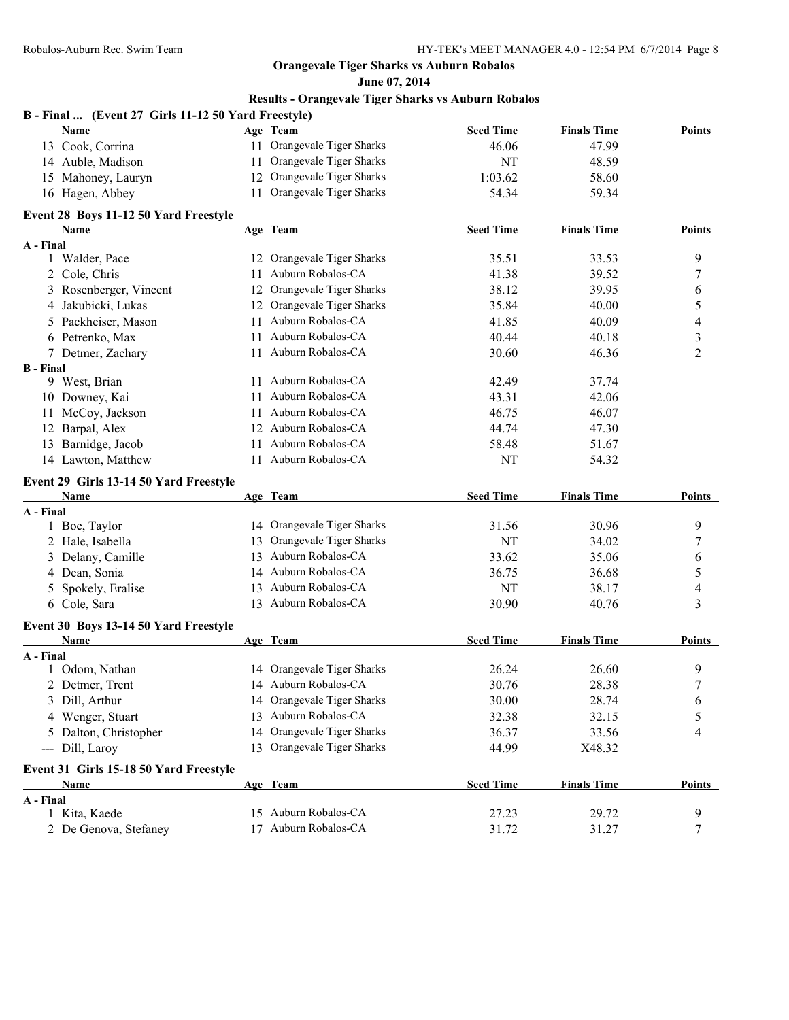#### **June 07, 2014**

| B - Final  (Event 27 Girls 11-12 50 Yard Freestyle)<br>Name |    | Age Team                   | <b>Seed Time</b> | <b>Finals Time</b> | <b>Points</b>            |
|-------------------------------------------------------------|----|----------------------------|------------------|--------------------|--------------------------|
| 13 Cook, Corrina                                            |    | 11 Orangevale Tiger Sharks | 46.06            | 47.99              |                          |
| 14 Auble, Madison                                           |    | 11 Orangevale Tiger Sharks | NT               | 48.59              |                          |
| 15 Mahoney, Lauryn                                          |    | 12 Orangevale Tiger Sharks | 1:03.62          | 58.60              |                          |
| 16 Hagen, Abbey                                             |    | 11 Orangevale Tiger Sharks | 54.34            | 59.34              |                          |
|                                                             |    |                            |                  |                    |                          |
| Event 28 Boys 11-12 50 Yard Freestyle<br>Name               |    | Age Team                   | <b>Seed Time</b> | <b>Finals Time</b> | Points                   |
| A - Final                                                   |    |                            |                  |                    |                          |
| 1 Walder, Pace                                              |    | 12 Orangevale Tiger Sharks | 35.51            | 33.53              | 9                        |
| 2 Cole, Chris                                               |    | 11 Auburn Robalos-CA       | 41.38            | 39.52              | $\boldsymbol{7}$         |
| 3 Rosenberger, Vincent                                      |    | 12 Orangevale Tiger Sharks | 38.12            | 39.95              | 6                        |
| 4 Jakubicki, Lukas                                          |    | 12 Orangevale Tiger Sharks | 35.84            | 40.00              | 5                        |
| 5 Packheiser, Mason                                         | 11 | Auburn Robalos-CA          | 41.85            | 40.09              | $\overline{\mathcal{L}}$ |
| 6 Petrenko, Max                                             |    | 11 Auburn Robalos-CA       | 40.44            | 40.18              | $\overline{\mathbf{3}}$  |
| 7 Detmer, Zachary                                           |    | 11 Auburn Robalos-CA       | 30.60            | 46.36              | $\overline{2}$           |
| <b>B</b> - Final                                            |    |                            |                  |                    |                          |
| 9 West, Brian                                               |    | 11 Auburn Robalos-CA       | 42.49            | 37.74              |                          |
| 10 Downey, Kai                                              | 11 | Auburn Robalos-CA          | 43.31            | 42.06              |                          |
| McCoy, Jackson<br>11                                        |    | 11 Auburn Robalos-CA       | 46.75            | 46.07              |                          |
| 12 Barpal, Alex                                             |    | 12 Auburn Robalos-CA       | 44.74            | 47.30              |                          |
| 13 Barnidge, Jacob                                          |    | 11 Auburn Robalos-CA       | 58.48            | 51.67              |                          |
| 14 Lawton, Matthew                                          |    | 11 Auburn Robalos-CA       | NT               | 54.32              |                          |
| Event 29 Girls 13-14 50 Yard Freestyle                      |    |                            |                  |                    |                          |
| Name                                                        |    | Age Team                   | <b>Seed Time</b> | <b>Finals Time</b> | Points                   |
| A - Final                                                   |    |                            |                  |                    |                          |
| 1 Boe, Taylor                                               |    | 14 Orangevale Tiger Sharks | 31.56            | 30.96              | 9                        |
| 2 Hale, Isabella                                            |    | 13 Orangevale Tiger Sharks | NT               | 34.02              | 7                        |
| 3 Delany, Camille                                           | 13 | Auburn Robalos-CA          | 33.62            | 35.06              | 6                        |
| 4 Dean, Sonia                                               |    | 14 Auburn Robalos-CA       | 36.75            | 36.68              | 5                        |
| 5 Spokely, Eralise                                          |    | 13 Auburn Robalos-CA       | NT               | 38.17              | 4                        |
| 6 Cole, Sara                                                |    | 13 Auburn Robalos-CA       | 30.90            | 40.76              | 3                        |
| Event 30 Boys 13-14 50 Yard Freestyle                       |    |                            |                  |                    |                          |
| Name                                                        |    | Age Team                   | <b>Seed Time</b> | <b>Finals Time</b> | Points                   |
| A - Final                                                   |    |                            |                  |                    |                          |
| 1 Odom, Nathan                                              |    | 14 Orangevale Tiger Sharks | 26.24            | 26.60              | 9                        |
| 2 Detmer, Trent                                             |    | 14 Auburn Robalos-CA       | 30.76            | 28.38              | $\boldsymbol{7}$         |
| 3 Dill, Arthur                                              |    | 14 Orangevale Tiger Sharks | 30.00            | 28.74              | 6                        |
| 4 Wenger, Stuart                                            | 13 | Auburn Robalos-CA          | 32.38            | 32.15              | 5                        |
| 5 Dalton, Christopher                                       |    | 14 Orangevale Tiger Sharks | 36.37            | 33.56              | 4                        |
| --- Dill, Laroy                                             |    | 13 Orangevale Tiger Sharks | 44.99            | X48.32             |                          |
| Event 31 Girls 15-18 50 Yard Freestyle                      |    |                            |                  |                    |                          |
| Name                                                        |    | Age Team                   | <b>Seed Time</b> | <b>Finals Time</b> | <b>Points</b>            |
| A - Final                                                   |    |                            |                  |                    |                          |
| 1 Kita, Kaede                                               |    | 15 Auburn Robalos-CA       | 27.23            | 29.72              | 9                        |
| 2 De Genova, Stefaney                                       |    | 17 Auburn Robalos-CA       | 31.72            | 31.27              | 7                        |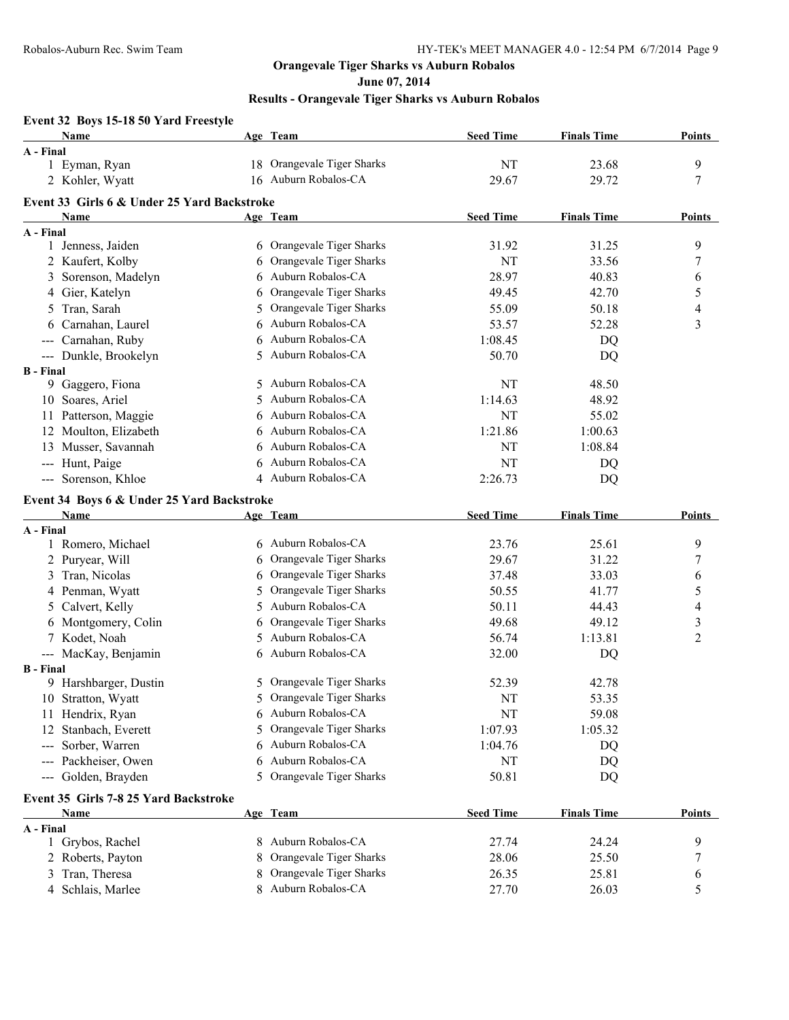#### **June 07, 2014**

## **Results - Orangevale Tiger Sharks vs Auburn Robalos**

#### **Event 32 Boys 15-18 50 Yard Freestyle**

|                  | Name                                        |    | Age Team                   | <b>Seed Time</b> | <b>Finals Time</b> | <b>Points</b>    |
|------------------|---------------------------------------------|----|----------------------------|------------------|--------------------|------------------|
| A - Final        |                                             |    |                            |                  |                    |                  |
|                  | 1 Eyman, Ryan                               |    | 18 Orangevale Tiger Sharks | NT               | 23.68              | 9                |
|                  | 2 Kohler, Wyatt                             |    | 16 Auburn Robalos-CA       | 29.67            | 29.72              | 7                |
|                  | Event 33 Girls 6 & Under 25 Yard Backstroke |    |                            |                  |                    |                  |
|                  | Name                                        |    | Age Team                   | <b>Seed Time</b> | <b>Finals Time</b> | <b>Points</b>    |
| A - Final        |                                             |    |                            |                  |                    |                  |
|                  | 1 Jenness, Jaiden                           |    | Orangevale Tiger Sharks    | 31.92            | 31.25              | 9                |
|                  | 2 Kaufert, Kolby                            | 6  | Orangevale Tiger Sharks    | NT               | 33.56              | $\boldsymbol{7}$ |
| 3                | Sorenson, Madelyn                           | 6  | Auburn Robalos-CA          | 28.97            | 40.83              | 6                |
|                  | 4 Gier, Katelyn                             | 6  | Orangevale Tiger Sharks    | 49.45            | 42.70              | $\sqrt{5}$       |
| 5                | Tran, Sarah                                 | 5  | Orangevale Tiger Sharks    | 55.09            | 50.18              | $\overline{4}$   |
| 6                | Carnahan, Laurel                            | 6  | Auburn Robalos-CA          | 53.57            | 52.28              | 3                |
|                  | --- Carnahan, Ruby                          | 6  | Auburn Robalos-CA          | 1:08.45          | DQ                 |                  |
|                  | --- Dunkle, Brookelyn                       |    | Auburn Robalos-CA          | 50.70            | DQ                 |                  |
| <b>B</b> - Final |                                             |    |                            |                  |                    |                  |
|                  | 9 Gaggero, Fiona                            | 5. | Auburn Robalos-CA          | NT               | 48.50              |                  |
|                  | 10 Soares, Ariel                            |    | Auburn Robalos-CA          | 1:14.63          | 48.92              |                  |
|                  | 11 Patterson, Maggie                        | 6  | Auburn Robalos-CA          | NT               | 55.02              |                  |
|                  | 12 Moulton, Elizabeth                       | 6  | Auburn Robalos-CA          | 1:21.86          | 1:00.63            |                  |
|                  | 13 Musser, Savannah                         | 6  | Auburn Robalos-CA          | NT               | 1:08.84            |                  |
|                  | --- Hunt, Paige                             | 6  | Auburn Robalos-CA          | NT               | DQ                 |                  |
|                  | --- Sorenson, Khloe                         |    | 4 Auburn Robalos-CA        | 2:26.73          | DQ                 |                  |
|                  |                                             |    |                            |                  |                    |                  |
|                  | Event 34 Boys 6 & Under 25 Yard Backstroke  |    |                            |                  |                    |                  |
|                  | <b>Name</b>                                 |    | Age Team                   | <b>Seed Time</b> | <b>Finals Time</b> | Points           |
| A - Final        |                                             |    |                            |                  |                    |                  |
|                  | 1 Romero, Michael                           |    | 6 Auburn Robalos-CA        | 23.76            | 25.61              | 9                |
|                  | 2 Puryear, Will                             | 6  | Orangevale Tiger Sharks    | 29.67            | 31.22              | $\boldsymbol{7}$ |
| 3                | Tran, Nicolas                               | 6  | Orangevale Tiger Sharks    | 37.48            | 33.03              | 6                |
|                  | 4 Penman, Wyatt                             | 5  | Orangevale Tiger Sharks    | 50.55            | 41.77              | 5                |
| 5                | Calvert, Kelly                              | 5  | Auburn Robalos-CA          | 50.11            | 44.43              | $\overline{4}$   |
|                  | 6 Montgomery, Colin                         | 6  | Orangevale Tiger Sharks    | 49.68            | 49.12              | 3                |
|                  | Kodet, Noah                                 | 5. | Auburn Robalos-CA          | 56.74            | 1:13.81            | $\overline{2}$   |
|                  | --- MacKay, Benjamin                        | 6  | Auburn Robalos-CA          | 32.00            | DQ                 |                  |
| <b>B</b> - Final |                                             |    |                            |                  |                    |                  |
|                  | 9 Harshbarger, Dustin                       |    | 5 Orangevale Tiger Sharks  | 52.39            | 42.78              |                  |
|                  | 10 Stratton, Wyatt                          |    | 5 Orangevale Tiger Sharks  | NT               | 53.35              |                  |
|                  | 11 Hendrix, Ryan                            | 6  | Auburn Robalos-CA          | NT               | 59.08              |                  |
|                  | 12 Stanbach, Everett                        | 5  | Orangevale Tiger Sharks    | 1:07.93          | 1:05.32            |                  |
|                  | --- Sorber, Warren                          | 6  | Auburn Robalos-CA          | 1:04.76          | DQ                 |                  |
|                  | --- Packheiser, Owen                        | 6  | Auburn Robalos-CA          | NT               | DQ                 |                  |
|                  | --- Golden, Brayden                         | 5. | Orangevale Tiger Sharks    | 50.81            | DQ                 |                  |
|                  | Event 35 Girls 7-8 25 Yard Backstroke       |    |                            |                  |                    |                  |
|                  | Name                                        |    | Age Team                   | <b>Seed Time</b> | <b>Finals Time</b> | Points           |
| A - Final        |                                             |    |                            |                  |                    |                  |
|                  | 1 Grybos, Rachel                            |    | 8 Auburn Robalos-CA        | 27.74            | 24.24              | 9                |
|                  | 2 Roberts, Payton                           |    | Orangevale Tiger Sharks    | 28.06            | 25.50              | 7                |
| 3                | Tran, Theresa                               |    | Orangevale Tiger Sharks    | 26.35            | 25.81              | 6                |
|                  | 4 Schlais, Marlee                           |    | 8 Auburn Robalos-CA        | 27.70            | 26.03              | 5                |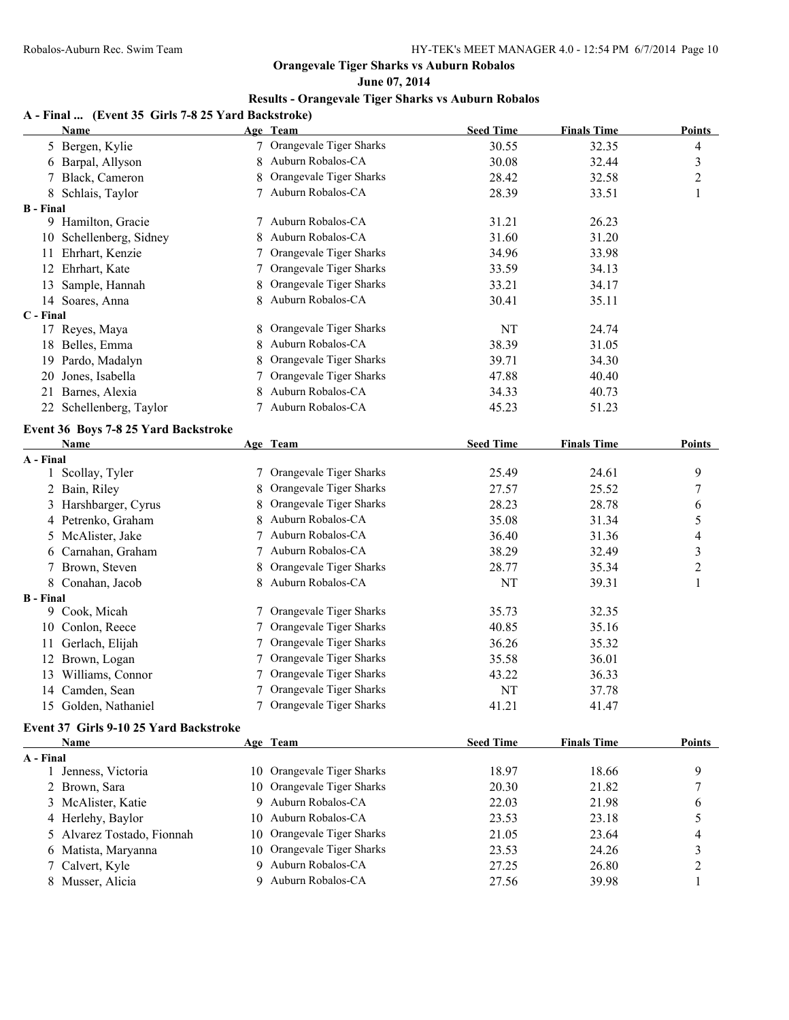#### **June 07, 2014**

## **Results - Orangevale Tiger Sharks vs Auburn Robalos**

#### **A - Final ... (Event 35 Girls 7-8 25 Yard Backstroke)**

|                  | <b>Name</b>                            |    | Age Team                   | <b>Seed Time</b> | <b>Finals Time</b> | <b>Points</b>            |
|------------------|----------------------------------------|----|----------------------------|------------------|--------------------|--------------------------|
|                  | 5 Bergen, Kylie                        |    | 7 Orangevale Tiger Sharks  | 30.55            | 32.35              | 4                        |
|                  | 6 Barpal, Allyson                      | 8  | Auburn Robalos-CA          | 30.08            | 32.44              | 3                        |
|                  | 7 Black, Cameron                       |    | Orangevale Tiger Sharks    | 28.42            | 32.58              | 2                        |
|                  | 8 Schlais, Taylor                      | 7  | Auburn Robalos-CA          | 28.39            | 33.51              | 1                        |
| <b>B</b> - Final |                                        |    |                            |                  |                    |                          |
|                  | 9 Hamilton, Gracie                     | 7  | Auburn Robalos-CA          | 31.21            | 26.23              |                          |
|                  | 10 Schellenberg, Sidney                | 8  | Auburn Robalos-CA          | 31.60            | 31.20              |                          |
|                  | 11 Ehrhart, Kenzie                     | 7  | Orangevale Tiger Sharks    | 34.96            | 33.98              |                          |
|                  | 12 Ehrhart, Kate                       | 7  | Orangevale Tiger Sharks    | 33.59            | 34.13              |                          |
|                  | 13 Sample, Hannah                      |    | Orangevale Tiger Sharks    | 33.21            | 34.17              |                          |
|                  | 14 Soares, Anna                        | 8  | Auburn Robalos-CA          | 30.41            | 35.11              |                          |
| C - Final        |                                        |    |                            |                  |                    |                          |
|                  | 17 Reyes, Maya                         | 8  | Orangevale Tiger Sharks    | NT               | 24.74              |                          |
|                  | 18 Belles, Emma                        | 8  | Auburn Robalos-CA          | 38.39            | 31.05              |                          |
|                  | 19 Pardo, Madalyn                      |    | Orangevale Tiger Sharks    | 39.71            | 34.30              |                          |
|                  | 20 Jones, Isabella                     |    | Orangevale Tiger Sharks    | 47.88            | 40.40              |                          |
|                  | 21 Barnes, Alexia                      |    | Auburn Robalos-CA          | 34.33            | 40.73              |                          |
|                  | 22 Schellenberg, Taylor                |    | 7 Auburn Robalos-CA        | 45.23            | 51.23              |                          |
|                  | Event 36 Boys 7-8 25 Yard Backstroke   |    |                            |                  |                    |                          |
|                  | <b>Name</b>                            |    | Age Team                   | <b>Seed Time</b> | <b>Finals Time</b> | <b>Points</b>            |
| A - Final        |                                        |    |                            |                  |                    |                          |
|                  | 1 Scollay, Tyler                       |    | Orangevale Tiger Sharks    | 25.49            | 24.61              | 9                        |
|                  | 2 Bain, Riley                          |    | Orangevale Tiger Sharks    | 27.57            | 25.52              | 7                        |
|                  | 3 Harshbarger, Cyrus                   |    | Orangevale Tiger Sharks    | 28.23            | 28.78              | 6                        |
|                  | 4 Petrenko, Graham                     |    | Auburn Robalos-CA          | 35.08            | 31.34              | 5                        |
| 5.               | McAlister, Jake                        |    | Auburn Robalos-CA          | 36.40            | 31.36              | $\overline{\mathcal{A}}$ |
|                  | 6 Carnahan, Graham                     | 7  | Auburn Robalos-CA          | 38.29            | 32.49              | 3                        |
|                  | Brown, Steven                          |    | Orangevale Tiger Sharks    | 28.77            | 35.34              | $\boldsymbol{2}$         |
|                  | 8 Conahan, Jacob                       | 8  | Auburn Robalos-CA          | NT               | 39.31              | 1                        |
| <b>B</b> - Final |                                        |    |                            |                  |                    |                          |
|                  | 9 Cook, Micah                          | 7  | Orangevale Tiger Sharks    | 35.73            | 32.35              |                          |
|                  | 10 Conlon, Reece                       |    | Orangevale Tiger Sharks    | 40.85            | 35.16              |                          |
|                  | 11 Gerlach, Elijah                     |    | Orangevale Tiger Sharks    | 36.26            | 35.32              |                          |
|                  | 12 Brown, Logan                        |    | Orangevale Tiger Sharks    | 35.58            | 36.01              |                          |
|                  | 13 Williams, Connor                    |    | Orangevale Tiger Sharks    | 43.22            | 36.33              |                          |
|                  | 14 Camden, Sean                        |    | 7 Orangevale Tiger Sharks  | NT               | 37.78              |                          |
|                  | 15 Golden, Nathaniel                   |    | 7 Orangevale Tiger Sharks  | 41.21            | 41.47              |                          |
|                  | Event 37 Girls 9-10 25 Yard Backstroke |    |                            |                  |                    |                          |
|                  | Name                                   |    | Age Team                   | <b>Seed Time</b> | <b>Finals Time</b> | <b>Points</b>            |
| A - Final        |                                        |    |                            |                  |                    |                          |
|                  | 1 Jenness, Victoria                    |    | 10 Orangevale Tiger Sharks | 18.97            | 18.66              | 9                        |
|                  | 2 Brown, Sara                          | 10 | Orangevale Tiger Sharks    | 20.30            | 21.82              | 7                        |
| 3                | McAlister, Katie                       | 9  | Auburn Robalos-CA          | 22.03            | 21.98              | 6                        |
|                  | 4 Herlehy, Baylor                      | 10 | Auburn Robalos-CA          | 23.53            | 23.18              | 5                        |
| 5.               | Alvarez Tostado, Fionnah               | 10 | Orangevale Tiger Sharks    | 21.05            | 23.64              | 4                        |
|                  | 6 Matista, Maryanna                    | 10 | Orangevale Tiger Sharks    | 23.53            | 24.26              | 3                        |
|                  | 7 Calvert, Kyle                        |    | 9 Auburn Robalos-CA        | 27.25            | 26.80              | 2                        |
|                  |                                        |    |                            |                  |                    |                          |

8 Musser, Alicia 19 Auburn Robalos-CA 27.56 39.98 1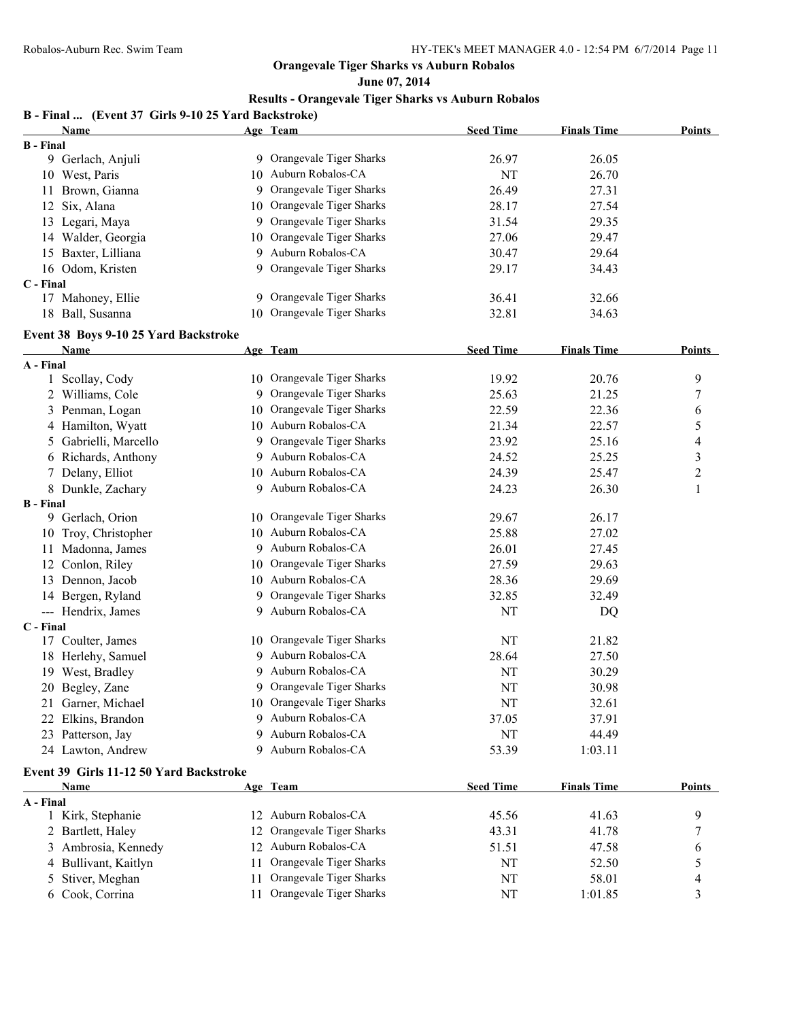**June 07, 2014**

| B - Final  (Event 37 Girls 9-10 25 Yard Backstroke) |    |                                                   |                  |                    |                  |
|-----------------------------------------------------|----|---------------------------------------------------|------------------|--------------------|------------------|
| Name                                                |    | Age Team                                          | <b>Seed Time</b> | <b>Finals Time</b> | <b>Points</b>    |
| <b>B</b> - Final                                    |    |                                                   |                  |                    |                  |
| 9 Gerlach, Anjuli                                   |    | 9 Orangevale Tiger Sharks<br>10 Auburn Robalos-CA | 26.97            | 26.05              |                  |
| 10 West, Paris                                      |    |                                                   | NT               | 26.70              |                  |
| 11 Brown, Gianna                                    |    | 9 Orangevale Tiger Sharks                         | 26.49            | 27.31              |                  |
| 12 Six, Alana                                       |    | 10 Orangevale Tiger Sharks                        | 28.17            | 27.54              |                  |
| 13 Legari, Maya                                     |    | 9 Orangevale Tiger Sharks                         | 31.54            | 29.35              |                  |
| 14 Walder, Georgia                                  |    | 10 Orangevale Tiger Sharks                        | 27.06            | 29.47              |                  |
| 15 Baxter, Lilliana                                 |    | 9 Auburn Robalos-CA                               | 30.47            | 29.64              |                  |
| 16 Odom, Kristen                                    |    | 9 Orangevale Tiger Sharks                         | 29.17            | 34.43              |                  |
| C - Final                                           |    |                                                   |                  |                    |                  |
| 17 Mahoney, Ellie                                   |    | 9 Orangevale Tiger Sharks                         | 36.41            | 32.66              |                  |
| 18 Ball, Susanna                                    |    | 10 Orangevale Tiger Sharks                        | 32.81            | 34.63              |                  |
| Event 38 Boys 9-10 25 Yard Backstroke               |    |                                                   |                  |                    |                  |
| <b>Name</b>                                         |    | Age Team                                          | <b>Seed Time</b> | <b>Finals Time</b> | <b>Points</b>    |
| A - Final                                           |    |                                                   |                  |                    |                  |
| 1 Scollay, Cody                                     |    | 10 Orangevale Tiger Sharks                        | 19.92            | 20.76              | 9                |
| 2 Williams, Cole                                    |    | 9 Orangevale Tiger Sharks                         | 25.63            | 21.25              | $\overline{7}$   |
| 3 Penman, Logan                                     |    | 10 Orangevale Tiger Sharks                        | 22.59            | 22.36              | 6                |
| 4 Hamilton, Wyatt                                   |    | 10 Auburn Robalos-CA                              | 21.34            | 22.57              | 5                |
| 5 Gabrielli, Marcello                               |    | 9 Orangevale Tiger Sharks                         | 23.92            | 25.16              | 4                |
| 6 Richards, Anthony                                 |    | 9 Auburn Robalos-CA                               | 24.52            | 25.25              | $\sqrt{3}$       |
| 7 Delany, Elliot                                    |    | 10 Auburn Robalos-CA                              | 24.39            | 25.47              | $\boldsymbol{2}$ |
| 8 Dunkle, Zachary                                   |    | 9 Auburn Robalos-CA                               | 24.23            | 26.30              | $\,1$            |
| <b>B</b> - Final                                    |    |                                                   |                  |                    |                  |
| 9 Gerlach, Orion                                    |    | 10 Orangevale Tiger Sharks                        | 29.67            | 26.17              |                  |
| Troy, Christopher<br>10                             |    | 10 Auburn Robalos-CA                              | 25.88            | 27.02              |                  |
| Madonna, James<br>11                                |    | 9 Auburn Robalos-CA                               | 26.01            | 27.45              |                  |
| 12 Conlon, Riley                                    | 10 | Orangevale Tiger Sharks                           | 27.59            | 29.63              |                  |
| 13 Dennon, Jacob                                    |    | 10 Auburn Robalos-CA                              | 28.36            | 29.69              |                  |
| 14 Bergen, Ryland                                   |    | 9 Orangevale Tiger Sharks                         | 32.85            | 32.49              |                  |
| --- Hendrix, James                                  |    | 9 Auburn Robalos-CA                               | NT               | DQ                 |                  |
| C - Final                                           |    |                                                   |                  |                    |                  |
| 17 Coulter, James                                   |    | 10 Orangevale Tiger Sharks                        | NT               | 21.82              |                  |
| 18 Herlehy, Samuel                                  |    | 9 Auburn Robalos-CA                               | 28.64            | 27.50              |                  |
| 19 West, Bradley                                    |    | 9 Auburn Robalos-CA                               | NT               | 30.29              |                  |
| 20 Begley, Zane                                     |    | 9 Orangevale Tiger Sharks                         | NT               | 30.98              |                  |
| 21 Garner, Michael                                  | 10 | Orangevale Tiger Sharks                           | NT               | 32.61              |                  |
| Elkins, Brandon<br>22                               |    | 9 Auburn Robalos-CA                               | 37.05            | 37.91              |                  |
| 23 Patterson, Jay                                   | 9  | Auburn Robalos-CA                                 | NT               | 44.49              |                  |
| 24 Lawton, Andrew                                   |    | 9 Auburn Robalos-CA                               | 53.39            | 1:03.11            |                  |
| Event 39 Girls 11-12 50 Yard Backstroke             |    |                                                   |                  |                    |                  |
| Name                                                |    | Age Team                                          | <b>Seed Time</b> | <b>Finals Time</b> | <b>Points</b>    |
| A - Final                                           |    |                                                   |                  |                    |                  |
| 1 Kirk, Stephanie                                   |    | 12 Auburn Robalos-CA                              | 45.56            | 41.63              | 9                |
| 2 Bartlett, Haley                                   | 12 | Orangevale Tiger Sharks                           | 43.31            | 41.78              | 7                |
| 3 Ambrosia, Kennedy                                 | 12 | Auburn Robalos-CA                                 | 51.51            | 47.58              | 6                |
| 4 Bullivant, Kaitlyn                                | 11 | Orangevale Tiger Sharks                           | NT               | 52.50              | 5                |
| Stiver, Meghan<br>5                                 | 11 | Orangevale Tiger Sharks                           | NT               | 58.01              | $\overline{4}$   |
| 6 Cook, Corrina                                     | 11 | Orangevale Tiger Sharks                           | NT               | 1:01.85            | 3                |
|                                                     |    |                                                   |                  |                    |                  |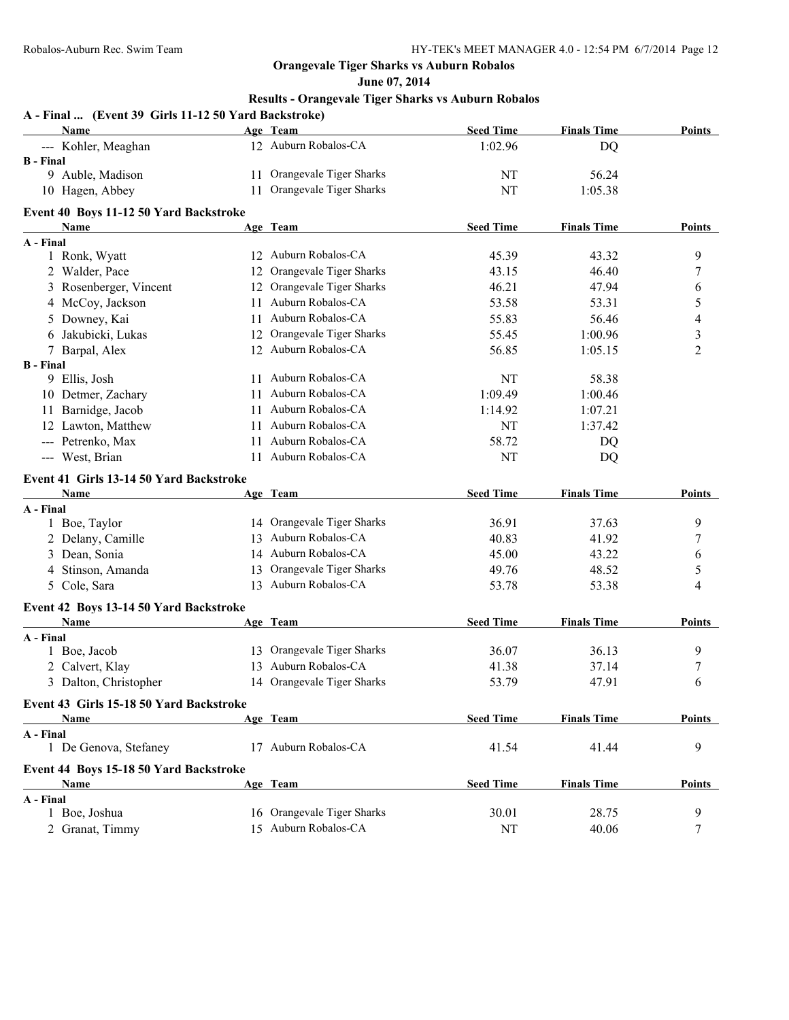**June 07, 2014**

| <b>Name</b>                             |    | Age Team                   | <b>Seed Time</b> | <b>Finals Time</b> | <b>Points</b>           |
|-----------------------------------------|----|----------------------------|------------------|--------------------|-------------------------|
| --- Kohler, Meaghan                     |    | 12 Auburn Robalos-CA       | 1:02.96          | DQ                 |                         |
| <b>B</b> - Final                        |    |                            |                  |                    |                         |
| 9 Auble, Madison                        |    | 11 Orangevale Tiger Sharks | NT               | 56.24              |                         |
| 10 Hagen, Abbey                         |    | 11 Orangevale Tiger Sharks | NT               | 1:05.38            |                         |
| Event 40 Boys 11-12 50 Yard Backstroke  |    |                            |                  |                    |                         |
| <b>Name</b>                             |    | Age Team                   | <b>Seed Time</b> | <b>Finals Time</b> | Points                  |
| A - Final                               |    |                            |                  |                    |                         |
| 1 Ronk, Wyatt                           |    | 12 Auburn Robalos-CA       | 45.39            | 43.32              | 9                       |
| 2 Walder, Pace                          |    | 12 Orangevale Tiger Sharks | 43.15            | 46.40              | 7                       |
| 3 Rosenberger, Vincent                  |    | 12 Orangevale Tiger Sharks | 46.21            | 47.94              | 6                       |
| 4 McCoy, Jackson                        | 11 | Auburn Robalos-CA          | 53.58            | 53.31              | 5                       |
| 5 Downey, Kai                           | 11 | Auburn Robalos-CA          | 55.83            | 56.46              | $\overline{4}$          |
| 6 Jakubicki, Lukas                      | 12 | Orangevale Tiger Sharks    | 55.45            | 1:00.96            | $\overline{\mathbf{3}}$ |
| 7 Barpal, Alex                          |    | 12 Auburn Robalos-CA       | 56.85            | 1:05.15            | $\overline{2}$          |
| <b>B</b> - Final                        |    |                            |                  |                    |                         |
| 9 Ellis, Josh                           |    | 11 Auburn Robalos-CA       | NT               | 58.38              |                         |
| 10 Detmer, Zachary                      | 11 | Auburn Robalos-CA          | 1:09.49          | 1:00.46            |                         |
| 11 Barnidge, Jacob                      |    | 11 Auburn Robalos-CA       | 1:14.92          | 1:07.21            |                         |
| 12 Lawton, Matthew                      |    | 11 Auburn Robalos-CA       | NT               | 1:37.42            |                         |
| --- Petrenko, Max                       | 11 | Auburn Robalos-CA          | 58.72            | DQ                 |                         |
| --- West, Brian                         |    | 11 Auburn Robalos-CA       | NT               | DQ                 |                         |
| Event 41 Girls 13-14 50 Yard Backstroke |    |                            |                  |                    |                         |
| Name                                    |    | Age Team                   | <b>Seed Time</b> | <b>Finals Time</b> | Points                  |
| A - Final                               |    |                            |                  |                    |                         |
| 1 Boe, Taylor                           |    | 14 Orangevale Tiger Sharks | 36.91            | 37.63              | 9                       |
| 2 Delany, Camille                       |    | 13 Auburn Robalos-CA       | 40.83            | 41.92              | 7                       |
| 3 Dean, Sonia                           |    | 14 Auburn Robalos-CA       | 45.00            | 43.22              | 6                       |
| 4 Stinson, Amanda                       |    | 13 Orangevale Tiger Sharks | 49.76            | 48.52              | 5                       |
| 5 Cole, Sara                            |    | 13 Auburn Robalos-CA       | 53.78            | 53.38              | 4                       |
| Event 42 Boys 13-14 50 Yard Backstroke  |    |                            |                  |                    |                         |
| <b>Name</b>                             |    | Age Team                   | <b>Seed Time</b> | <b>Finals Time</b> | <b>Points</b>           |
| A - Final                               |    |                            |                  |                    |                         |
| 1 Boe, Jacob                            |    | 13 Orangevale Tiger Sharks | 36.07            | 36.13              | 9                       |
| 2 Calvert, Klay                         |    | 13 Auburn Robalos-CA       | 41.38            | 37.14              | 7                       |
| 3 Dalton, Christopher                   |    | 14 Orangevale Tiger Sharks | 53.79            | 47.91              | 6                       |
| Event 43 Girls 15-18 50 Yard Backstroke |    |                            |                  |                    |                         |
| <b>Name</b>                             |    | Age Team                   | <b>Seed Time</b> | <b>Finals Time</b> | Points                  |
| A - Final                               |    |                            |                  |                    |                         |
| 1 De Genova, Stefaney                   |    | 17 Auburn Robalos-CA       | 41.54            | 41.44              | 9                       |
| Event 44 Boys 15-18 50 Yard Backstroke  |    |                            |                  |                    |                         |
| <b>Name</b>                             |    | Age Team                   | <b>Seed Time</b> | <b>Finals Time</b> | <b>Points</b>           |
| A - Final                               |    | 16 Orangevale Tiger Sharks | 30.01            |                    |                         |
| 1 Boe, Joshua                           |    |                            |                  | 28.75              | 9                       |
| 2 Granat, Timmy                         |    | 15 Auburn Robalos-CA       | NT               | 40.06              | 7                       |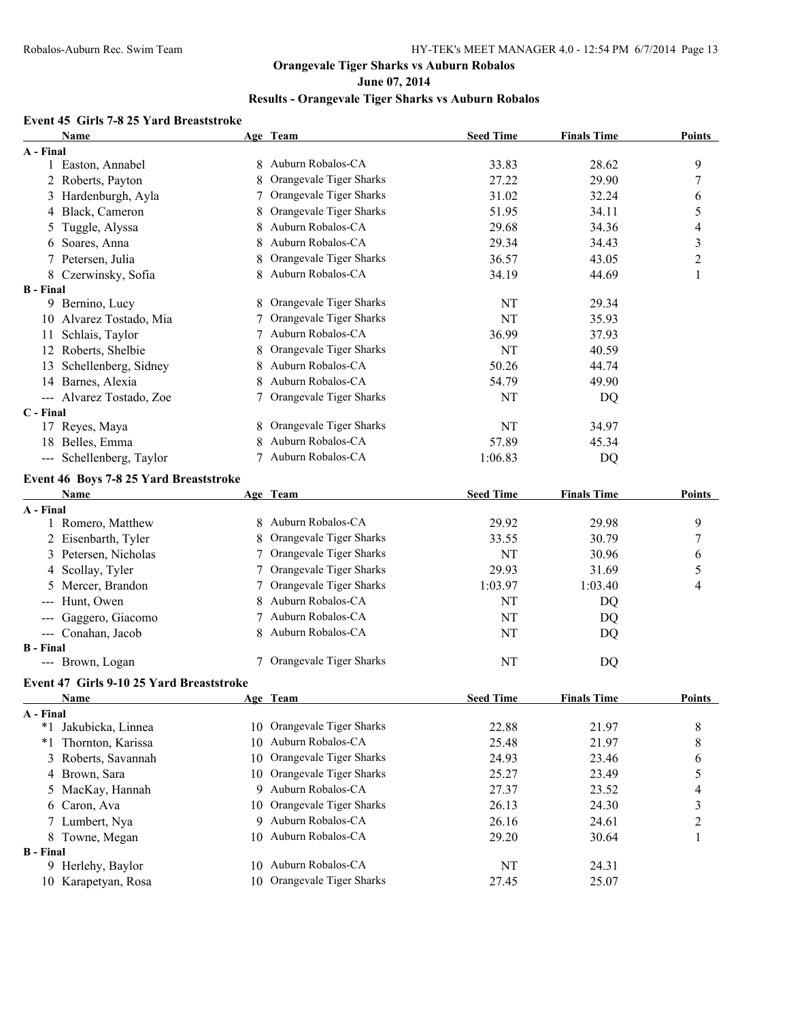#### **June 07, 2014**

## **Results - Orangevale Tiger Sharks vs Auburn Robalos**

# **Event 45 Girls 7-8 25 Yard Breaststroke**

|                  | Name                                           |    | Age Team                   | <b>Seed Time</b> | <b>Finals Time</b> | Points         |
|------------------|------------------------------------------------|----|----------------------------|------------------|--------------------|----------------|
| A - Final        |                                                |    |                            |                  |                    |                |
|                  | 1 Easton, Annabel                              |    | Auburn Robalos-CA          | 33.83            | 28.62              | 9              |
|                  | 2 Roberts, Payton                              | 8  | Orangevale Tiger Sharks    | 27.22            | 29.90              | 7              |
|                  | 3 Hardenburgh, Ayla                            | 7  | Orangevale Tiger Sharks    | 31.02            | 32.24              | 6              |
|                  | 4 Black, Cameron                               |    | Orangevale Tiger Sharks    | 51.95            | 34.11              | 5              |
| 5                | Tuggle, Alyssa                                 | 8  | Auburn Robalos-CA          | 29.68            | 34.36              | 4              |
|                  | 6 Soares, Anna                                 | 8  | Auburn Robalos-CA          | 29.34            | 34.43              | 3              |
|                  | 7 Petersen, Julia                              |    | Orangevale Tiger Sharks    | 36.57            | 43.05              | $\overline{c}$ |
|                  | 8 Czerwinsky, Sofia                            | 8  | Auburn Robalos-CA          | 34.19            | 44.69              | 1              |
| <b>B</b> - Final |                                                |    |                            |                  |                    |                |
|                  | 9 Bernino, Lucy                                | 8  | Orangevale Tiger Sharks    | NT               | 29.34              |                |
|                  | 10 Alvarez Tostado, Mia                        |    | Orangevale Tiger Sharks    | NT               | 35.93              |                |
|                  | 11 Schlais, Taylor                             |    | Auburn Robalos-CA          | 36.99            | 37.93              |                |
|                  | 12 Roberts, Shelbie                            |    | Orangevale Tiger Sharks    | NT               | 40.59              |                |
|                  | 13 Schellenberg, Sidney                        | 8  | Auburn Robalos-CA          | 50.26            | 44.74              |                |
|                  | 14 Barnes, Alexia                              | 8  | Auburn Robalos-CA          | 54.79            | 49.90              |                |
|                  | --- Alvarez Tostado, Zoe                       |    | Orangevale Tiger Sharks    | NT               | DQ                 |                |
| C - Final        |                                                |    |                            |                  |                    |                |
|                  | 17 Reyes, Maya                                 |    | Orangevale Tiger Sharks    | NT               | 34.97              |                |
|                  | 18 Belles, Emma                                |    | Auburn Robalos-CA          | 57.89            | 45.34              |                |
|                  | --- Schellenberg, Taylor                       | 7  | Auburn Robalos-CA          | 1:06.83          | DQ                 |                |
|                  |                                                |    |                            |                  |                    |                |
|                  | Event 46 Boys 7-8 25 Yard Breaststroke<br>Name |    | Age Team                   | <b>Seed Time</b> | <b>Finals Time</b> | <b>Points</b>  |
| A - Final        |                                                |    |                            |                  |                    |                |
|                  | 1 Romero, Matthew                              | 8. | Auburn Robalos-CA          | 29.92            | 29.98              | 9              |
|                  | 2 Eisenbarth, Tyler                            | 8  | Orangevale Tiger Sharks    | 33.55            | 30.79              | 7              |
|                  | 3 Petersen, Nicholas                           |    | Orangevale Tiger Sharks    | NT               | 30.96              | 6              |
|                  | 4 Scollay, Tyler                               |    | Orangevale Tiger Sharks    | 29.93            | 31.69              | 5              |
|                  | 5 Mercer, Brandon                              |    | Orangevale Tiger Sharks    | 1:03.97          | 1:03.40            | 4              |
|                  | --- Hunt, Owen                                 |    | Auburn Robalos-CA          | NT               | DQ                 |                |
|                  | --- Gaggero, Giacomo                           |    | Auburn Robalos-CA          | NT               | DQ                 |                |
|                  | --- Conahan, Jacob                             |    | Auburn Robalos-CA          | NT               | DQ                 |                |
| <b>B</b> - Final |                                                |    |                            |                  |                    |                |
|                  | --- Brown, Logan                               |    | 7 Orangevale Tiger Sharks  | NT               | DQ                 |                |
|                  |                                                |    |                            |                  |                    |                |
|                  | Event 47 Girls 9-10 25 Yard Breaststroke       |    |                            |                  |                    |                |
|                  | <b>Name</b>                                    |    | Age Team                   | <b>Seed Time</b> | <b>Finals Time</b> | <b>Points</b>  |
| A - Final        | *1 Jakubicka, Linnea                           |    | 10 Orangevale Tiger Sharks | 22.88            | 21.97              | 8              |
|                  | *1 Thornton, Karissa                           |    | 10 Auburn Robalos-CA       | 25.48            | 21.97              | 8              |
|                  | Roberts, Savannah                              |    | 10 Orangevale Tiger Sharks | 24.93            | 23.46              |                |
| 3                |                                                |    | 10 Orangevale Tiger Sharks |                  |                    | 6              |
|                  | 4 Brown, Sara                                  |    | Auburn Robalos-CA          | 25.27            | 23.49              | 5              |
|                  | 5 MacKay, Hannah                               | 9. |                            | 27.37            | 23.52              | 4              |
|                  | 6 Caron, Ava                                   |    | 10 Orangevale Tiger Sharks | 26.13            | 24.30              | 3              |
|                  | 7 Lumbert, Nya                                 | 9. | Auburn Robalos-CA          | 26.16            | 24.61              | 2              |
|                  | 8 Towne, Megan                                 |    | 10 Auburn Robalos-CA       | 29.20            | 30.64              | 1              |
| <b>B</b> - Final |                                                |    | 10 Auburn Robalos-CA       |                  |                    |                |
|                  | 9 Herlehy, Baylor                              |    |                            | NT               | 24.31              |                |
|                  | 10 Karapetyan, Rosa                            |    | 10 Orangevale Tiger Sharks | 27.45            | 25.07              |                |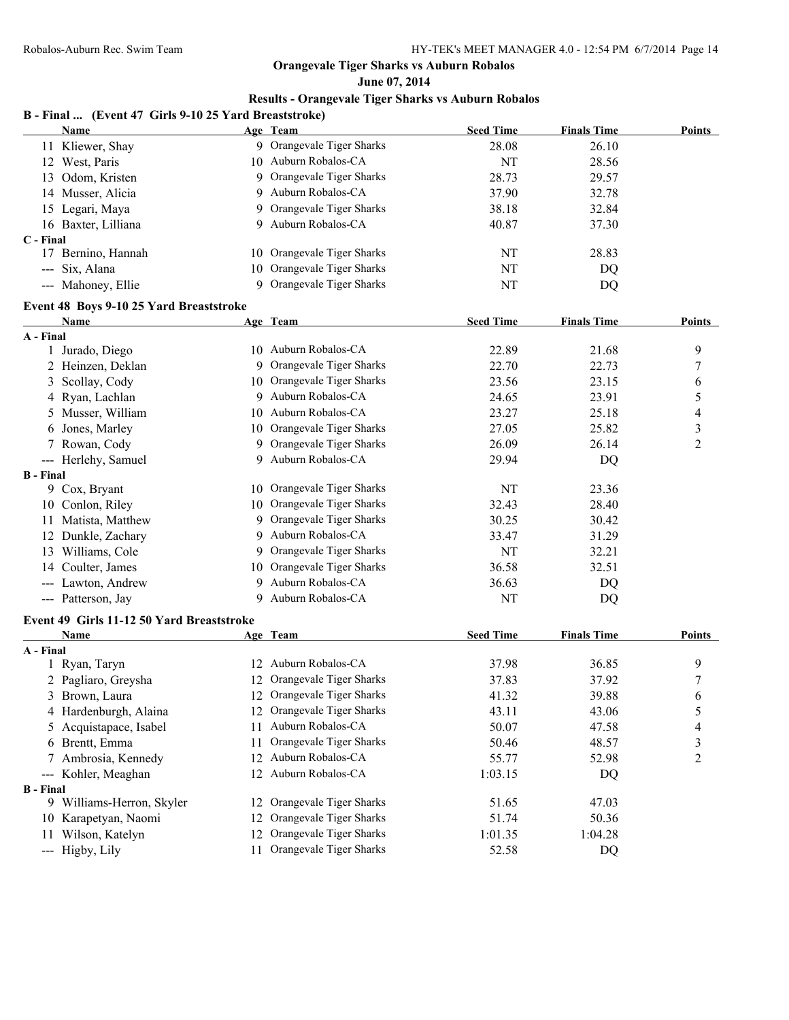**June 07, 2014**

#### **Results - Orangevale Tiger Sharks vs Auburn Robalos**

|  |  |  | B - Final  (Event 47 Girls 9-10 25 Yard Breaststroke) |
|--|--|--|-------------------------------------------------------|
|--|--|--|-------------------------------------------------------|

|                  | <b>Name</b>                               | Age Team                   | <b>Seed Time</b> | <b>Finals Time</b> | <b>Points</b>    |
|------------------|-------------------------------------------|----------------------------|------------------|--------------------|------------------|
|                  | 11 Kliewer, Shay                          | 9 Orangevale Tiger Sharks  | 28.08            | 26.10              |                  |
|                  | 12 West, Paris                            | 10 Auburn Robalos-CA       | NT               | 28.56              |                  |
|                  | 13 Odom, Kristen                          | 9 Orangevale Tiger Sharks  | 28.73            | 29.57              |                  |
|                  | 14 Musser, Alicia                         | 9 Auburn Robalos-CA        | 37.90            | 32.78              |                  |
|                  | 15 Legari, Maya                           | 9 Orangevale Tiger Sharks  | 38.18            | 32.84              |                  |
|                  | 16 Baxter, Lilliana                       | 9 Auburn Robalos-CA        | 40.87            | 37.30              |                  |
| C - Final        |                                           |                            |                  |                    |                  |
|                  | 17 Bernino, Hannah                        | 10 Orangevale Tiger Sharks | NT               | 28.83              |                  |
|                  | --- Six, Alana                            | 10 Orangevale Tiger Sharks | <b>NT</b>        | <b>DQ</b>          |                  |
|                  | --- Mahoney, Ellie                        | 9 Orangevale Tiger Sharks  | NT               | DQ                 |                  |
|                  | Event 48 Boys 9-10 25 Yard Breaststroke   |                            |                  |                    |                  |
|                  | Name                                      | Age Team                   | <b>Seed Time</b> | <b>Finals Time</b> | <b>Points</b>    |
| A - Final        |                                           |                            |                  |                    |                  |
|                  | 1 Jurado, Diego                           | 10 Auburn Robalos-CA       | 22.89            | 21.68              | 9                |
|                  | 2 Heinzen, Deklan                         | 9 Orangevale Tiger Sharks  | 22.70            | 22.73              | $\boldsymbol{7}$ |
|                  | 3 Scollay, Cody                           | 10 Orangevale Tiger Sharks | 23.56            | 23.15              | 6                |
|                  | 4 Ryan, Lachlan                           | 9 Auburn Robalos-CA        | 24.65            | 23.91              | 5                |
|                  | 5 Musser, William                         | 10 Auburn Robalos-CA       | 23.27            | 25.18              | 4                |
|                  | 6 Jones, Marley                           | 10 Orangevale Tiger Sharks | 27.05            | 25.82              | 3                |
|                  | 7 Rowan, Cody                             | 9 Orangevale Tiger Sharks  | 26.09            | 26.14              | $\overline{2}$   |
|                  | --- Herlehy, Samuel                       | 9 Auburn Robalos-CA        | 29.94            | DQ                 |                  |
| <b>B</b> - Final |                                           |                            |                  |                    |                  |
|                  | 9 Cox, Bryant                             | 10 Orangevale Tiger Sharks | NT               | 23.36              |                  |
|                  | 10 Conlon, Riley                          | 10 Orangevale Tiger Sharks | 32.43            | 28.40              |                  |
|                  | 11 Matista, Matthew                       | 9 Orangevale Tiger Sharks  | 30.25            | 30.42              |                  |
|                  | 12 Dunkle, Zachary                        | 9 Auburn Robalos-CA        | 33.47            | 31.29              |                  |
|                  | 13 Williams, Cole                         | 9 Orangevale Tiger Sharks  | <b>NT</b>        | 32.21              |                  |
|                  | 14 Coulter, James                         | 10 Orangevale Tiger Sharks | 36.58            | 32.51              |                  |
|                  | --- Lawton, Andrew                        | 9 Auburn Robalos-CA        | 36.63            | DQ                 |                  |
|                  | --- Patterson, Jay                        | 9 Auburn Robalos-CA        | NT               | DQ                 |                  |
|                  | Event 49 Girls 11-12 50 Yard Breaststroke |                            |                  |                    |                  |
|                  | Name                                      | Age Team                   | <b>Seed Time</b> | <b>Finals Time</b> | <b>Points</b>    |
| A - Final        |                                           |                            |                  |                    |                  |
|                  | 1 Ryan, Taryn                             | 12 Auburn Robalos-CA       | 37.98            | 36.85              | 9                |
|                  | 2 Pagliaro, Greysha                       | 12 Orangevale Tiger Sharks | 37.83            | 37.92              | 7                |
|                  | 3 Brown, Laura                            | 12 Orangevale Tiger Sharks | 41.32            | 39.88              | 6                |
|                  | 4 Hardenburgh, Alaina                     | 12 Orangevale Tiger Sharks | 43.11            | 43.06              | 5                |
|                  | 5 Acquistapace, Isabel                    | 11 Auburn Robalos-CA       | 50.07            | 47.58              | 4                |
|                  | 6 Brentt, Emma                            | 11 Orangevale Tiger Sharks | 50.46            | 48.57              | 3                |
|                  | 7 Ambrosia, Kennedy                       | 12 Auburn Robalos-CA       | 55.77            | 52.98              | $\overline{2}$   |
|                  | --- Kohler, Meaghan                       | 12 Auburn Robalos-CA       | 1:03.15          | DQ                 |                  |
| <b>B</b> - Final |                                           |                            |                  |                    |                  |

9 Williams-Herron, Skyler 12 Orangevale Tiger Sharks 51.65 47.03

10 Karapetyan, Naomi 12 Orangevale Tiger Sharks 51.74 50.36 11 Wilson, Katelyn 12 Orangevale Tiger Sharks 1:01.35 1:04.28

--- Higby, Lily 11 Orangevale Tiger Sharks 52.58 DQ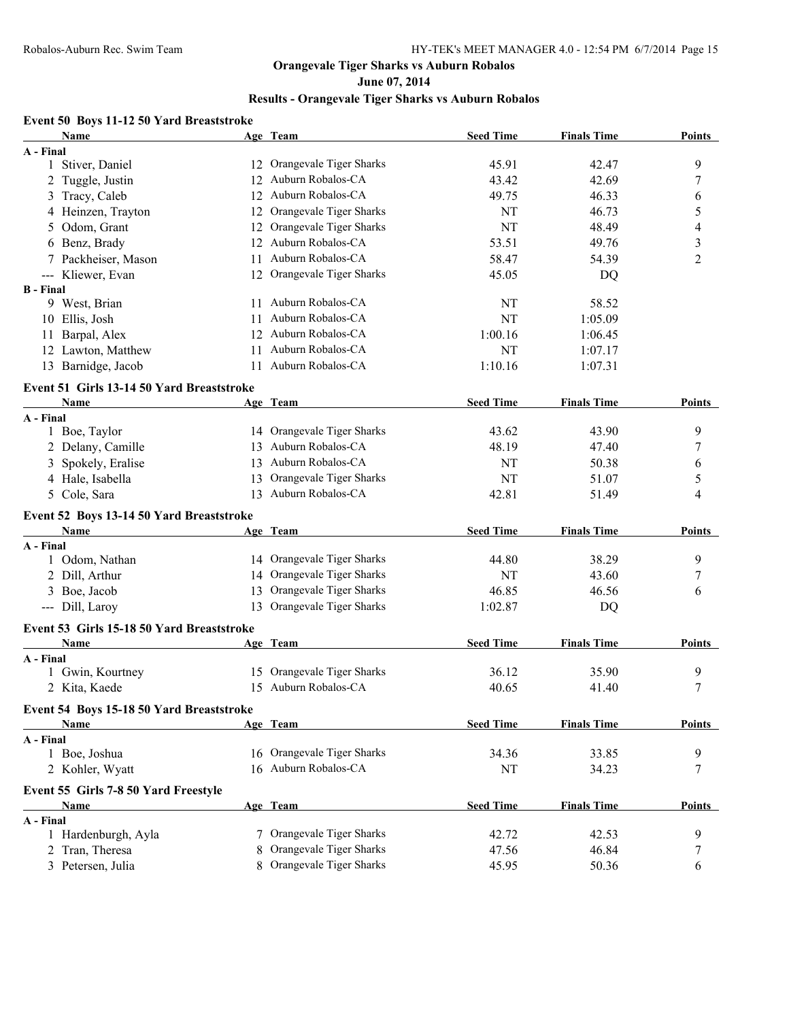#### **June 07, 2014**

## **Results - Orangevale Tiger Sharks vs Auburn Robalos**

#### **Event 50 Boys 11-12 50 Yard Breaststroke**

| Name                                      |    | Age Team                   | <b>Seed Time</b> | <b>Finals Time</b> | <b>Points</b>  |
|-------------------------------------------|----|----------------------------|------------------|--------------------|----------------|
| A - Final                                 |    |                            |                  |                    |                |
| 1 Stiver, Daniel                          |    | 12 Orangevale Tiger Sharks | 45.91            | 42.47              | 9              |
| 2 Tuggle, Justin                          |    | 12 Auburn Robalos-CA       | 43.42            | 42.69              | 7              |
| 3 Tracy, Caleb                            |    | 12 Auburn Robalos-CA       | 49.75            | 46.33              | 6              |
| 4 Heinzen, Trayton                        |    | 12 Orangevale Tiger Sharks | NT               | 46.73              | 5              |
| 5 Odom, Grant                             |    | 12 Orangevale Tiger Sharks | <b>NT</b>        | 48.49              | 4              |
| 6 Benz, Brady                             |    | 12 Auburn Robalos-CA       | 53.51            | 49.76              | 3              |
| 7 Packheiser, Mason                       | 11 | Auburn Robalos-CA          | 58.47            | 54.39              | $\overline{2}$ |
| --- Kliewer, Evan                         |    | 12 Orangevale Tiger Sharks | 45.05            | DQ                 |                |
| <b>B</b> - Final                          |    |                            |                  |                    |                |
| 9 West, Brian                             |    | 11 Auburn Robalos-CA       | <b>NT</b>        | 58.52              |                |
| 10 Ellis, Josh                            | 11 | Auburn Robalos-CA          | <b>NT</b>        | 1:05.09            |                |
| 11 Barpal, Alex                           |    | 12 Auburn Robalos-CA       | 1:00.16          | 1:06.45            |                |
| 12 Lawton, Matthew                        |    | 11 Auburn Robalos-CA       | NT               | 1:07.17            |                |
| 13 Barnidge, Jacob                        | 11 | Auburn Robalos-CA          | 1:10.16          | 1:07.31            |                |
| Event 51 Girls 13-14 50 Yard Breaststroke |    |                            |                  |                    |                |
| Name                                      |    | Age Team                   | <b>Seed Time</b> | <b>Finals Time</b> | <b>Points</b>  |
| A - Final                                 |    |                            |                  |                    |                |
| 1 Boe, Taylor                             |    | 14 Orangevale Tiger Sharks | 43.62            | 43.90              | 9              |
| 2 Delany, Camille                         |    | 13 Auburn Robalos-CA       | 48.19            | 47.40              | 7              |
| 3 Spokely, Eralise                        |    | 13 Auburn Robalos-CA       | <b>NT</b>        | 50.38              | 6              |
| 4 Hale, Isabella                          | 13 | Orangevale Tiger Sharks    | <b>NT</b>        | 51.07              | 5              |
| 5 Cole, Sara                              |    | 13 Auburn Robalos-CA       | 42.81            | 51.49              | 4              |
|                                           |    |                            |                  |                    |                |
| Event 52 Boys 13-14 50 Yard Breaststroke  |    |                            |                  |                    |                |
| <b>Name</b>                               |    | Age Team                   | <b>Seed Time</b> | <b>Finals Time</b> | <b>Points</b>  |
| A - Final<br>1 Odom, Nathan               |    | 14 Orangevale Tiger Sharks | 44.80            | 38.29              | 9              |
| 2 Dill, Arthur                            |    | 14 Orangevale Tiger Sharks | NT               | 43.60              | 7              |
| 3 Boe, Jacob                              |    | 13 Orangevale Tiger Sharks | 46.85            | 46.56              | 6              |
| --- Dill, Laroy                           |    | 13 Orangevale Tiger Sharks | 1:02.87          | DQ                 |                |
|                                           |    |                            |                  |                    |                |
| Event 53 Girls 15-18 50 Yard Breaststroke |    |                            |                  |                    |                |
| Name                                      |    | Age Team                   | <b>Seed Time</b> | <b>Finals Time</b> | <b>Points</b>  |
| A - Final                                 |    |                            |                  |                    |                |
| 1 Gwin, Kourtney                          |    | 15 Orangevale Tiger Sharks | 36.12            | 35.90              | 9              |
| 2 Kita, Kaede                             |    | 15 Auburn Robalos-CA       | 40.65            | 41.40              | 7              |
| Event 54 Boys 15-18 50 Yard Breaststroke  |    |                            |                  |                    |                |
| <b>Name</b>                               |    | Age Team                   | <b>Seed Time</b> | <b>Finals Time</b> | <b>Points</b>  |
| A - Final                                 |    |                            |                  |                    |                |
| 1 Boe, Joshua                             |    | 16 Orangevale Tiger Sharks | 34.36            | 33.85              | 9              |
| 2 Kohler, Wyatt                           |    | 16 Auburn Robalos-CA       | NT               | 34.23              | 7              |
| Event 55 Girls 7-8 50 Yard Freestyle      |    |                            |                  |                    |                |
| <b>Name</b>                               |    | Age Team                   | <b>Seed Time</b> | <b>Finals Time</b> | <b>Points</b>  |
| A - Final                                 |    |                            |                  |                    |                |
| 1 Hardenburgh, Ayla                       |    | 7 Orangevale Tiger Sharks  | 42.72            | 42.53              | 9              |
| 2 Tran, Theresa                           |    | Orangevale Tiger Sharks    | 47.56            | 46.84              | 7              |
| 3 Petersen, Julia                         |    | 8 Orangevale Tiger Sharks  | 45.95            | 50.36              | 6              |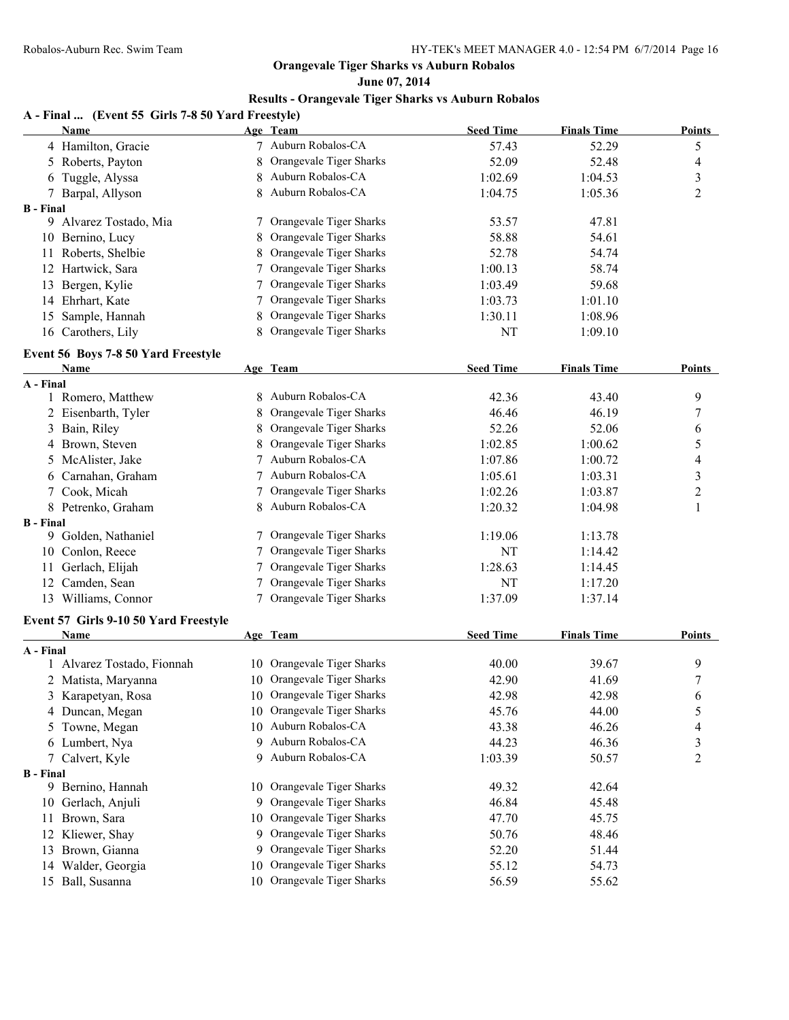#### **June 07, 2014**

|                  | A - Final  (Event 55 Girls 7-8 50 Yard Freestyle)<br>Name |    | Age Team                                           | <b>Seed Time</b> | <b>Finals Time</b> | <b>Points</b>    |
|------------------|-----------------------------------------------------------|----|----------------------------------------------------|------------------|--------------------|------------------|
|                  | 4 Hamilton, Gracie                                        |    | 7 Auburn Robalos-CA                                | 57.43            | 52.29              | 5                |
|                  | 5 Roberts, Payton                                         |    | Orangevale Tiger Sharks                            | 52.09            | 52.48              | 4                |
| 6                | Tuggle, Alyssa                                            | 8  | Auburn Robalos-CA                                  | 1:02.69          | 1:04.53            | $\mathfrak{Z}$   |
|                  | 7 Barpal, Allyson                                         | 8  | Auburn Robalos-CA                                  | 1:04.75          | 1:05.36            | $\overline{2}$   |
| <b>B</b> - Final |                                                           |    |                                                    |                  |                    |                  |
|                  | 9 Alvarez Tostado, Mia                                    |    | 7 Orangevale Tiger Sharks                          | 53.57            | 47.81              |                  |
|                  | 10 Bernino, Lucy                                          |    | Orangevale Tiger Sharks                            | 58.88            | 54.61              |                  |
|                  | 11 Roberts, Shelbie                                       |    | Orangevale Tiger Sharks                            | 52.78            | 54.74              |                  |
|                  | 12 Hartwick, Sara                                         |    | Orangevale Tiger Sharks                            | 1:00.13          | 58.74              |                  |
|                  | 13 Bergen, Kylie                                          |    | Orangevale Tiger Sharks                            | 1:03.49          | 59.68              |                  |
|                  | 14 Ehrhart, Kate                                          |    | Orangevale Tiger Sharks                            | 1:03.73          | 1:01.10            |                  |
|                  | 15 Sample, Hannah                                         |    | Orangevale Tiger Sharks                            | 1:30.11          | 1:08.96            |                  |
|                  | 16 Carothers, Lily                                        |    | Orangevale Tiger Sharks                            | NT               | 1:09.10            |                  |
|                  | Event 56 Boys 7-8 50 Yard Freestyle                       |    |                                                    |                  |                    |                  |
|                  | Name                                                      |    | Age Team                                           | <b>Seed Time</b> | <b>Finals Time</b> | <b>Points</b>    |
| A - Final        |                                                           |    |                                                    |                  |                    |                  |
|                  | 1 Romero, Matthew                                         |    | Auburn Robalos-CA                                  | 42.36            | 43.40              | 9                |
|                  | 2 Eisenbarth, Tyler                                       |    | Orangevale Tiger Sharks                            | 46.46            | 46.19              | 7                |
|                  | 3 Bain, Riley                                             | 8  | Orangevale Tiger Sharks                            | 52.26            | 52.06              | 6                |
|                  | 4 Brown, Steven                                           |    | Orangevale Tiger Sharks                            | 1:02.85          | 1:00.62            | 5                |
|                  | 5 McAlister, Jake                                         |    | Auburn Robalos-CA                                  | 1:07.86          | 1:00.72            | 4                |
| 6                | Carnahan, Graham                                          |    | Auburn Robalos-CA                                  | 1:05.61          | 1:03.31            | $\mathfrak{Z}$   |
|                  | 7 Cook, Micah                                             |    | Orangevale Tiger Sharks                            | 1:02.26          | 1:03.87            | $\sqrt{2}$       |
|                  | 8 Petrenko, Graham                                        |    | Auburn Robalos-CA                                  | 1:20.32          | 1:04.98            | 1                |
| <b>B</b> - Final |                                                           |    |                                                    |                  |                    |                  |
|                  | 9 Golden, Nathaniel                                       |    | 7 Orangevale Tiger Sharks                          | 1:19.06          | 1:13.78            |                  |
|                  | 10 Conlon, Reece                                          |    | 7 Orangevale Tiger Sharks                          | NT               | 1:14.42            |                  |
|                  | 11 Gerlach, Elijah                                        |    | 7 Orangevale Tiger Sharks                          | 1:28.63          | 1:14.45            |                  |
|                  | 12 Camden, Sean                                           |    | 7 Orangevale Tiger Sharks                          | NT               | 1:17.20            |                  |
|                  | 13 Williams, Connor                                       |    | 7 Orangevale Tiger Sharks                          | 1:37.09          | 1:37.14            |                  |
|                  | Event 57 Girls 9-10 50 Yard Freestyle                     |    |                                                    |                  |                    |                  |
|                  | Name                                                      |    | Age Team                                           | <b>Seed Time</b> | <b>Finals Time</b> | <b>Points</b>    |
| A - Final        |                                                           |    |                                                    |                  |                    |                  |
|                  | 1 Alvarez Tostado, Fionnah                                |    | 10 Orangevale Tiger Sharks                         | 40.00            | 39.67              | 9                |
|                  | 2 Matista, Maryanna                                       |    | 10 Orangevale Tiger Sharks                         | 42.90            | 41.69              | $\boldsymbol{7}$ |
|                  | 3 Karapetyan, Rosa                                        |    | 10 Orangevale Tiger Sharks                         | 42.98            | 42.98              | 6                |
|                  | 4 Duncan, Megan                                           | 10 | Orangevale Tiger Sharks                            | 45.76            | 44.00              | 5                |
|                  | 5 Towne, Megan                                            | 10 | Auburn Robalos-CA                                  | 43.38            | 46.26              | 4                |
|                  | 6 Lumbert, Nya                                            | 9  | Auburn Robalos-CA                                  | 44.23            | 46.36              | 3                |
|                  | 7 Calvert, Kyle                                           |    | Auburn Robalos-CA                                  | 1:03.39          | 50.57              | 2                |
| <b>B</b> - Final |                                                           |    |                                                    |                  |                    |                  |
|                  | 9 Bernino, Hannah                                         |    | 10 Orangevale Tiger Sharks                         | 49.32            | 42.64              |                  |
|                  | 10 Gerlach, Anjuli                                        | 9. | Orangevale Tiger Sharks                            | 46.84            | 45.48              |                  |
| 11.              | Brown, Sara                                               | 10 | Orangevale Tiger Sharks                            | 47.70            | 45.75              |                  |
|                  | 12 Kliewer, Shay                                          | 9. | Orangevale Tiger Sharks                            | 50.76            | 48.46              |                  |
|                  |                                                           |    |                                                    |                  |                    |                  |
|                  |                                                           | 9  |                                                    |                  |                    |                  |
| 13               | Brown, Gianna<br>14 Walder, Georgia                       | 10 | Orangevale Tiger Sharks<br>Orangevale Tiger Sharks | 52.20<br>55.12   | 51.44<br>54.73     |                  |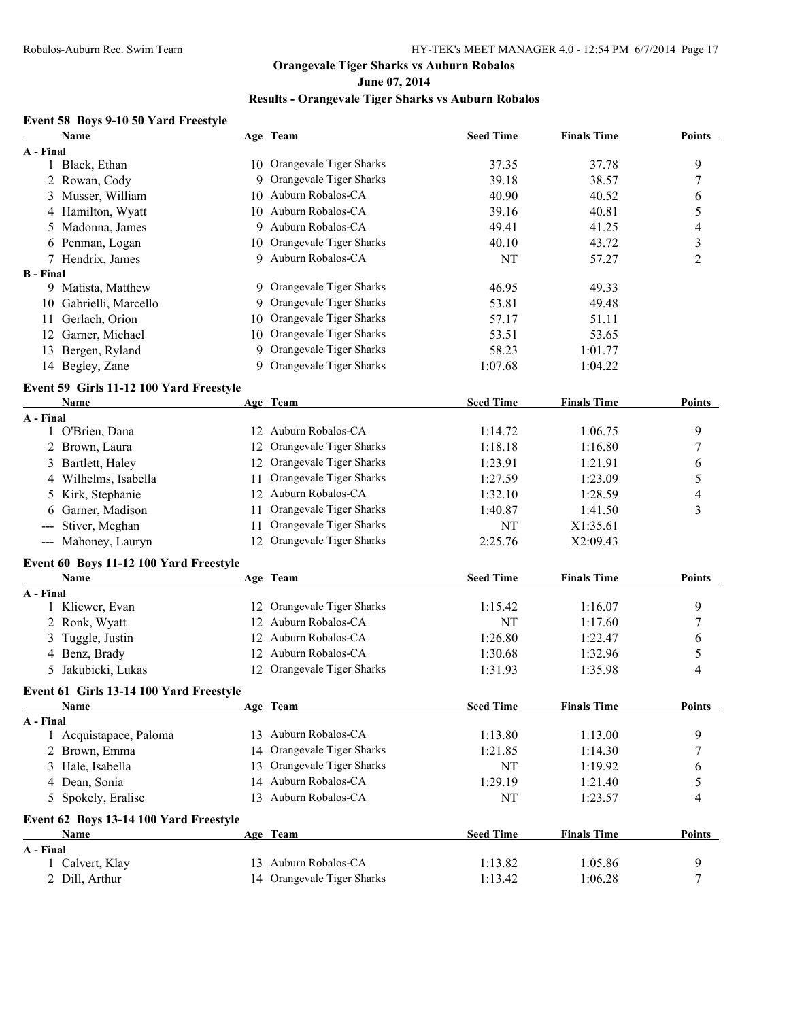**June 07, 2014**

## **Results - Orangevale Tiger Sharks vs Auburn Robalos**

## **Event 58 Boys 9-10 50 Yard Freestyle**

| <b>Name</b>                             |    | Age Team                   | <b>Seed Time</b> | <b>Finals Time</b> | <b>Points</b>    |
|-----------------------------------------|----|----------------------------|------------------|--------------------|------------------|
| A - Final                               |    |                            |                  |                    |                  |
| 1 Black, Ethan                          |    | 10 Orangevale Tiger Sharks | 37.35            | 37.78              | 9                |
| 2 Rowan, Cody                           |    | 9 Orangevale Tiger Sharks  | 39.18            | 38.57              | $\overline{7}$   |
| 3 Musser, William                       |    | 10 Auburn Robalos-CA       | 40.90            | 40.52              | 6                |
| 4 Hamilton, Wyatt                       |    | 10 Auburn Robalos-CA       | 39.16            | 40.81              | 5                |
| 5 Madonna, James                        |    | 9 Auburn Robalos-CA        | 49.41            | 41.25              | $\overline{4}$   |
| 6 Penman, Logan                         |    | 10 Orangevale Tiger Sharks | 40.10            | 43.72              | $\mathfrak{Z}$   |
| 7 Hendrix, James                        |    | 9 Auburn Robalos-CA        | NT               | 57.27              | $\overline{2}$   |
| <b>B</b> - Final                        |    |                            |                  |                    |                  |
| 9 Matista, Matthew                      |    | 9 Orangevale Tiger Sharks  | 46.95            | 49.33              |                  |
| 10 Gabrielli, Marcello                  |    | 9 Orangevale Tiger Sharks  | 53.81            | 49.48              |                  |
| 11 Gerlach, Orion                       |    | 10 Orangevale Tiger Sharks | 57.17            | 51.11              |                  |
| 12 Garner, Michael                      |    | 10 Orangevale Tiger Sharks | 53.51            | 53.65              |                  |
| 13 Bergen, Ryland                       |    | 9 Orangevale Tiger Sharks  | 58.23            | 1:01.77            |                  |
| 14 Begley, Zane                         |    | 9 Orangevale Tiger Sharks  | 1:07.68          | 1:04.22            |                  |
|                                         |    |                            |                  |                    |                  |
| Event 59 Girls 11-12 100 Yard Freestyle |    |                            |                  |                    |                  |
| Name                                    |    | Age Team                   | <b>Seed Time</b> | <b>Finals Time</b> | <b>Points</b>    |
| A - Final<br>1 O'Brien, Dana            |    | 12 Auburn Robalos-CA       | 1:14.72          | 1:06.75            | 9                |
| 2 Brown, Laura                          |    | 12 Orangevale Tiger Sharks | 1:18.18          | 1:16.80            | 7                |
| 3 Bartlett, Haley                       |    | 12 Orangevale Tiger Sharks | 1:23.91          | 1:21.91            | 6                |
| 4 Wilhelms, Isabella                    |    | 11 Orangevale Tiger Sharks | 1:27.59          | 1:23.09            |                  |
|                                         |    | 12 Auburn Robalos-CA       | 1:32.10          | 1:28.59            | 5                |
| 5 Kirk, Stephanie                       |    |                            |                  |                    | $\overline{4}$   |
| 6 Garner, Madison                       | 11 | Orangevale Tiger Sharks    | 1:40.87          | 1:41.50            | 3                |
| --- Stiver, Meghan                      |    | 11 Orangevale Tiger Sharks | NT               | X1:35.61           |                  |
| --- Mahoney, Lauryn                     |    | 12 Orangevale Tiger Sharks | 2:25.76          | X2:09.43           |                  |
| Event 60 Boys 11-12 100 Yard Freestyle  |    |                            |                  |                    |                  |
| Name                                    |    | Age Team                   | <b>Seed Time</b> | <b>Finals Time</b> | <b>Points</b>    |
| A - Final                               |    |                            |                  |                    |                  |
| 1 Kliewer, Evan                         |    | 12 Orangevale Tiger Sharks | 1:15.42          | 1:16.07            | 9                |
| 2 Ronk, Wyatt                           |    | 12 Auburn Robalos-CA       | NT               | 1:17.60            | $\boldsymbol{7}$ |
| 3 Tuggle, Justin                        |    | 12 Auburn Robalos-CA       | 1:26.80          | 1:22.47            | 6                |
| 4 Benz, Brady                           |    | 12 Auburn Robalos-CA       | 1:30.68          | 1:32.96            | 5                |
| 5 Jakubicki, Lukas                      |    | 12 Orangevale Tiger Sharks | 1:31.93          | 1:35.98            | 4                |
| Event 61 Girls 13-14 100 Yard Freestyle |    |                            |                  |                    |                  |
| <b>Name</b>                             |    | Age Team                   | <b>Seed Time</b> | <b>Finals Time</b> | <b>Points</b>    |
| A - Final                               |    |                            |                  |                    |                  |
| 1 Acquistapace, Paloma                  |    | 13 Auburn Robalos-CA       | 1:13.80          | 1:13.00            | 9                |
| 2 Brown, Emma                           |    | 14 Orangevale Tiger Sharks | 1:21.85          | 1:14.30            | 7                |
| 3 Hale, Isabella                        |    | 13 Orangevale Tiger Sharks | NT               | 1:19.92            | 6                |
| 4 Dean, Sonia                           |    | 14 Auburn Robalos-CA       | 1:29.19          | 1:21.40            | 5                |
| 5 Spokely, Eralise                      |    | 13 Auburn Robalos-CA       | NT               | 1:23.57            | 4                |
| Event 62 Boys 13-14 100 Yard Freestyle  |    |                            |                  |                    |                  |
| Name                                    |    | Age Team                   | <b>Seed Time</b> | <b>Finals Time</b> | <b>Points</b>    |
| A - Final                               |    |                            |                  |                    |                  |
| 1 Calvert, Klay                         |    | 13 Auburn Robalos-CA       | 1:13.82          | 1:05.86            | 9                |
| 2 Dill, Arthur                          |    | 14 Orangevale Tiger Sharks | 1:13.42          | 1:06.28            | 7                |
|                                         |    |                            |                  |                    |                  |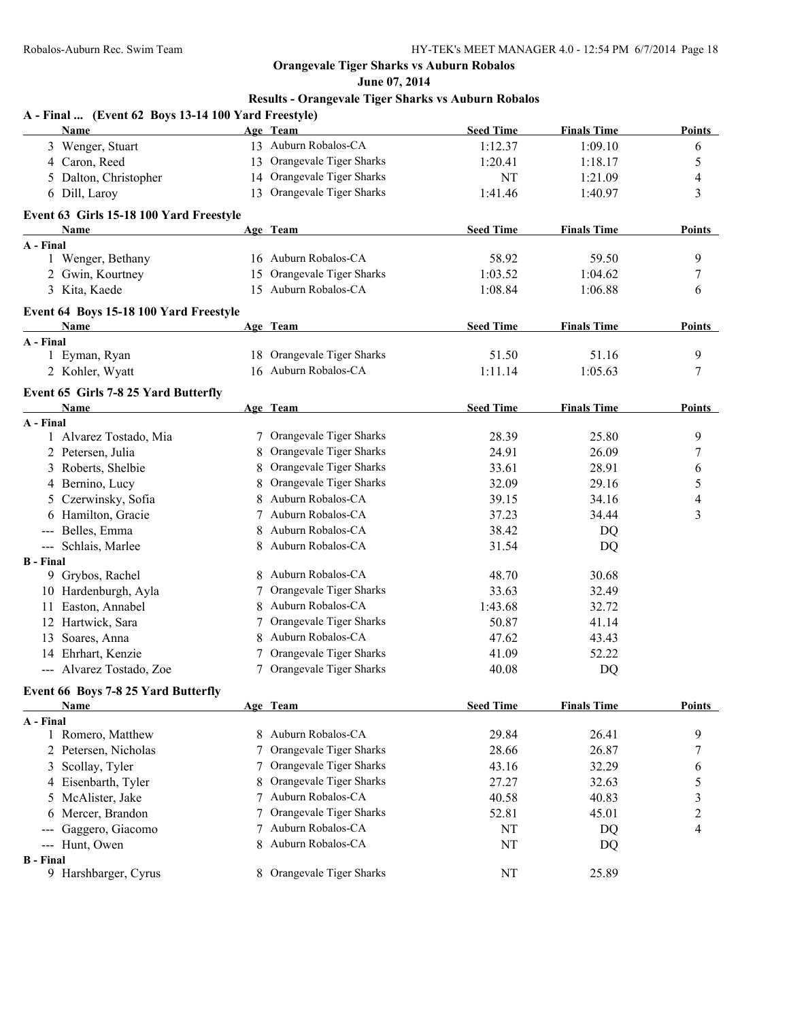**June 07, 2014**

| A - Final  (Event 62 Boys 13-14 100 Yard Freestyle) |   |                            |                  |                    |                  |
|-----------------------------------------------------|---|----------------------------|------------------|--------------------|------------------|
| Name                                                |   | Age Team                   | <b>Seed Time</b> | <b>Finals Time</b> | <b>Points</b>    |
| 3 Wenger, Stuart                                    |   | 13 Auburn Robalos-CA       | 1:12.37          | 1:09.10            | 6                |
| 4 Caron, Reed                                       |   | 13 Orangevale Tiger Sharks | 1:20.41          | 1:18.17            | 5                |
| 5 Dalton, Christopher                               |   | 14 Orangevale Tiger Sharks | NT               | 1:21.09            | 4                |
| 6 Dill, Laroy                                       |   | 13 Orangevale Tiger Sharks | 1:41.46          | 1:40.97            | 3                |
| Event 63 Girls 15-18 100 Yard Freestyle             |   |                            |                  |                    |                  |
| Name                                                |   | Age Team                   | <b>Seed Time</b> | <b>Finals Time</b> | <b>Points</b>    |
| A - Final                                           |   |                            |                  |                    |                  |
| 1 Wenger, Bethany                                   |   | 16 Auburn Robalos-CA       | 58.92            | 59.50              | 9                |
| 2 Gwin, Kourtney                                    |   | 15 Orangevale Tiger Sharks | 1:03.52          | 1:04.62            | $\boldsymbol{7}$ |
| 3 Kita, Kaede                                       |   | 15 Auburn Robalos-CA       | 1:08.84          | 1:06.88            | 6                |
| Event 64 Boys 15-18 100 Yard Freestyle              |   |                            |                  |                    |                  |
| Name                                                |   | Age Team                   | <b>Seed Time</b> | <b>Finals Time</b> | <b>Points</b>    |
| A - Final                                           |   |                            |                  |                    |                  |
| 1 Eyman, Ryan                                       |   | 18 Orangevale Tiger Sharks | 51.50            | 51.16              | 9                |
| 2 Kohler, Wyatt                                     |   | 16 Auburn Robalos-CA       | 1:11.14          | 1:05.63            | 7                |
| Event 65 Girls 7-8 25 Yard Butterfly                |   |                            |                  |                    |                  |
| <b>Name</b>                                         |   | Age Team                   | <b>Seed Time</b> | <b>Finals Time</b> | Points           |
| A - Final                                           |   |                            |                  |                    |                  |
| 1 Alvarez Tostado, Mia                              |   | 7 Orangevale Tiger Sharks  | 28.39            | 25.80              | 9                |
| 2 Petersen, Julia                                   | 8 | Orangevale Tiger Sharks    | 24.91            | 26.09              | 7                |
| 3 Roberts, Shelbie                                  | 8 | Orangevale Tiger Sharks    | 33.61            | 28.91              | 6                |
| 4 Bernino, Lucy                                     | 8 | Orangevale Tiger Sharks    | 32.09            | 29.16              | 5                |
| 5 Czerwinsky, Sofia                                 | 8 | Auburn Robalos-CA          | 39.15            | 34.16              | $\overline{4}$   |
| 6 Hamilton, Gracie                                  |   | Auburn Robalos-CA          | 37.23            | 34.44              | 3                |
| --- Belles, Emma                                    | 8 | Auburn Robalos-CA          | 38.42            | DQ                 |                  |
| --- Schlais, Marlee                                 |   | 8 Auburn Robalos-CA        | 31.54            | DQ                 |                  |
| <b>B</b> - Final                                    |   |                            |                  |                    |                  |
| 9 Grybos, Rachel                                    | 8 | Auburn Robalos-CA          | 48.70            | 30.68              |                  |
| 10 Hardenburgh, Ayla                                | 7 | Orangevale Tiger Sharks    | 33.63            | 32.49              |                  |
| 11 Easton, Annabel                                  | 8 | Auburn Robalos-CA          | 1:43.68          | 32.72              |                  |
| 12 Hartwick, Sara                                   | 7 | Orangevale Tiger Sharks    | 50.87            | 41.14              |                  |
| 13 Soares, Anna                                     | 8 | Auburn Robalos-CA          | 47.62            | 43.43              |                  |
| 14 Ehrhart, Kenzie                                  |   | Orangevale Tiger Sharks    | 41.09            | 52.22              |                  |
| --- Alvarez Tostado, Zoe                            |   | Orangevale Tiger Sharks    | 40.08            | DQ                 |                  |
| Event 66 Boys 7-8 25 Yard Butterfly                 |   |                            |                  |                    |                  |
| Name                                                |   | Age Team                   | <b>Seed Time</b> | <b>Finals Time</b> | <b>Points</b>    |
| A - Final                                           |   |                            |                  |                    |                  |
| 1 Romero, Matthew                                   |   | 8 Auburn Robalos-CA        | 29.84            | 26.41              | 9                |
| 2 Petersen, Nicholas                                |   | 7 Orangevale Tiger Sharks  | 28.66            | 26.87              | 7                |
| 3 Scollay, Tyler                                    |   | Orangevale Tiger Sharks    | 43.16            | 32.29              | 6                |
| 4 Eisenbarth, Tyler                                 |   | Orangevale Tiger Sharks    | 27.27            | 32.63              | 5                |
| 5 McAlister, Jake                                   |   | 7 Auburn Robalos-CA        | 40.58            | 40.83              | 3                |
| 6 Mercer, Brandon                                   | 7 | Orangevale Tiger Sharks    | 52.81            | 45.01              | 2                |
| Gaggero, Giacomo                                    | 7 | Auburn Robalos-CA          | NT               | DQ                 | 4                |
| Hunt, Owen                                          | 8 | Auburn Robalos-CA          | NT               | DQ                 |                  |
| <b>B</b> - Final<br>9 Harshbarger, Cyrus            |   | 8 Orangevale Tiger Sharks  | NT               | 25.89              |                  |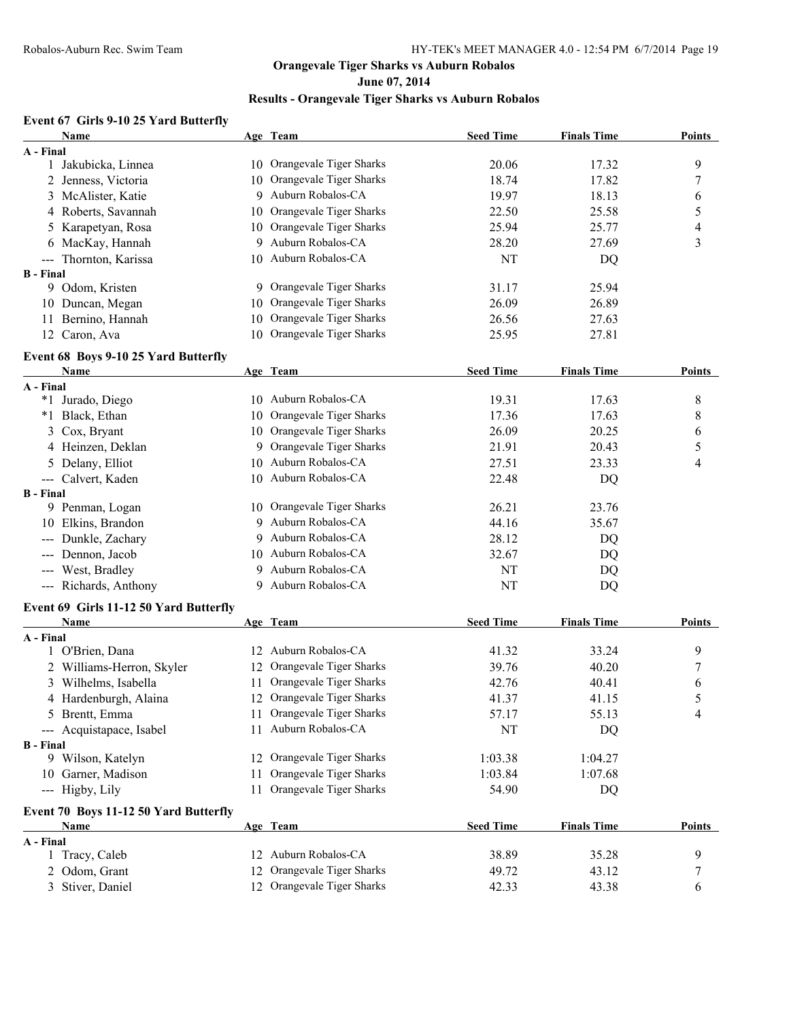**June 07, 2014**

## **Results - Orangevale Tiger Sharks vs Auburn Robalos**

#### **Event 67 Girls 9-10 25 Yard Butterfly**

| A - Final<br>10 Orangevale Tiger Sharks<br>20.06<br>1 Jakubicka, Linnea<br>17.32<br>9<br>10 Orangevale Tiger Sharks<br>2 Jenness, Victoria<br>18.74<br>17.82<br>7<br>9 Auburn Robalos-CA<br>19.97<br>18.13<br>3 McAlister, Katie<br>6<br>10 Orangevale Tiger Sharks<br>5<br>4 Roberts, Savannah<br>22.50<br>25.58<br>10 Orangevale Tiger Sharks<br>25.94<br>25.77<br>5 Karapetyan, Rosa<br>4<br>Auburn Robalos-CA<br>28.20<br>3<br>6 MacKay, Hannah<br>27.69<br>9.<br>10 Auburn Robalos-CA<br>NT<br>Thornton, Karissa<br>DQ<br>9 Orangevale Tiger Sharks<br>9 Odom, Kristen<br>31.17<br>25.94<br>10 Orangevale Tiger Sharks<br>26.09<br>26.89<br>10 Duncan, Megan<br>10 Orangevale Tiger Sharks<br>26.56<br>11 Bernino, Hannah<br>27.63<br>10 Orangevale Tiger Sharks<br>12 Caron, Ava<br>25.95<br>27.81<br>Event 68 Boys 9-10 25 Yard Butterfly<br><b>Seed Time</b><br><b>Finals Time</b><br><b>Points</b><br><u>Age Team</u><br><u>Name</u><br>A - Final<br>10 Auburn Robalos-CA<br>19.31<br>8<br>*1 Jurado, Diego<br>17.63<br>10 Orangevale Tiger Sharks<br>17.36<br>8<br>*1 Black, Ethan<br>17.63<br>10 Orangevale Tiger Sharks<br>20.25<br>3 Cox, Bryant<br>26.09<br>6<br>9 Orangevale Tiger Sharks<br>4 Heinzen, Deklan<br>20.43<br>5<br>21.91<br>10 Auburn Robalos-CA<br>5 Delany, Elliot<br>27.51<br>23.33<br>4<br>10 Auburn Robalos-CA<br>--- Calvert, Kaden<br>22.48<br>DQ<br><b>B</b> - Final<br>26.21<br>23.76<br>10 Orangevale Tiger Sharks<br>9 Penman, Logan<br>9 Auburn Robalos-CA<br>10 Elkins, Brandon<br>44.16<br>35.67<br>Auburn Robalos-CA<br>28.12<br>--- Dunkle, Zachary<br>9<br>DQ<br>10 Auburn Robalos-CA<br>Dennon, Jacob<br>32.67<br>DQ<br>Auburn Robalos-CA<br>NT<br>--- West, Bradley<br>9.<br>DQ<br>9 Auburn Robalos-CA<br>--- Richards, Anthony<br>NT<br>DQ<br>Event 69 Girls 11-12 50 Yard Butterfly<br><b>Name</b><br>Age Team<br><b>Seed Time</b><br><b>Finals Time</b><br><b>Points</b><br>A - Final<br>12 Auburn Robalos-CA<br>1 O'Brien, Dana<br>41.32<br>33.24<br>9<br>12 Orangevale Tiger Sharks<br>2 Williams-Herron, Skyler<br>39.76<br>40.20<br>7<br>Orangevale Tiger Sharks<br>3 Wilhelms, Isabella<br>42.76<br>40.41<br>11<br>6<br>12 Orangevale Tiger Sharks<br>5<br>4 Hardenburgh, Alaina<br>41.37<br>41.15<br>5 Brentt, Emma<br>11 Orangevale Tiger Sharks<br>57.17<br>55.13<br>4<br>11 Auburn Robalos-CA<br>--- Acquistapace, Isabel<br>NT<br>DQ<br><b>B</b> - Final<br>9 Wilson, Katelyn<br>12 Orangevale Tiger Sharks<br>1:04.27<br>1:03.38<br>Orangevale Tiger Sharks<br>10 Garner, Madison<br>1:03.84<br>1:07.68<br>11<br>11 Orangevale Tiger Sharks<br>--- Higby, Lily<br>54.90<br>DQ<br>Event 70 Boys 11-12 50 Yard Butterfly<br><b>Seed Time</b><br><b>Finals Time</b><br><b>Points</b><br>Age Team<br><b>Name</b><br>A - Final<br>12 Auburn Robalos-CA<br>9<br>1 Tracy, Caleb<br>38.89<br>35.28<br>12 Orangevale Tiger Sharks<br>2 Odom, Grant<br>49.72<br>43.12<br>7<br>12 Orangevale Tiger Sharks<br>3 Stiver, Daniel<br>42.33<br>43.38<br>6 | Name             | Age Team | <b>Seed Time</b> | <b>Finals Time</b> | <b>Points</b> |
|--------------------------------------------------------------------------------------------------------------------------------------------------------------------------------------------------------------------------------------------------------------------------------------------------------------------------------------------------------------------------------------------------------------------------------------------------------------------------------------------------------------------------------------------------------------------------------------------------------------------------------------------------------------------------------------------------------------------------------------------------------------------------------------------------------------------------------------------------------------------------------------------------------------------------------------------------------------------------------------------------------------------------------------------------------------------------------------------------------------------------------------------------------------------------------------------------------------------------------------------------------------------------------------------------------------------------------------------------------------------------------------------------------------------------------------------------------------------------------------------------------------------------------------------------------------------------------------------------------------------------------------------------------------------------------------------------------------------------------------------------------------------------------------------------------------------------------------------------------------------------------------------------------------------------------------------------------------------------------------------------------------------------------------------------------------------------------------------------------------------------------------------------------------------------------------------------------------------------------------------------------------------------------------------------------------------------------------------------------------------------------------------------------------------------------------------------------------------------------------------------------------------------------------------------------------------------------------------------------------------------------------------------------------------------------------------------------------------------------------------------------------------------------------------------------------------------------------------------------------------------------------------------------------------------------------------------------------------------------------------------------|------------------|----------|------------------|--------------------|---------------|
|                                                                                                                                                                                                                                                                                                                                                                                                                                                                                                                                                                                                                                                                                                                                                                                                                                                                                                                                                                                                                                                                                                                                                                                                                                                                                                                                                                                                                                                                                                                                                                                                                                                                                                                                                                                                                                                                                                                                                                                                                                                                                                                                                                                                                                                                                                                                                                                                                                                                                                                                                                                                                                                                                                                                                                                                                                                                                                                                                                                                        |                  |          |                  |                    |               |
|                                                                                                                                                                                                                                                                                                                                                                                                                                                                                                                                                                                                                                                                                                                                                                                                                                                                                                                                                                                                                                                                                                                                                                                                                                                                                                                                                                                                                                                                                                                                                                                                                                                                                                                                                                                                                                                                                                                                                                                                                                                                                                                                                                                                                                                                                                                                                                                                                                                                                                                                                                                                                                                                                                                                                                                                                                                                                                                                                                                                        |                  |          |                  |                    |               |
|                                                                                                                                                                                                                                                                                                                                                                                                                                                                                                                                                                                                                                                                                                                                                                                                                                                                                                                                                                                                                                                                                                                                                                                                                                                                                                                                                                                                                                                                                                                                                                                                                                                                                                                                                                                                                                                                                                                                                                                                                                                                                                                                                                                                                                                                                                                                                                                                                                                                                                                                                                                                                                                                                                                                                                                                                                                                                                                                                                                                        |                  |          |                  |                    |               |
|                                                                                                                                                                                                                                                                                                                                                                                                                                                                                                                                                                                                                                                                                                                                                                                                                                                                                                                                                                                                                                                                                                                                                                                                                                                                                                                                                                                                                                                                                                                                                                                                                                                                                                                                                                                                                                                                                                                                                                                                                                                                                                                                                                                                                                                                                                                                                                                                                                                                                                                                                                                                                                                                                                                                                                                                                                                                                                                                                                                                        |                  |          |                  |                    |               |
|                                                                                                                                                                                                                                                                                                                                                                                                                                                                                                                                                                                                                                                                                                                                                                                                                                                                                                                                                                                                                                                                                                                                                                                                                                                                                                                                                                                                                                                                                                                                                                                                                                                                                                                                                                                                                                                                                                                                                                                                                                                                                                                                                                                                                                                                                                                                                                                                                                                                                                                                                                                                                                                                                                                                                                                                                                                                                                                                                                                                        |                  |          |                  |                    |               |
|                                                                                                                                                                                                                                                                                                                                                                                                                                                                                                                                                                                                                                                                                                                                                                                                                                                                                                                                                                                                                                                                                                                                                                                                                                                                                                                                                                                                                                                                                                                                                                                                                                                                                                                                                                                                                                                                                                                                                                                                                                                                                                                                                                                                                                                                                                                                                                                                                                                                                                                                                                                                                                                                                                                                                                                                                                                                                                                                                                                                        |                  |          |                  |                    |               |
|                                                                                                                                                                                                                                                                                                                                                                                                                                                                                                                                                                                                                                                                                                                                                                                                                                                                                                                                                                                                                                                                                                                                                                                                                                                                                                                                                                                                                                                                                                                                                                                                                                                                                                                                                                                                                                                                                                                                                                                                                                                                                                                                                                                                                                                                                                                                                                                                                                                                                                                                                                                                                                                                                                                                                                                                                                                                                                                                                                                                        |                  |          |                  |                    |               |
|                                                                                                                                                                                                                                                                                                                                                                                                                                                                                                                                                                                                                                                                                                                                                                                                                                                                                                                                                                                                                                                                                                                                                                                                                                                                                                                                                                                                                                                                                                                                                                                                                                                                                                                                                                                                                                                                                                                                                                                                                                                                                                                                                                                                                                                                                                                                                                                                                                                                                                                                                                                                                                                                                                                                                                                                                                                                                                                                                                                                        |                  |          |                  |                    |               |
|                                                                                                                                                                                                                                                                                                                                                                                                                                                                                                                                                                                                                                                                                                                                                                                                                                                                                                                                                                                                                                                                                                                                                                                                                                                                                                                                                                                                                                                                                                                                                                                                                                                                                                                                                                                                                                                                                                                                                                                                                                                                                                                                                                                                                                                                                                                                                                                                                                                                                                                                                                                                                                                                                                                                                                                                                                                                                                                                                                                                        | <b>B</b> - Final |          |                  |                    |               |
|                                                                                                                                                                                                                                                                                                                                                                                                                                                                                                                                                                                                                                                                                                                                                                                                                                                                                                                                                                                                                                                                                                                                                                                                                                                                                                                                                                                                                                                                                                                                                                                                                                                                                                                                                                                                                                                                                                                                                                                                                                                                                                                                                                                                                                                                                                                                                                                                                                                                                                                                                                                                                                                                                                                                                                                                                                                                                                                                                                                                        |                  |          |                  |                    |               |
|                                                                                                                                                                                                                                                                                                                                                                                                                                                                                                                                                                                                                                                                                                                                                                                                                                                                                                                                                                                                                                                                                                                                                                                                                                                                                                                                                                                                                                                                                                                                                                                                                                                                                                                                                                                                                                                                                                                                                                                                                                                                                                                                                                                                                                                                                                                                                                                                                                                                                                                                                                                                                                                                                                                                                                                                                                                                                                                                                                                                        |                  |          |                  |                    |               |
|                                                                                                                                                                                                                                                                                                                                                                                                                                                                                                                                                                                                                                                                                                                                                                                                                                                                                                                                                                                                                                                                                                                                                                                                                                                                                                                                                                                                                                                                                                                                                                                                                                                                                                                                                                                                                                                                                                                                                                                                                                                                                                                                                                                                                                                                                                                                                                                                                                                                                                                                                                                                                                                                                                                                                                                                                                                                                                                                                                                                        |                  |          |                  |                    |               |
|                                                                                                                                                                                                                                                                                                                                                                                                                                                                                                                                                                                                                                                                                                                                                                                                                                                                                                                                                                                                                                                                                                                                                                                                                                                                                                                                                                                                                                                                                                                                                                                                                                                                                                                                                                                                                                                                                                                                                                                                                                                                                                                                                                                                                                                                                                                                                                                                                                                                                                                                                                                                                                                                                                                                                                                                                                                                                                                                                                                                        |                  |          |                  |                    |               |
|                                                                                                                                                                                                                                                                                                                                                                                                                                                                                                                                                                                                                                                                                                                                                                                                                                                                                                                                                                                                                                                                                                                                                                                                                                                                                                                                                                                                                                                                                                                                                                                                                                                                                                                                                                                                                                                                                                                                                                                                                                                                                                                                                                                                                                                                                                                                                                                                                                                                                                                                                                                                                                                                                                                                                                                                                                                                                                                                                                                                        |                  |          |                  |                    |               |
|                                                                                                                                                                                                                                                                                                                                                                                                                                                                                                                                                                                                                                                                                                                                                                                                                                                                                                                                                                                                                                                                                                                                                                                                                                                                                                                                                                                                                                                                                                                                                                                                                                                                                                                                                                                                                                                                                                                                                                                                                                                                                                                                                                                                                                                                                                                                                                                                                                                                                                                                                                                                                                                                                                                                                                                                                                                                                                                                                                                                        |                  |          |                  |                    |               |
|                                                                                                                                                                                                                                                                                                                                                                                                                                                                                                                                                                                                                                                                                                                                                                                                                                                                                                                                                                                                                                                                                                                                                                                                                                                                                                                                                                                                                                                                                                                                                                                                                                                                                                                                                                                                                                                                                                                                                                                                                                                                                                                                                                                                                                                                                                                                                                                                                                                                                                                                                                                                                                                                                                                                                                                                                                                                                                                                                                                                        |                  |          |                  |                    |               |
|                                                                                                                                                                                                                                                                                                                                                                                                                                                                                                                                                                                                                                                                                                                                                                                                                                                                                                                                                                                                                                                                                                                                                                                                                                                                                                                                                                                                                                                                                                                                                                                                                                                                                                                                                                                                                                                                                                                                                                                                                                                                                                                                                                                                                                                                                                                                                                                                                                                                                                                                                                                                                                                                                                                                                                                                                                                                                                                                                                                                        |                  |          |                  |                    |               |
|                                                                                                                                                                                                                                                                                                                                                                                                                                                                                                                                                                                                                                                                                                                                                                                                                                                                                                                                                                                                                                                                                                                                                                                                                                                                                                                                                                                                                                                                                                                                                                                                                                                                                                                                                                                                                                                                                                                                                                                                                                                                                                                                                                                                                                                                                                                                                                                                                                                                                                                                                                                                                                                                                                                                                                                                                                                                                                                                                                                                        |                  |          |                  |                    |               |
|                                                                                                                                                                                                                                                                                                                                                                                                                                                                                                                                                                                                                                                                                                                                                                                                                                                                                                                                                                                                                                                                                                                                                                                                                                                                                                                                                                                                                                                                                                                                                                                                                                                                                                                                                                                                                                                                                                                                                                                                                                                                                                                                                                                                                                                                                                                                                                                                                                                                                                                                                                                                                                                                                                                                                                                                                                                                                                                                                                                                        |                  |          |                  |                    |               |
|                                                                                                                                                                                                                                                                                                                                                                                                                                                                                                                                                                                                                                                                                                                                                                                                                                                                                                                                                                                                                                                                                                                                                                                                                                                                                                                                                                                                                                                                                                                                                                                                                                                                                                                                                                                                                                                                                                                                                                                                                                                                                                                                                                                                                                                                                                                                                                                                                                                                                                                                                                                                                                                                                                                                                                                                                                                                                                                                                                                                        |                  |          |                  |                    |               |
|                                                                                                                                                                                                                                                                                                                                                                                                                                                                                                                                                                                                                                                                                                                                                                                                                                                                                                                                                                                                                                                                                                                                                                                                                                                                                                                                                                                                                                                                                                                                                                                                                                                                                                                                                                                                                                                                                                                                                                                                                                                                                                                                                                                                                                                                                                                                                                                                                                                                                                                                                                                                                                                                                                                                                                                                                                                                                                                                                                                                        |                  |          |                  |                    |               |
|                                                                                                                                                                                                                                                                                                                                                                                                                                                                                                                                                                                                                                                                                                                                                                                                                                                                                                                                                                                                                                                                                                                                                                                                                                                                                                                                                                                                                                                                                                                                                                                                                                                                                                                                                                                                                                                                                                                                                                                                                                                                                                                                                                                                                                                                                                                                                                                                                                                                                                                                                                                                                                                                                                                                                                                                                                                                                                                                                                                                        |                  |          |                  |                    |               |
|                                                                                                                                                                                                                                                                                                                                                                                                                                                                                                                                                                                                                                                                                                                                                                                                                                                                                                                                                                                                                                                                                                                                                                                                                                                                                                                                                                                                                                                                                                                                                                                                                                                                                                                                                                                                                                                                                                                                                                                                                                                                                                                                                                                                                                                                                                                                                                                                                                                                                                                                                                                                                                                                                                                                                                                                                                                                                                                                                                                                        |                  |          |                  |                    |               |
|                                                                                                                                                                                                                                                                                                                                                                                                                                                                                                                                                                                                                                                                                                                                                                                                                                                                                                                                                                                                                                                                                                                                                                                                                                                                                                                                                                                                                                                                                                                                                                                                                                                                                                                                                                                                                                                                                                                                                                                                                                                                                                                                                                                                                                                                                                                                                                                                                                                                                                                                                                                                                                                                                                                                                                                                                                                                                                                                                                                                        |                  |          |                  |                    |               |
|                                                                                                                                                                                                                                                                                                                                                                                                                                                                                                                                                                                                                                                                                                                                                                                                                                                                                                                                                                                                                                                                                                                                                                                                                                                                                                                                                                                                                                                                                                                                                                                                                                                                                                                                                                                                                                                                                                                                                                                                                                                                                                                                                                                                                                                                                                                                                                                                                                                                                                                                                                                                                                                                                                                                                                                                                                                                                                                                                                                                        |                  |          |                  |                    |               |
|                                                                                                                                                                                                                                                                                                                                                                                                                                                                                                                                                                                                                                                                                                                                                                                                                                                                                                                                                                                                                                                                                                                                                                                                                                                                                                                                                                                                                                                                                                                                                                                                                                                                                                                                                                                                                                                                                                                                                                                                                                                                                                                                                                                                                                                                                                                                                                                                                                                                                                                                                                                                                                                                                                                                                                                                                                                                                                                                                                                                        |                  |          |                  |                    |               |
|                                                                                                                                                                                                                                                                                                                                                                                                                                                                                                                                                                                                                                                                                                                                                                                                                                                                                                                                                                                                                                                                                                                                                                                                                                                                                                                                                                                                                                                                                                                                                                                                                                                                                                                                                                                                                                                                                                                                                                                                                                                                                                                                                                                                                                                                                                                                                                                                                                                                                                                                                                                                                                                                                                                                                                                                                                                                                                                                                                                                        |                  |          |                  |                    |               |
|                                                                                                                                                                                                                                                                                                                                                                                                                                                                                                                                                                                                                                                                                                                                                                                                                                                                                                                                                                                                                                                                                                                                                                                                                                                                                                                                                                                                                                                                                                                                                                                                                                                                                                                                                                                                                                                                                                                                                                                                                                                                                                                                                                                                                                                                                                                                                                                                                                                                                                                                                                                                                                                                                                                                                                                                                                                                                                                                                                                                        |                  |          |                  |                    |               |
|                                                                                                                                                                                                                                                                                                                                                                                                                                                                                                                                                                                                                                                                                                                                                                                                                                                                                                                                                                                                                                                                                                                                                                                                                                                                                                                                                                                                                                                                                                                                                                                                                                                                                                                                                                                                                                                                                                                                                                                                                                                                                                                                                                                                                                                                                                                                                                                                                                                                                                                                                                                                                                                                                                                                                                                                                                                                                                                                                                                                        |                  |          |                  |                    |               |
|                                                                                                                                                                                                                                                                                                                                                                                                                                                                                                                                                                                                                                                                                                                                                                                                                                                                                                                                                                                                                                                                                                                                                                                                                                                                                                                                                                                                                                                                                                                                                                                                                                                                                                                                                                                                                                                                                                                                                                                                                                                                                                                                                                                                                                                                                                                                                                                                                                                                                                                                                                                                                                                                                                                                                                                                                                                                                                                                                                                                        |                  |          |                  |                    |               |
|                                                                                                                                                                                                                                                                                                                                                                                                                                                                                                                                                                                                                                                                                                                                                                                                                                                                                                                                                                                                                                                                                                                                                                                                                                                                                                                                                                                                                                                                                                                                                                                                                                                                                                                                                                                                                                                                                                                                                                                                                                                                                                                                                                                                                                                                                                                                                                                                                                                                                                                                                                                                                                                                                                                                                                                                                                                                                                                                                                                                        |                  |          |                  |                    |               |
|                                                                                                                                                                                                                                                                                                                                                                                                                                                                                                                                                                                                                                                                                                                                                                                                                                                                                                                                                                                                                                                                                                                                                                                                                                                                                                                                                                                                                                                                                                                                                                                                                                                                                                                                                                                                                                                                                                                                                                                                                                                                                                                                                                                                                                                                                                                                                                                                                                                                                                                                                                                                                                                                                                                                                                                                                                                                                                                                                                                                        |                  |          |                  |                    |               |
|                                                                                                                                                                                                                                                                                                                                                                                                                                                                                                                                                                                                                                                                                                                                                                                                                                                                                                                                                                                                                                                                                                                                                                                                                                                                                                                                                                                                                                                                                                                                                                                                                                                                                                                                                                                                                                                                                                                                                                                                                                                                                                                                                                                                                                                                                                                                                                                                                                                                                                                                                                                                                                                                                                                                                                                                                                                                                                                                                                                                        |                  |          |                  |                    |               |
|                                                                                                                                                                                                                                                                                                                                                                                                                                                                                                                                                                                                                                                                                                                                                                                                                                                                                                                                                                                                                                                                                                                                                                                                                                                                                                                                                                                                                                                                                                                                                                                                                                                                                                                                                                                                                                                                                                                                                                                                                                                                                                                                                                                                                                                                                                                                                                                                                                                                                                                                                                                                                                                                                                                                                                                                                                                                                                                                                                                                        |                  |          |                  |                    |               |
|                                                                                                                                                                                                                                                                                                                                                                                                                                                                                                                                                                                                                                                                                                                                                                                                                                                                                                                                                                                                                                                                                                                                                                                                                                                                                                                                                                                                                                                                                                                                                                                                                                                                                                                                                                                                                                                                                                                                                                                                                                                                                                                                                                                                                                                                                                                                                                                                                                                                                                                                                                                                                                                                                                                                                                                                                                                                                                                                                                                                        |                  |          |                  |                    |               |
|                                                                                                                                                                                                                                                                                                                                                                                                                                                                                                                                                                                                                                                                                                                                                                                                                                                                                                                                                                                                                                                                                                                                                                                                                                                                                                                                                                                                                                                                                                                                                                                                                                                                                                                                                                                                                                                                                                                                                                                                                                                                                                                                                                                                                                                                                                                                                                                                                                                                                                                                                                                                                                                                                                                                                                                                                                                                                                                                                                                                        |                  |          |                  |                    |               |
|                                                                                                                                                                                                                                                                                                                                                                                                                                                                                                                                                                                                                                                                                                                                                                                                                                                                                                                                                                                                                                                                                                                                                                                                                                                                                                                                                                                                                                                                                                                                                                                                                                                                                                                                                                                                                                                                                                                                                                                                                                                                                                                                                                                                                                                                                                                                                                                                                                                                                                                                                                                                                                                                                                                                                                                                                                                                                                                                                                                                        |                  |          |                  |                    |               |
|                                                                                                                                                                                                                                                                                                                                                                                                                                                                                                                                                                                                                                                                                                                                                                                                                                                                                                                                                                                                                                                                                                                                                                                                                                                                                                                                                                                                                                                                                                                                                                                                                                                                                                                                                                                                                                                                                                                                                                                                                                                                                                                                                                                                                                                                                                                                                                                                                                                                                                                                                                                                                                                                                                                                                                                                                                                                                                                                                                                                        |                  |          |                  |                    |               |
|                                                                                                                                                                                                                                                                                                                                                                                                                                                                                                                                                                                                                                                                                                                                                                                                                                                                                                                                                                                                                                                                                                                                                                                                                                                                                                                                                                                                                                                                                                                                                                                                                                                                                                                                                                                                                                                                                                                                                                                                                                                                                                                                                                                                                                                                                                                                                                                                                                                                                                                                                                                                                                                                                                                                                                                                                                                                                                                                                                                                        |                  |          |                  |                    |               |
|                                                                                                                                                                                                                                                                                                                                                                                                                                                                                                                                                                                                                                                                                                                                                                                                                                                                                                                                                                                                                                                                                                                                                                                                                                                                                                                                                                                                                                                                                                                                                                                                                                                                                                                                                                                                                                                                                                                                                                                                                                                                                                                                                                                                                                                                                                                                                                                                                                                                                                                                                                                                                                                                                                                                                                                                                                                                                                                                                                                                        |                  |          |                  |                    |               |
|                                                                                                                                                                                                                                                                                                                                                                                                                                                                                                                                                                                                                                                                                                                                                                                                                                                                                                                                                                                                                                                                                                                                                                                                                                                                                                                                                                                                                                                                                                                                                                                                                                                                                                                                                                                                                                                                                                                                                                                                                                                                                                                                                                                                                                                                                                                                                                                                                                                                                                                                                                                                                                                                                                                                                                                                                                                                                                                                                                                                        |                  |          |                  |                    |               |
|                                                                                                                                                                                                                                                                                                                                                                                                                                                                                                                                                                                                                                                                                                                                                                                                                                                                                                                                                                                                                                                                                                                                                                                                                                                                                                                                                                                                                                                                                                                                                                                                                                                                                                                                                                                                                                                                                                                                                                                                                                                                                                                                                                                                                                                                                                                                                                                                                                                                                                                                                                                                                                                                                                                                                                                                                                                                                                                                                                                                        |                  |          |                  |                    |               |
|                                                                                                                                                                                                                                                                                                                                                                                                                                                                                                                                                                                                                                                                                                                                                                                                                                                                                                                                                                                                                                                                                                                                                                                                                                                                                                                                                                                                                                                                                                                                                                                                                                                                                                                                                                                                                                                                                                                                                                                                                                                                                                                                                                                                                                                                                                                                                                                                                                                                                                                                                                                                                                                                                                                                                                                                                                                                                                                                                                                                        |                  |          |                  |                    |               |
|                                                                                                                                                                                                                                                                                                                                                                                                                                                                                                                                                                                                                                                                                                                                                                                                                                                                                                                                                                                                                                                                                                                                                                                                                                                                                                                                                                                                                                                                                                                                                                                                                                                                                                                                                                                                                                                                                                                                                                                                                                                                                                                                                                                                                                                                                                                                                                                                                                                                                                                                                                                                                                                                                                                                                                                                                                                                                                                                                                                                        |                  |          |                  |                    |               |
|                                                                                                                                                                                                                                                                                                                                                                                                                                                                                                                                                                                                                                                                                                                                                                                                                                                                                                                                                                                                                                                                                                                                                                                                                                                                                                                                                                                                                                                                                                                                                                                                                                                                                                                                                                                                                                                                                                                                                                                                                                                                                                                                                                                                                                                                                                                                                                                                                                                                                                                                                                                                                                                                                                                                                                                                                                                                                                                                                                                                        |                  |          |                  |                    |               |
|                                                                                                                                                                                                                                                                                                                                                                                                                                                                                                                                                                                                                                                                                                                                                                                                                                                                                                                                                                                                                                                                                                                                                                                                                                                                                                                                                                                                                                                                                                                                                                                                                                                                                                                                                                                                                                                                                                                                                                                                                                                                                                                                                                                                                                                                                                                                                                                                                                                                                                                                                                                                                                                                                                                                                                                                                                                                                                                                                                                                        |                  |          |                  |                    |               |
|                                                                                                                                                                                                                                                                                                                                                                                                                                                                                                                                                                                                                                                                                                                                                                                                                                                                                                                                                                                                                                                                                                                                                                                                                                                                                                                                                                                                                                                                                                                                                                                                                                                                                                                                                                                                                                                                                                                                                                                                                                                                                                                                                                                                                                                                                                                                                                                                                                                                                                                                                                                                                                                                                                                                                                                                                                                                                                                                                                                                        |                  |          |                  |                    |               |
|                                                                                                                                                                                                                                                                                                                                                                                                                                                                                                                                                                                                                                                                                                                                                                                                                                                                                                                                                                                                                                                                                                                                                                                                                                                                                                                                                                                                                                                                                                                                                                                                                                                                                                                                                                                                                                                                                                                                                                                                                                                                                                                                                                                                                                                                                                                                                                                                                                                                                                                                                                                                                                                                                                                                                                                                                                                                                                                                                                                                        |                  |          |                  |                    |               |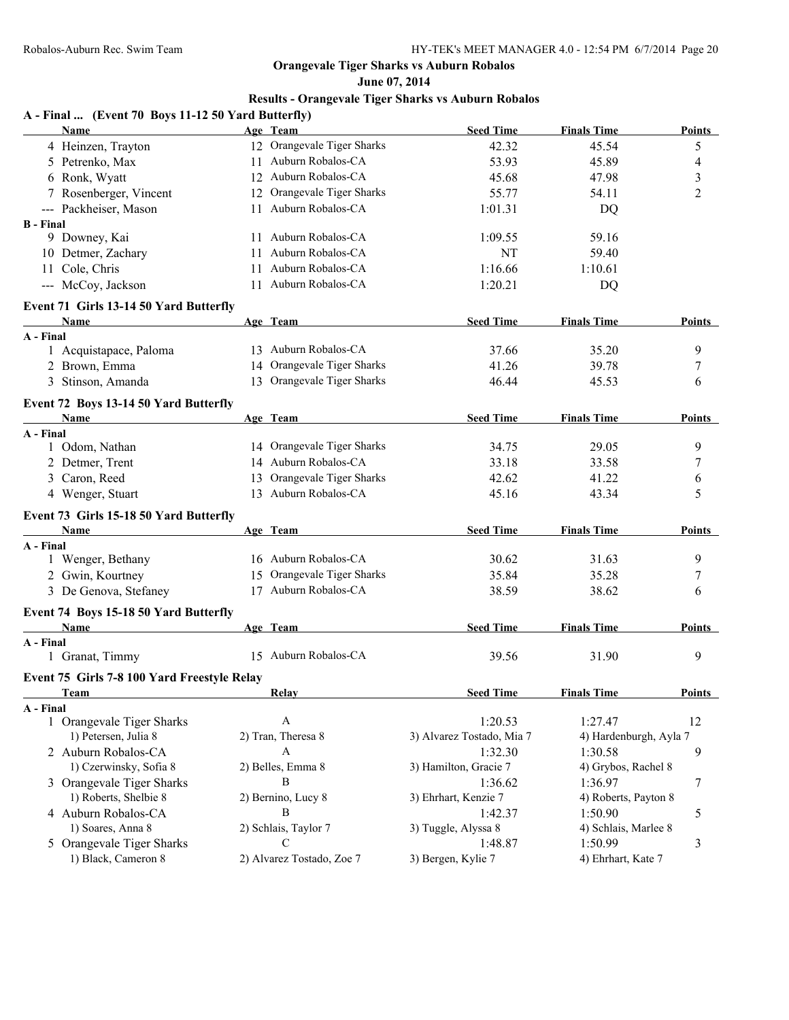#### **June 07, 2014**

| 12 Orangevale Tiger Sharks<br>4 Heinzen, Trayton<br>42.32<br>45.54<br>5<br>11 Auburn Robalos-CA<br>5 Petrenko, Max<br>45.89<br>53.93<br>4<br>12 Auburn Robalos-CA<br>$\mathfrak{Z}$<br>6 Ronk, Wyatt<br>45.68<br>47.98<br>7 Rosenberger, Vincent<br>12 Orangevale Tiger Sharks<br>$\overline{2}$<br>55.77<br>54.11<br>11 Auburn Robalos-CA<br>--- Packheiser, Mason<br>1:01.31<br>DQ<br><b>B</b> - Final<br>9 Downey, Kai<br>11 Auburn Robalos-CA<br>59.16<br>1:09.55<br>10 Detmer, Zachary<br>11 Auburn Robalos-CA<br>NT<br>59.40<br>11 Cole, Chris<br>11 Auburn Robalos-CA<br>1:16.66<br>1:10.61<br>11 Auburn Robalos-CA<br>--- McCoy, Jackson<br>1:20.21<br>DQ<br>Event 71 Girls 13-14 50 Yard Butterfly<br><b>Seed Time</b><br><b>Finals Time</b><br>Name<br>Age Team<br>A - Final<br>1 Acquistapace, Paloma<br>13 Auburn Robalos-CA<br>37.66<br>35.20<br>9<br>14 Orangevale Tiger Sharks<br>2 Brown, Emma<br>41.26<br>39.78<br>7<br>13 Orangevale Tiger Sharks<br>3 Stinson, Amanda<br>46.44<br>45.53<br>6<br>Event 72 Boys 13-14 50 Yard Butterfly<br><b>Seed Time</b><br>Age Team<br><b>Finals Time</b><br>Name<br>A - Final<br>14 Orangevale Tiger Sharks<br>9<br>1 Odom, Nathan<br>34.75<br>29.05<br>14 Auburn Robalos-CA<br>2 Detmer, Trent<br>33.58<br>33.18<br>7<br>13 Orangevale Tiger Sharks<br>3 Caron, Reed<br>41.22<br>42.62<br>6<br>13 Auburn Robalos-CA<br>5<br>4 Wenger, Stuart<br>45.16<br>43.34<br>Event 73 Girls 15-18 50 Yard Butterfly<br>Age Team<br><b>Seed Time</b><br><b>Finals Time</b><br>Name<br>A - Final<br>16 Auburn Robalos-CA<br>9<br>1 Wenger, Bethany<br>30.62<br>31.63<br>15 Orangevale Tiger Sharks<br>2 Gwin, Kourtney<br>35.84<br>35.28<br>7<br>17 Auburn Robalos-CA<br>3 De Genova, Stefaney<br>38.62<br>38.59<br>6<br>Event 74 Boys 15-18 50 Yard Butterfly<br>Age Team<br><b>Seed Time</b><br><b>Finals Time</b><br>Name<br>A - Final<br>15 Auburn Robalos-CA<br>9<br>1 Granat, Timmy<br>39.56<br>31.90<br>Event 75 Girls 7-8 100 Yard Freestyle Relay<br>Relay<br><b>Seed Time</b><br><b>Finals Time</b><br><b>Team</b><br>A - Final<br>1 Orangevale Tiger Sharks<br>$\mathbf{A}$<br>1:20.53<br>1:27.47<br>12<br>1) Petersen, Julia 8<br>2) Tran, Theresa 8<br>3) Alvarez Tostado, Mia 7<br>4) Hardenburgh, Ayla 7<br>2 Auburn Robalos-CA<br>9<br>A<br>1:32.30<br>1:30.58<br>1) Czerwinsky, Sofia 8<br>2) Belles, Emma 8<br>3) Hamilton, Gracie 7<br>4) Grybos, Rachel 8<br>3 Orangevale Tiger Sharks<br>Β<br>1:36.62<br>1:36.97<br>7<br>1) Roberts, Shelbie 8<br>2) Bernino, Lucy 8<br>3) Ehrhart, Kenzie 7<br>4) Roberts, Payton 8<br>4 Auburn Robalos-CA<br>Β<br>1:42.37<br>1:50.90<br>5<br>1) Soares, Anna 8<br>2) Schlais, Taylor 7<br>3) Tuggle, Alyssa 8<br>4) Schlais, Marlee 8<br>С<br>5 Orangevale Tiger Sharks<br>1:48.87<br>1:50.99<br>3<br>1) Black, Cameron 8<br>2) Alvarez Tostado, Zoe 7<br>3) Bergen, Kylie 7<br>4) Ehrhart, Kate 7 | A - Final  (Event 70 Boys 11-12 50 Yard Butterfly) |          |                  |                    |               |
|-----------------------------------------------------------------------------------------------------------------------------------------------------------------------------------------------------------------------------------------------------------------------------------------------------------------------------------------------------------------------------------------------------------------------------------------------------------------------------------------------------------------------------------------------------------------------------------------------------------------------------------------------------------------------------------------------------------------------------------------------------------------------------------------------------------------------------------------------------------------------------------------------------------------------------------------------------------------------------------------------------------------------------------------------------------------------------------------------------------------------------------------------------------------------------------------------------------------------------------------------------------------------------------------------------------------------------------------------------------------------------------------------------------------------------------------------------------------------------------------------------------------------------------------------------------------------------------------------------------------------------------------------------------------------------------------------------------------------------------------------------------------------------------------------------------------------------------------------------------------------------------------------------------------------------------------------------------------------------------------------------------------------------------------------------------------------------------------------------------------------------------------------------------------------------------------------------------------------------------------------------------------------------------------------------------------------------------------------------------------------------------------------------------------------------------------------------------------------------------------------------------------------------------------------------------------------------------------------------------------------------------------------------------------------------------------------------------------------------------------------------------------------------------------------------------------------------------------------------------------------------------------------------|----------------------------------------------------|----------|------------------|--------------------|---------------|
|                                                                                                                                                                                                                                                                                                                                                                                                                                                                                                                                                                                                                                                                                                                                                                                                                                                                                                                                                                                                                                                                                                                                                                                                                                                                                                                                                                                                                                                                                                                                                                                                                                                                                                                                                                                                                                                                                                                                                                                                                                                                                                                                                                                                                                                                                                                                                                                                                                                                                                                                                                                                                                                                                                                                                                                                                                                                                                     | <b>Name</b>                                        | Age Team | <b>Seed Time</b> | <b>Finals Time</b> | <b>Points</b> |
|                                                                                                                                                                                                                                                                                                                                                                                                                                                                                                                                                                                                                                                                                                                                                                                                                                                                                                                                                                                                                                                                                                                                                                                                                                                                                                                                                                                                                                                                                                                                                                                                                                                                                                                                                                                                                                                                                                                                                                                                                                                                                                                                                                                                                                                                                                                                                                                                                                                                                                                                                                                                                                                                                                                                                                                                                                                                                                     |                                                    |          |                  |                    |               |
|                                                                                                                                                                                                                                                                                                                                                                                                                                                                                                                                                                                                                                                                                                                                                                                                                                                                                                                                                                                                                                                                                                                                                                                                                                                                                                                                                                                                                                                                                                                                                                                                                                                                                                                                                                                                                                                                                                                                                                                                                                                                                                                                                                                                                                                                                                                                                                                                                                                                                                                                                                                                                                                                                                                                                                                                                                                                                                     |                                                    |          |                  |                    |               |
|                                                                                                                                                                                                                                                                                                                                                                                                                                                                                                                                                                                                                                                                                                                                                                                                                                                                                                                                                                                                                                                                                                                                                                                                                                                                                                                                                                                                                                                                                                                                                                                                                                                                                                                                                                                                                                                                                                                                                                                                                                                                                                                                                                                                                                                                                                                                                                                                                                                                                                                                                                                                                                                                                                                                                                                                                                                                                                     |                                                    |          |                  |                    |               |
|                                                                                                                                                                                                                                                                                                                                                                                                                                                                                                                                                                                                                                                                                                                                                                                                                                                                                                                                                                                                                                                                                                                                                                                                                                                                                                                                                                                                                                                                                                                                                                                                                                                                                                                                                                                                                                                                                                                                                                                                                                                                                                                                                                                                                                                                                                                                                                                                                                                                                                                                                                                                                                                                                                                                                                                                                                                                                                     |                                                    |          |                  |                    |               |
|                                                                                                                                                                                                                                                                                                                                                                                                                                                                                                                                                                                                                                                                                                                                                                                                                                                                                                                                                                                                                                                                                                                                                                                                                                                                                                                                                                                                                                                                                                                                                                                                                                                                                                                                                                                                                                                                                                                                                                                                                                                                                                                                                                                                                                                                                                                                                                                                                                                                                                                                                                                                                                                                                                                                                                                                                                                                                                     |                                                    |          |                  |                    |               |
|                                                                                                                                                                                                                                                                                                                                                                                                                                                                                                                                                                                                                                                                                                                                                                                                                                                                                                                                                                                                                                                                                                                                                                                                                                                                                                                                                                                                                                                                                                                                                                                                                                                                                                                                                                                                                                                                                                                                                                                                                                                                                                                                                                                                                                                                                                                                                                                                                                                                                                                                                                                                                                                                                                                                                                                                                                                                                                     |                                                    |          |                  |                    |               |
|                                                                                                                                                                                                                                                                                                                                                                                                                                                                                                                                                                                                                                                                                                                                                                                                                                                                                                                                                                                                                                                                                                                                                                                                                                                                                                                                                                                                                                                                                                                                                                                                                                                                                                                                                                                                                                                                                                                                                                                                                                                                                                                                                                                                                                                                                                                                                                                                                                                                                                                                                                                                                                                                                                                                                                                                                                                                                                     |                                                    |          |                  |                    |               |
|                                                                                                                                                                                                                                                                                                                                                                                                                                                                                                                                                                                                                                                                                                                                                                                                                                                                                                                                                                                                                                                                                                                                                                                                                                                                                                                                                                                                                                                                                                                                                                                                                                                                                                                                                                                                                                                                                                                                                                                                                                                                                                                                                                                                                                                                                                                                                                                                                                                                                                                                                                                                                                                                                                                                                                                                                                                                                                     |                                                    |          |                  |                    |               |
|                                                                                                                                                                                                                                                                                                                                                                                                                                                                                                                                                                                                                                                                                                                                                                                                                                                                                                                                                                                                                                                                                                                                                                                                                                                                                                                                                                                                                                                                                                                                                                                                                                                                                                                                                                                                                                                                                                                                                                                                                                                                                                                                                                                                                                                                                                                                                                                                                                                                                                                                                                                                                                                                                                                                                                                                                                                                                                     |                                                    |          |                  |                    |               |
|                                                                                                                                                                                                                                                                                                                                                                                                                                                                                                                                                                                                                                                                                                                                                                                                                                                                                                                                                                                                                                                                                                                                                                                                                                                                                                                                                                                                                                                                                                                                                                                                                                                                                                                                                                                                                                                                                                                                                                                                                                                                                                                                                                                                                                                                                                                                                                                                                                                                                                                                                                                                                                                                                                                                                                                                                                                                                                     |                                                    |          |                  |                    |               |
|                                                                                                                                                                                                                                                                                                                                                                                                                                                                                                                                                                                                                                                                                                                                                                                                                                                                                                                                                                                                                                                                                                                                                                                                                                                                                                                                                                                                                                                                                                                                                                                                                                                                                                                                                                                                                                                                                                                                                                                                                                                                                                                                                                                                                                                                                                                                                                                                                                                                                                                                                                                                                                                                                                                                                                                                                                                                                                     |                                                    |          |                  |                    |               |
|                                                                                                                                                                                                                                                                                                                                                                                                                                                                                                                                                                                                                                                                                                                                                                                                                                                                                                                                                                                                                                                                                                                                                                                                                                                                                                                                                                                                                                                                                                                                                                                                                                                                                                                                                                                                                                                                                                                                                                                                                                                                                                                                                                                                                                                                                                                                                                                                                                                                                                                                                                                                                                                                                                                                                                                                                                                                                                     |                                                    |          |                  |                    | Points        |
|                                                                                                                                                                                                                                                                                                                                                                                                                                                                                                                                                                                                                                                                                                                                                                                                                                                                                                                                                                                                                                                                                                                                                                                                                                                                                                                                                                                                                                                                                                                                                                                                                                                                                                                                                                                                                                                                                                                                                                                                                                                                                                                                                                                                                                                                                                                                                                                                                                                                                                                                                                                                                                                                                                                                                                                                                                                                                                     |                                                    |          |                  |                    |               |
|                                                                                                                                                                                                                                                                                                                                                                                                                                                                                                                                                                                                                                                                                                                                                                                                                                                                                                                                                                                                                                                                                                                                                                                                                                                                                                                                                                                                                                                                                                                                                                                                                                                                                                                                                                                                                                                                                                                                                                                                                                                                                                                                                                                                                                                                                                                                                                                                                                                                                                                                                                                                                                                                                                                                                                                                                                                                                                     |                                                    |          |                  |                    |               |
|                                                                                                                                                                                                                                                                                                                                                                                                                                                                                                                                                                                                                                                                                                                                                                                                                                                                                                                                                                                                                                                                                                                                                                                                                                                                                                                                                                                                                                                                                                                                                                                                                                                                                                                                                                                                                                                                                                                                                                                                                                                                                                                                                                                                                                                                                                                                                                                                                                                                                                                                                                                                                                                                                                                                                                                                                                                                                                     |                                                    |          |                  |                    |               |
|                                                                                                                                                                                                                                                                                                                                                                                                                                                                                                                                                                                                                                                                                                                                                                                                                                                                                                                                                                                                                                                                                                                                                                                                                                                                                                                                                                                                                                                                                                                                                                                                                                                                                                                                                                                                                                                                                                                                                                                                                                                                                                                                                                                                                                                                                                                                                                                                                                                                                                                                                                                                                                                                                                                                                                                                                                                                                                     |                                                    |          |                  |                    |               |
|                                                                                                                                                                                                                                                                                                                                                                                                                                                                                                                                                                                                                                                                                                                                                                                                                                                                                                                                                                                                                                                                                                                                                                                                                                                                                                                                                                                                                                                                                                                                                                                                                                                                                                                                                                                                                                                                                                                                                                                                                                                                                                                                                                                                                                                                                                                                                                                                                                                                                                                                                                                                                                                                                                                                                                                                                                                                                                     |                                                    |          |                  |                    |               |
|                                                                                                                                                                                                                                                                                                                                                                                                                                                                                                                                                                                                                                                                                                                                                                                                                                                                                                                                                                                                                                                                                                                                                                                                                                                                                                                                                                                                                                                                                                                                                                                                                                                                                                                                                                                                                                                                                                                                                                                                                                                                                                                                                                                                                                                                                                                                                                                                                                                                                                                                                                                                                                                                                                                                                                                                                                                                                                     |                                                    |          |                  |                    | <b>Points</b> |
|                                                                                                                                                                                                                                                                                                                                                                                                                                                                                                                                                                                                                                                                                                                                                                                                                                                                                                                                                                                                                                                                                                                                                                                                                                                                                                                                                                                                                                                                                                                                                                                                                                                                                                                                                                                                                                                                                                                                                                                                                                                                                                                                                                                                                                                                                                                                                                                                                                                                                                                                                                                                                                                                                                                                                                                                                                                                                                     |                                                    |          |                  |                    |               |
|                                                                                                                                                                                                                                                                                                                                                                                                                                                                                                                                                                                                                                                                                                                                                                                                                                                                                                                                                                                                                                                                                                                                                                                                                                                                                                                                                                                                                                                                                                                                                                                                                                                                                                                                                                                                                                                                                                                                                                                                                                                                                                                                                                                                                                                                                                                                                                                                                                                                                                                                                                                                                                                                                                                                                                                                                                                                                                     |                                                    |          |                  |                    |               |
|                                                                                                                                                                                                                                                                                                                                                                                                                                                                                                                                                                                                                                                                                                                                                                                                                                                                                                                                                                                                                                                                                                                                                                                                                                                                                                                                                                                                                                                                                                                                                                                                                                                                                                                                                                                                                                                                                                                                                                                                                                                                                                                                                                                                                                                                                                                                                                                                                                                                                                                                                                                                                                                                                                                                                                                                                                                                                                     |                                                    |          |                  |                    |               |
|                                                                                                                                                                                                                                                                                                                                                                                                                                                                                                                                                                                                                                                                                                                                                                                                                                                                                                                                                                                                                                                                                                                                                                                                                                                                                                                                                                                                                                                                                                                                                                                                                                                                                                                                                                                                                                                                                                                                                                                                                                                                                                                                                                                                                                                                                                                                                                                                                                                                                                                                                                                                                                                                                                                                                                                                                                                                                                     |                                                    |          |                  |                    |               |
|                                                                                                                                                                                                                                                                                                                                                                                                                                                                                                                                                                                                                                                                                                                                                                                                                                                                                                                                                                                                                                                                                                                                                                                                                                                                                                                                                                                                                                                                                                                                                                                                                                                                                                                                                                                                                                                                                                                                                                                                                                                                                                                                                                                                                                                                                                                                                                                                                                                                                                                                                                                                                                                                                                                                                                                                                                                                                                     |                                                    |          |                  |                    |               |
|                                                                                                                                                                                                                                                                                                                                                                                                                                                                                                                                                                                                                                                                                                                                                                                                                                                                                                                                                                                                                                                                                                                                                                                                                                                                                                                                                                                                                                                                                                                                                                                                                                                                                                                                                                                                                                                                                                                                                                                                                                                                                                                                                                                                                                                                                                                                                                                                                                                                                                                                                                                                                                                                                                                                                                                                                                                                                                     |                                                    |          |                  |                    |               |
|                                                                                                                                                                                                                                                                                                                                                                                                                                                                                                                                                                                                                                                                                                                                                                                                                                                                                                                                                                                                                                                                                                                                                                                                                                                                                                                                                                                                                                                                                                                                                                                                                                                                                                                                                                                                                                                                                                                                                                                                                                                                                                                                                                                                                                                                                                                                                                                                                                                                                                                                                                                                                                                                                                                                                                                                                                                                                                     |                                                    |          |                  |                    | Points        |
|                                                                                                                                                                                                                                                                                                                                                                                                                                                                                                                                                                                                                                                                                                                                                                                                                                                                                                                                                                                                                                                                                                                                                                                                                                                                                                                                                                                                                                                                                                                                                                                                                                                                                                                                                                                                                                                                                                                                                                                                                                                                                                                                                                                                                                                                                                                                                                                                                                                                                                                                                                                                                                                                                                                                                                                                                                                                                                     |                                                    |          |                  |                    |               |
|                                                                                                                                                                                                                                                                                                                                                                                                                                                                                                                                                                                                                                                                                                                                                                                                                                                                                                                                                                                                                                                                                                                                                                                                                                                                                                                                                                                                                                                                                                                                                                                                                                                                                                                                                                                                                                                                                                                                                                                                                                                                                                                                                                                                                                                                                                                                                                                                                                                                                                                                                                                                                                                                                                                                                                                                                                                                                                     |                                                    |          |                  |                    |               |
|                                                                                                                                                                                                                                                                                                                                                                                                                                                                                                                                                                                                                                                                                                                                                                                                                                                                                                                                                                                                                                                                                                                                                                                                                                                                                                                                                                                                                                                                                                                                                                                                                                                                                                                                                                                                                                                                                                                                                                                                                                                                                                                                                                                                                                                                                                                                                                                                                                                                                                                                                                                                                                                                                                                                                                                                                                                                                                     |                                                    |          |                  |                    |               |
|                                                                                                                                                                                                                                                                                                                                                                                                                                                                                                                                                                                                                                                                                                                                                                                                                                                                                                                                                                                                                                                                                                                                                                                                                                                                                                                                                                                                                                                                                                                                                                                                                                                                                                                                                                                                                                                                                                                                                                                                                                                                                                                                                                                                                                                                                                                                                                                                                                                                                                                                                                                                                                                                                                                                                                                                                                                                                                     |                                                    |          |                  |                    |               |
|                                                                                                                                                                                                                                                                                                                                                                                                                                                                                                                                                                                                                                                                                                                                                                                                                                                                                                                                                                                                                                                                                                                                                                                                                                                                                                                                                                                                                                                                                                                                                                                                                                                                                                                                                                                                                                                                                                                                                                                                                                                                                                                                                                                                                                                                                                                                                                                                                                                                                                                                                                                                                                                                                                                                                                                                                                                                                                     |                                                    |          |                  |                    |               |
|                                                                                                                                                                                                                                                                                                                                                                                                                                                                                                                                                                                                                                                                                                                                                                                                                                                                                                                                                                                                                                                                                                                                                                                                                                                                                                                                                                                                                                                                                                                                                                                                                                                                                                                                                                                                                                                                                                                                                                                                                                                                                                                                                                                                                                                                                                                                                                                                                                                                                                                                                                                                                                                                                                                                                                                                                                                                                                     |                                                    |          |                  |                    | Points        |
|                                                                                                                                                                                                                                                                                                                                                                                                                                                                                                                                                                                                                                                                                                                                                                                                                                                                                                                                                                                                                                                                                                                                                                                                                                                                                                                                                                                                                                                                                                                                                                                                                                                                                                                                                                                                                                                                                                                                                                                                                                                                                                                                                                                                                                                                                                                                                                                                                                                                                                                                                                                                                                                                                                                                                                                                                                                                                                     |                                                    |          |                  |                    |               |
|                                                                                                                                                                                                                                                                                                                                                                                                                                                                                                                                                                                                                                                                                                                                                                                                                                                                                                                                                                                                                                                                                                                                                                                                                                                                                                                                                                                                                                                                                                                                                                                                                                                                                                                                                                                                                                                                                                                                                                                                                                                                                                                                                                                                                                                                                                                                                                                                                                                                                                                                                                                                                                                                                                                                                                                                                                                                                                     |                                                    |          |                  |                    |               |
|                                                                                                                                                                                                                                                                                                                                                                                                                                                                                                                                                                                                                                                                                                                                                                                                                                                                                                                                                                                                                                                                                                                                                                                                                                                                                                                                                                                                                                                                                                                                                                                                                                                                                                                                                                                                                                                                                                                                                                                                                                                                                                                                                                                                                                                                                                                                                                                                                                                                                                                                                                                                                                                                                                                                                                                                                                                                                                     |                                                    |          |                  |                    |               |
|                                                                                                                                                                                                                                                                                                                                                                                                                                                                                                                                                                                                                                                                                                                                                                                                                                                                                                                                                                                                                                                                                                                                                                                                                                                                                                                                                                                                                                                                                                                                                                                                                                                                                                                                                                                                                                                                                                                                                                                                                                                                                                                                                                                                                                                                                                                                                                                                                                                                                                                                                                                                                                                                                                                                                                                                                                                                                                     |                                                    |          |                  |                    | <b>Points</b> |
|                                                                                                                                                                                                                                                                                                                                                                                                                                                                                                                                                                                                                                                                                                                                                                                                                                                                                                                                                                                                                                                                                                                                                                                                                                                                                                                                                                                                                                                                                                                                                                                                                                                                                                                                                                                                                                                                                                                                                                                                                                                                                                                                                                                                                                                                                                                                                                                                                                                                                                                                                                                                                                                                                                                                                                                                                                                                                                     |                                                    |          |                  |                    |               |
|                                                                                                                                                                                                                                                                                                                                                                                                                                                                                                                                                                                                                                                                                                                                                                                                                                                                                                                                                                                                                                                                                                                                                                                                                                                                                                                                                                                                                                                                                                                                                                                                                                                                                                                                                                                                                                                                                                                                                                                                                                                                                                                                                                                                                                                                                                                                                                                                                                                                                                                                                                                                                                                                                                                                                                                                                                                                                                     |                                                    |          |                  |                    |               |
|                                                                                                                                                                                                                                                                                                                                                                                                                                                                                                                                                                                                                                                                                                                                                                                                                                                                                                                                                                                                                                                                                                                                                                                                                                                                                                                                                                                                                                                                                                                                                                                                                                                                                                                                                                                                                                                                                                                                                                                                                                                                                                                                                                                                                                                                                                                                                                                                                                                                                                                                                                                                                                                                                                                                                                                                                                                                                                     |                                                    |          |                  |                    |               |
|                                                                                                                                                                                                                                                                                                                                                                                                                                                                                                                                                                                                                                                                                                                                                                                                                                                                                                                                                                                                                                                                                                                                                                                                                                                                                                                                                                                                                                                                                                                                                                                                                                                                                                                                                                                                                                                                                                                                                                                                                                                                                                                                                                                                                                                                                                                                                                                                                                                                                                                                                                                                                                                                                                                                                                                                                                                                                                     |                                                    |          |                  |                    |               |
|                                                                                                                                                                                                                                                                                                                                                                                                                                                                                                                                                                                                                                                                                                                                                                                                                                                                                                                                                                                                                                                                                                                                                                                                                                                                                                                                                                                                                                                                                                                                                                                                                                                                                                                                                                                                                                                                                                                                                                                                                                                                                                                                                                                                                                                                                                                                                                                                                                                                                                                                                                                                                                                                                                                                                                                                                                                                                                     |                                                    |          |                  |                    |               |
|                                                                                                                                                                                                                                                                                                                                                                                                                                                                                                                                                                                                                                                                                                                                                                                                                                                                                                                                                                                                                                                                                                                                                                                                                                                                                                                                                                                                                                                                                                                                                                                                                                                                                                                                                                                                                                                                                                                                                                                                                                                                                                                                                                                                                                                                                                                                                                                                                                                                                                                                                                                                                                                                                                                                                                                                                                                                                                     |                                                    |          |                  |                    |               |
|                                                                                                                                                                                                                                                                                                                                                                                                                                                                                                                                                                                                                                                                                                                                                                                                                                                                                                                                                                                                                                                                                                                                                                                                                                                                                                                                                                                                                                                                                                                                                                                                                                                                                                                                                                                                                                                                                                                                                                                                                                                                                                                                                                                                                                                                                                                                                                                                                                                                                                                                                                                                                                                                                                                                                                                                                                                                                                     |                                                    |          |                  |                    |               |
|                                                                                                                                                                                                                                                                                                                                                                                                                                                                                                                                                                                                                                                                                                                                                                                                                                                                                                                                                                                                                                                                                                                                                                                                                                                                                                                                                                                                                                                                                                                                                                                                                                                                                                                                                                                                                                                                                                                                                                                                                                                                                                                                                                                                                                                                                                                                                                                                                                                                                                                                                                                                                                                                                                                                                                                                                                                                                                     |                                                    |          |                  |                    |               |
|                                                                                                                                                                                                                                                                                                                                                                                                                                                                                                                                                                                                                                                                                                                                                                                                                                                                                                                                                                                                                                                                                                                                                                                                                                                                                                                                                                                                                                                                                                                                                                                                                                                                                                                                                                                                                                                                                                                                                                                                                                                                                                                                                                                                                                                                                                                                                                                                                                                                                                                                                                                                                                                                                                                                                                                                                                                                                                     |                                                    |          |                  |                    |               |
|                                                                                                                                                                                                                                                                                                                                                                                                                                                                                                                                                                                                                                                                                                                                                                                                                                                                                                                                                                                                                                                                                                                                                                                                                                                                                                                                                                                                                                                                                                                                                                                                                                                                                                                                                                                                                                                                                                                                                                                                                                                                                                                                                                                                                                                                                                                                                                                                                                                                                                                                                                                                                                                                                                                                                                                                                                                                                                     |                                                    |          |                  |                    |               |
|                                                                                                                                                                                                                                                                                                                                                                                                                                                                                                                                                                                                                                                                                                                                                                                                                                                                                                                                                                                                                                                                                                                                                                                                                                                                                                                                                                                                                                                                                                                                                                                                                                                                                                                                                                                                                                                                                                                                                                                                                                                                                                                                                                                                                                                                                                                                                                                                                                                                                                                                                                                                                                                                                                                                                                                                                                                                                                     |                                                    |          |                  |                    |               |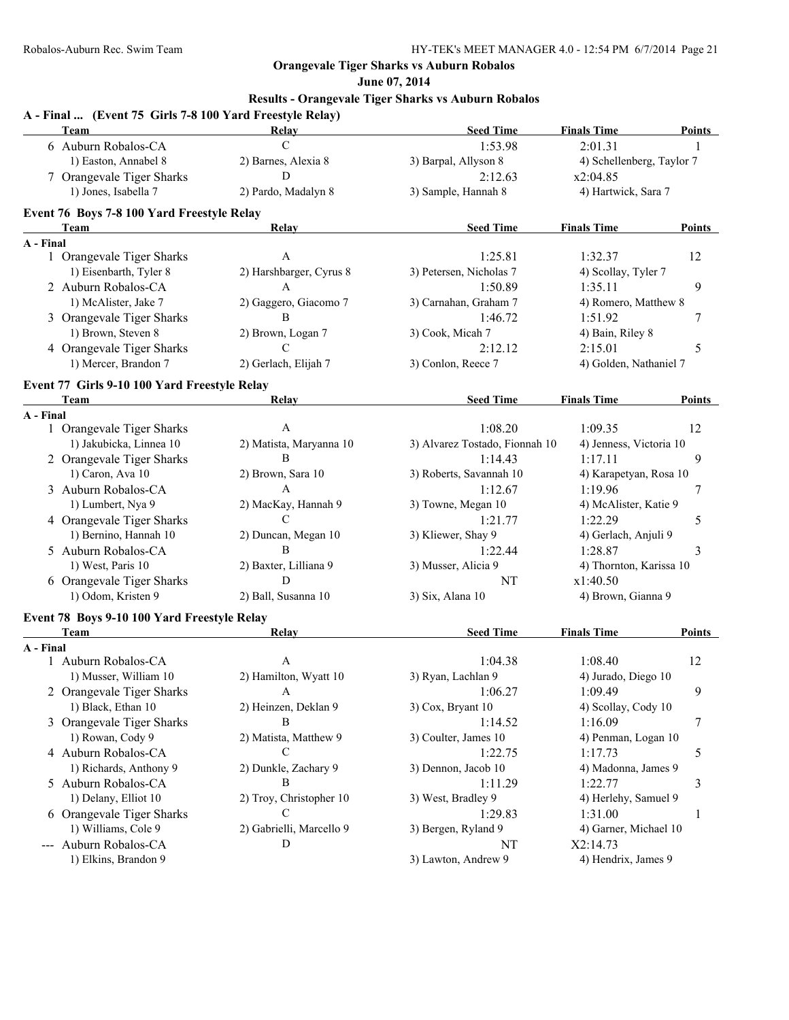**June 07, 2014**

| A - Final  (Event 75 Girls 7-8 100 Yard Freestyle Relay)<br>Team | Relay                    | <b>Seed Time</b>               | <b>Finals Time</b>        | <b>Points</b> |
|------------------------------------------------------------------|--------------------------|--------------------------------|---------------------------|---------------|
| 6 Auburn Robalos-CA                                              | $\mathcal{C}$            | 1:53.98                        | 2:01.31                   |               |
| 1) Easton, Annabel 8                                             | 2) Barnes, Alexia 8      | 3) Barpal, Allyson 8           | 4) Schellenberg, Taylor 7 |               |
| 7 Orangevale Tiger Sharks                                        | D                        | 2:12.63                        | x2:04.85                  |               |
| 1) Jones, Isabella 7                                             | 2) Pardo, Madalyn 8      | 3) Sample, Hannah 8            | 4) Hartwick, Sara 7       |               |
|                                                                  |                          |                                |                           |               |
| Event 76 Boys 7-8 100 Yard Freestyle Relay<br>Team               | Relay                    | <b>Seed Time</b>               | <b>Finals Time</b>        | Points        |
| A - Final                                                        |                          |                                |                           |               |
| 1 Orangevale Tiger Sharks                                        | A                        | 1:25.81                        | 1:32.37                   | 12            |
| 1) Eisenbarth, Tyler 8                                           | 2) Harshbarger, Cyrus 8  | 3) Petersen, Nicholas 7        | 4) Scollay, Tyler 7       |               |
| 2 Auburn Robalos-CA                                              | A                        | 1:50.89                        | 1:35.11                   | 9             |
| 1) McAlister, Jake 7                                             | 2) Gaggero, Giacomo 7    | 3) Carnahan, Graham 7          | 4) Romero, Matthew 8      |               |
| 3 Orangevale Tiger Sharks                                        | B                        | 1:46.72                        | 1:51.92                   | 7             |
| 1) Brown, Steven 8                                               | 2) Brown, Logan 7        | 3) Cook, Micah 7               | 4) Bain, Riley 8          |               |
| 4 Orangevale Tiger Sharks                                        | $\mathcal{C}$            | 2:12.12                        | 2:15.01                   | 5             |
| 1) Mercer, Brandon 7                                             | 2) Gerlach, Elijah 7     | 3) Conlon, Reece 7             | 4) Golden, Nathaniel 7    |               |
| Event 77 Girls 9-10 100 Yard Freestyle Relay                     |                          |                                |                           |               |
| Team                                                             | Relay                    | <b>Seed Time</b>               | <b>Finals Time</b>        | Points        |
| A - Final                                                        |                          |                                |                           |               |
| 1 Orangevale Tiger Sharks                                        | A                        | 1:08.20                        | 1:09.35                   | 12            |
| 1) Jakubicka, Linnea 10                                          | 2) Matista, Maryanna 10  | 3) Alvarez Tostado, Fionnah 10 | 4) Jenness, Victoria 10   |               |
| 2 Orangevale Tiger Sharks                                        | B                        | 1:14.43                        | 1:17.11                   | 9             |
| 1) Caron, Ava 10                                                 | 2) Brown, Sara 10        | 3) Roberts, Savannah 10        | 4) Karapetyan, Rosa 10    |               |
| 3 Auburn Robalos-CA                                              | $\overline{A}$           | 1:12.67                        | 1:19.96                   | 7             |
| 1) Lumbert, Nya 9                                                | 2) MacKay, Hannah 9      | 3) Towne, Megan 10             | 4) McAlister, Katie 9     |               |
| 4 Orangevale Tiger Sharks                                        | C                        | 1:21.77                        | 1:22.29                   | 5             |
| 1) Bernino, Hannah 10                                            | 2) Duncan, Megan 10      | 3) Kliewer, Shay 9             | 4) Gerlach, Anjuli 9      |               |
| 5 Auburn Robalos-CA                                              | B                        | 1:22.44                        | 1:28.87                   | 3             |
| 1) West, Paris 10                                                | 2) Baxter, Lilliana 9    | 3) Musser, Alicia 9            | 4) Thornton, Karissa 10   |               |
| 6 Orangevale Tiger Sharks                                        | D                        | NT                             | x1:40.50                  |               |
| 1) Odom, Kristen 9                                               | 2) Ball, Susanna 10      | 3) Six, Alana 10               | 4) Brown, Gianna 9        |               |
| Event 78 Boys 9-10 100 Yard Freestyle Relay                      |                          |                                |                           |               |
| Team                                                             | Relay                    | <b>Seed Time</b>               | <b>Finals Time</b>        | <b>Points</b> |
| A - Final                                                        |                          |                                |                           |               |
| 1 Auburn Robalos-CA                                              | A                        | 1:04.38                        | 1:08.40                   | 12            |
| 1) Musser, William 10                                            | 2) Hamilton, Wyatt 10    | 3) Ryan, Lachlan 9             | 4) Jurado, Diego 10       |               |
| 2 Orangevale Tiger Sharks                                        | $\mathbf{A}$             | 1:06.27                        | 1:09.49                   | 9             |
| 1) Black, Ethan 10                                               | 2) Heinzen, Deklan 9     | 3) Cox, Bryant 10              | 4) Scollay, Cody 10       |               |
| 3 Orangevale Tiger Sharks                                        | B                        | 1:14.52                        | 1:16.09                   | 7             |
| 1) Rowan, Cody 9                                                 | 2) Matista, Matthew 9    | 3) Coulter, James 10           | 4) Penman, Logan 10       |               |
| 4 Auburn Robalos-CA                                              | C                        | 1:22.75                        | 1:17.73                   | 5             |
| 1) Richards, Anthony 9                                           | 2) Dunkle, Zachary 9     | 3) Dennon, Jacob 10            | 4) Madonna, James 9       |               |
| 5 Auburn Robalos-CA                                              | B                        | 1:11.29                        | 1:22.77                   | 3             |
| 1) Delany, Elliot 10                                             | 2) Troy, Christopher 10  | 3) West, Bradley 9             | 4) Herlehy, Samuel 9      |               |
| 6 Orangevale Tiger Sharks                                        | C                        | 1:29.83                        | 1:31.00                   | 1             |
| 1) Williams, Cole 9                                              | 2) Gabrielli, Marcello 9 | 3) Bergen, Ryland 9            | 4) Garner, Michael 10     |               |
| --- Auburn Robalos-CA                                            | D                        | NT                             | X2:14.73                  |               |
| 1) Elkins, Brandon 9                                             |                          | 3) Lawton, Andrew 9            | 4) Hendrix, James 9       |               |
|                                                                  |                          |                                |                           |               |